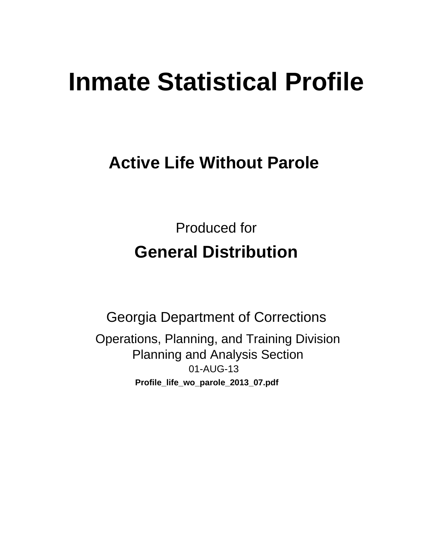# **Inmate Statistical Profile**

# **Active Life Without Parole**

**Produced for General Distribution** 

**Georgia Department of Corrections** Operations, Planning, and Training Division **Planning and Analysis Section** 01-AUG-13 Profile\_life\_wo\_parole\_2013\_07.pdf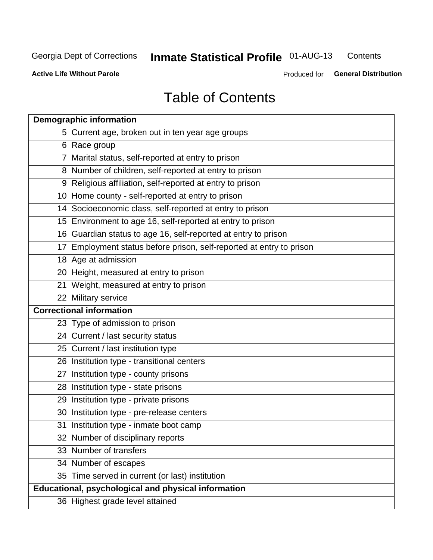#### **Inmate Statistical Profile 01-AUG-13** Contents

**Active Life Without Parole** 

Produced for General Distribution

# **Table of Contents**

| <b>Demographic information</b>                                       |
|----------------------------------------------------------------------|
| 5 Current age, broken out in ten year age groups                     |
| 6 Race group                                                         |
| 7 Marital status, self-reported at entry to prison                   |
| 8 Number of children, self-reported at entry to prison               |
| 9 Religious affiliation, self-reported at entry to prison            |
| 10 Home county - self-reported at entry to prison                    |
| 14 Socioeconomic class, self-reported at entry to prison             |
| 15 Environment to age 16, self-reported at entry to prison           |
| 16 Guardian status to age 16, self-reported at entry to prison       |
| 17 Employment status before prison, self-reported at entry to prison |
| 18 Age at admission                                                  |
| 20 Height, measured at entry to prison                               |
| 21 Weight, measured at entry to prison                               |
| 22 Military service                                                  |
| <b>Correctional information</b>                                      |
| 23 Type of admission to prison                                       |
| 24 Current / last security status                                    |
| 25 Current / last institution type                                   |
| 26 Institution type - transitional centers                           |
| 27 Institution type - county prisons                                 |
| 28 Institution type - state prisons                                  |
| 29 Institution type - private prisons                                |
| 30 Institution type - pre-release centers                            |
| 31 Institution type - inmate boot camp                               |
| 32 Number of disciplinary reports                                    |
| 33 Number of transfers                                               |
| 34 Number of escapes                                                 |
| 35 Time served in current (or last) institution                      |
| Educational, psychological and physical information                  |
| 36 Highest grade level attained                                      |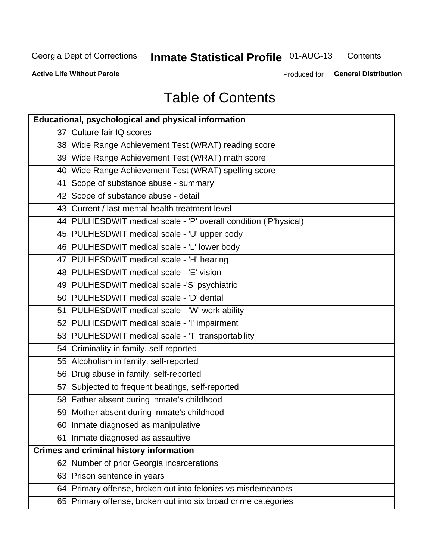#### **Inmate Statistical Profile 01-AUG-13** Contents

**Active Life Without Parole** 

Produced for General Distribution

# **Table of Contents**

| <b>Educational, psychological and physical information</b>       |
|------------------------------------------------------------------|
| 37 Culture fair IQ scores                                        |
| 38 Wide Range Achievement Test (WRAT) reading score              |
| 39 Wide Range Achievement Test (WRAT) math score                 |
| 40 Wide Range Achievement Test (WRAT) spelling score             |
| 41 Scope of substance abuse - summary                            |
| 42 Scope of substance abuse - detail                             |
| 43 Current / last mental health treatment level                  |
| 44 PULHESDWIT medical scale - 'P' overall condition ('P'hysical) |
| 45 PULHESDWIT medical scale - 'U' upper body                     |
| 46 PULHESDWIT medical scale - 'L' lower body                     |
| 47 PULHESDWIT medical scale - 'H' hearing                        |
| 48 PULHESDWIT medical scale - 'E' vision                         |
| 49 PULHESDWIT medical scale -'S' psychiatric                     |
| 50 PULHESDWIT medical scale - 'D' dental                         |
| 51 PULHESDWIT medical scale - 'W' work ability                   |
| 52 PULHESDWIT medical scale - 'I' impairment                     |
| 53 PULHESDWIT medical scale - 'T' transportability               |
| 54 Criminality in family, self-reported                          |
| 55 Alcoholism in family, self-reported                           |
| 56 Drug abuse in family, self-reported                           |
| 57 Subjected to frequent beatings, self-reported                 |
| 58 Father absent during inmate's childhood                       |
| 59 Mother absent during inmate's childhood                       |
| 60 Inmate diagnosed as manipulative                              |
| 61 Inmate diagnosed as assaultive                                |
| <b>Crimes and criminal history information</b>                   |
| 62 Number of prior Georgia incarcerations                        |
| 63 Prison sentence in years                                      |
| 64 Primary offense, broken out into felonies vs misdemeanors     |
| 65 Primary offense, broken out into six broad crime categories   |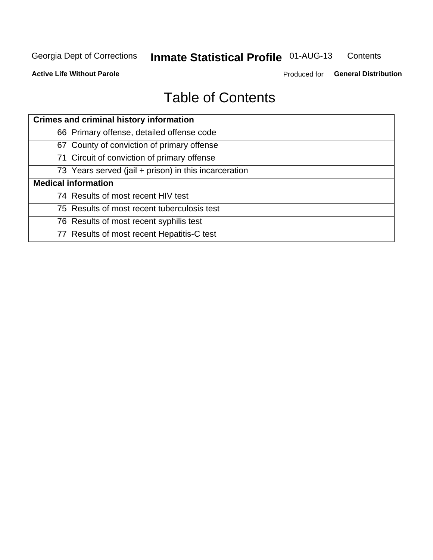#### **Inmate Statistical Profile 01-AUG-13** Contents

**Active Life Without Parole** 

Produced for General Distribution

# **Table of Contents**

| <b>Crimes and criminal history information</b>        |
|-------------------------------------------------------|
| 66 Primary offense, detailed offense code             |
| 67 County of conviction of primary offense            |
| 71 Circuit of conviction of primary offense           |
| 73 Years served (jail + prison) in this incarceration |
| <b>Medical information</b>                            |
| 74 Results of most recent HIV test                    |
| 75 Results of most recent tuberculosis test           |
| 76 Results of most recent syphilis test               |
| 77 Results of most recent Hepatitis-C test            |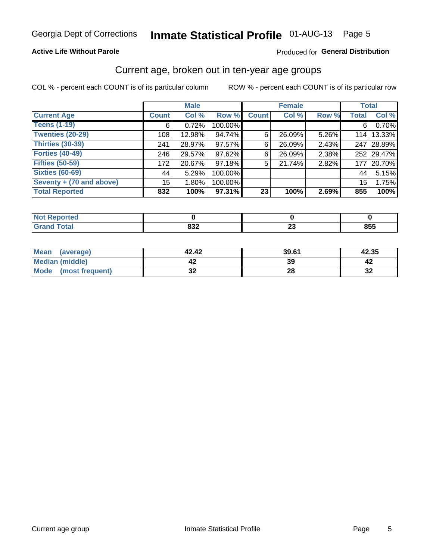# Inmate Statistical Profile 01-AUG-13 Page 5

### **Active Life Without Parole**

### Produced for General Distribution

### Current age, broken out in ten-year age groups

COL % - percent each COUNT is of its particular column

|                          |              | <b>Male</b> |         |              | <b>Female</b> |          | <b>Total</b>    |            |
|--------------------------|--------------|-------------|---------|--------------|---------------|----------|-----------------|------------|
| <b>Current Age</b>       | <b>Count</b> | Col %       | Row %   | <b>Count</b> | Col %         | Row %    | <b>Total</b>    | Col %      |
| <b>Teens (1-19)</b>      | 6            | 0.72%       | 100.00% |              |               |          | 6               | 0.70%      |
| <b>Twenties (20-29)</b>  | 108          | 12.98%      | 94.74%  | 6            | 26.09%        | $5.26\%$ | 114             | 13.33%     |
| Thirties (30-39)         | 241          | 28.97%      | 97.57%  | 6            | 26.09%        | 2.43%    | 247             | 28.89%     |
| <b>Forties (40-49)</b>   | 246          | 29.57%      | 97.62%  | 6            | 26.09%        | 2.38%    |                 | 252 29.47% |
| <b>Fifties (50-59)</b>   | 172          | 20.67%      | 97.18%  | 5            | 21.74%        | 2.82%    | 177             | 20.70%     |
| <b>Sixties (60-69)</b>   | 44           | 5.29%       | 100.00% |              |               |          | 44              | 5.15%      |
| Seventy + (70 and above) | 15           | 1.80%       | 100.00% |              |               |          | 15 <sup>1</sup> | 1.75%      |
| <b>Total Reported</b>    | 832          | 100%        | 97.31%  | 23           | 100%          | 2.69%    | 855             | 100%       |

| .<br>. tea<br> |                    |              |     |
|----------------|--------------------|--------------|-----|
| アール・トー         | 0.25<br><b>ے</b> ں | ∼∸<br>$\sim$ | 855 |

| <b>Mean</b><br>(average) | 42.42    | 39.61 | 42.35   |
|--------------------------|----------|-------|---------|
| Median (middle)          |          | 39    |         |
| Mode<br>(most frequent)  | ^^<br>◡▴ | 28    | …<br>⊾ت |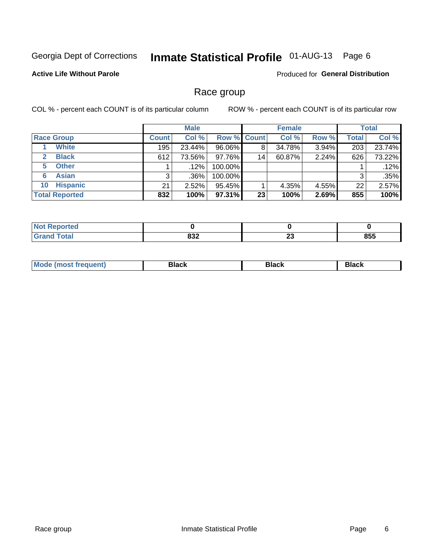#### **Inmate Statistical Profile 01-AUG-13** Page 6

### **Active Life Without Parole**

**Produced for General Distribution** 

### Race group

COL % - percent each COUNT is of its particular column

|                              |              | <b>Male</b> |                    |    | <b>Female</b> |       |              | <b>Total</b> |
|------------------------------|--------------|-------------|--------------------|----|---------------|-------|--------------|--------------|
| <b>Race Group</b>            | <b>Count</b> | Col %       | <b>Row % Count</b> |    | Col %         | Row % | <b>Total</b> | Col %        |
| <b>White</b>                 | 195          | 23.44%      | 96.06%             | 8  | 34.78%        | 3.94% | 203          | 23.74%       |
| <b>Black</b><br>$\mathbf{2}$ | 612          | 73.56%      | 97.76%             | 14 | 60.87%        | 2.24% | 626          | 73.22%       |
| <b>Other</b><br>5.           |              | $.12\%$     | 100.00%            |    |               |       |              | .12%         |
| <b>Asian</b><br>6            | 3            | .36%        | 100.00%            |    |               |       | 3            | .35%         |
| <b>Hispanic</b><br>10        | 21           | 2.52%       | 95.45%             |    | 4.35%         | 4.55% | 22           | 2.57%        |
| <b>Total Reported</b>        | 832          | 100%        | $97.31\%$          | 23 | 100%          | 2.69% | 855          | 100%         |

| <b>Reported</b> |            |          |     |
|-----------------|------------|----------|-----|
| <b>Total</b>    | 022<br>οσΖ | ^^<br>ZJ | 855 |

| M | - - - | Piavn |
|---|-------|-------|
|   |       |       |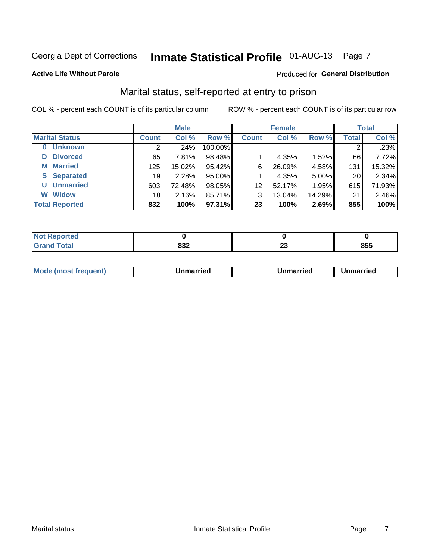# Inmate Statistical Profile 01-AUG-13 Page 7

#### **Active Life Without Parole**

### **Produced for General Distribution**

### Marital status, self-reported at entry to prison

COL % - percent each COUNT is of its particular column

|                            |              | <b>Male</b> |         |                 | <b>Female</b> |        |              | <b>Total</b> |
|----------------------------|--------------|-------------|---------|-----------------|---------------|--------|--------------|--------------|
| <b>Marital Status</b>      | <b>Count</b> | Col %       | Row %   | <b>Count</b>    | Col %         | Row %  | <b>Total</b> | Col %        |
| <b>Unknown</b><br>$\bf{0}$ |              | .24%        | 100.00% |                 |               |        | 2            | .23%         |
| <b>Divorced</b><br>D       | 65           | 7.81%       | 98.48%  |                 | 4.35%         | 1.52%  | 66           | 7.72%        |
| <b>Married</b><br>М        | 125          | 15.02%      | 95.42%  | 6               | 26.09%        | 4.58%  | 131          | 15.32%       |
| <b>Separated</b><br>S      | 19           | 2.28%       | 95.00%  |                 | 4.35%         | 5.00%  | 20           | 2.34%        |
| <b>Unmarried</b><br>U      | 603          | 72.48%      | 98.05%  | 12              | 52.17%        | 1.95%  | 615          | 71.93%       |
| <b>Widow</b><br>W          | 18           | 2.16%       | 85.71%  | 3               | 13.04%        | 14.29% | 21           | 2.46%        |
| <b>Total Reported</b>      | 832          | 100%        | 97.31%  | 23 <sup>1</sup> | 100%          | 2.69%  | 855          | 100%         |

| prted<br>NOT  |            |          |     |
|---------------|------------|----------|-----|
| <b>c</b> otal | nne.<br>∸ט | ~~<br>__ | 855 |

|  | Mo | ımarrıed | Unmarried | Unmarried |
|--|----|----------|-----------|-----------|
|--|----|----------|-----------|-----------|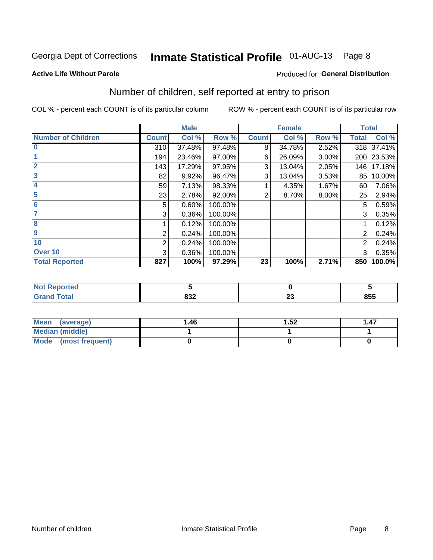# Inmate Statistical Profile 01-AUG-13 Page 8

#### **Active Life Without Parole**

### **Produced for General Distribution**

### Number of children, self reported at entry to prison

COL % - percent each COUNT is of its particular column

|                           |              | <b>Male</b> |         |              | <b>Female</b> |          | <b>Total</b> |        |
|---------------------------|--------------|-------------|---------|--------------|---------------|----------|--------------|--------|
| <b>Number of Children</b> | <b>Count</b> | Col %       | Row %   | <b>Count</b> | Col %         | Row %    | <b>Total</b> | Col %  |
| $\bf{0}$                  | 310          | 37.48%      | 97.48%  | 8            | 34.78%        | 2.52%    | 318          | 37.41% |
|                           | 194          | 23.46%      | 97.00%  | 6            | 26.09%        | $3.00\%$ | 200          | 23.53% |
| $\overline{2}$            | 143          | 17.29%      | 97.95%  | 3            | 13.04%        | 2.05%    | 146          | 17.18% |
| 3                         | 82           | 9.92%       | 96.47%  | 3            | 13.04%        | 3.53%    | 85           | 10.00% |
| 4                         | 59           | 7.13%       | 98.33%  |              | 4.35%         | 1.67%    | 60           | 7.06%  |
| 5                         | 23           | 2.78%       | 92.00%  | 2            | 8.70%         | 8.00%    | 25           | 2.94%  |
| $6\phantom{1}6$           | 5            | 0.60%       | 100.00% |              |               |          | 5            | 0.59%  |
| 7                         | 3            | 0.36%       | 100.00% |              |               |          | 3            | 0.35%  |
| 8                         |              | 0.12%       | 100.00% |              |               |          |              | 0.12%  |
| $\overline{9}$            | 2            | 0.24%       | 100.00% |              |               |          | 2            | 0.24%  |
| 10                        | 2            | 0.24%       | 100.00% |              |               |          | 2            | 0.24%  |
| Over 10                   | 3            | 0.36%       | 100.00% |              |               |          | 3            | 0.35%  |
| <b>Total Reported</b>     | 827          | 100%        | 97.29%  | 23           | 100%          | 2.71%    | 850          | 100.0% |

| neo    |                   |                  |            |
|--------|-------------------|------------------|------------|
| $\sim$ | ---<br>. .<br>99Z | - -<br>. .<br>ZJ | OEE<br>cco |

| <b>Mean</b><br>(average) | 1.46 | 1.52 | 1.47 |
|--------------------------|------|------|------|
| <b>Median (middle)</b>   |      |      |      |
| Mode (most frequent)     |      |      |      |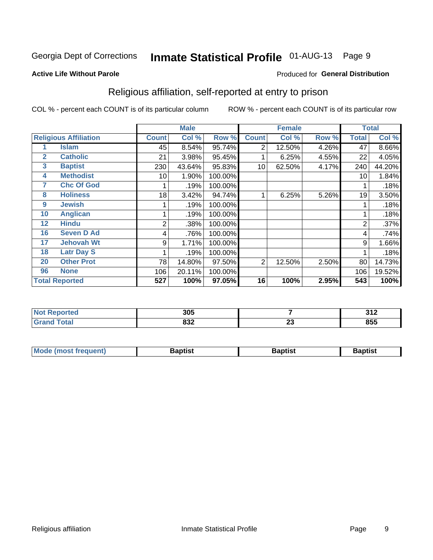# Inmate Statistical Profile 01-AUG-13 Page 9

#### **Active Life Without Parole**

#### Produced for General Distribution

### Religious affiliation, self-reported at entry to prison

COL % - percent each COUNT is of its particular column

|              |                              |              | <b>Male</b>               |         |                | <b>Female</b> |       |       | <b>Total</b> |
|--------------|------------------------------|--------------|---------------------------|---------|----------------|---------------|-------|-------|--------------|
|              | <b>Religious Affiliation</b> | <b>Count</b> | $\overline{\text{Col}}$ % | Row %   | <b>Count</b>   | Col %         | Row % | Total | Col %        |
|              | Islam                        | 45           | 8.54%                     | 95.74%  | $\overline{2}$ | 12.50%        | 4.26% | 47    | 8.66%        |
| $\mathbf{2}$ | <b>Catholic</b>              | 21           | 3.98%                     | 95.45%  |                | 6.25%         | 4.55% | 22    | 4.05%        |
| 3            | <b>Baptist</b>               | 230          | 43.64%                    | 95.83%  | 10             | 62.50%        | 4.17% | 240   | 44.20%       |
| 4            | <b>Methodist</b>             | 10           | 1.90%                     | 100.00% |                |               |       | 10    | 1.84%        |
| 7            | <b>Chc Of God</b>            |              | .19%                      | 100.00% |                |               |       |       | .18%         |
| 8            | <b>Holiness</b>              | 18           | 3.42%                     | 94.74%  |                | 6.25%         | 5.26% | 19    | 3.50%        |
| 9            | <b>Jewish</b>                |              | .19%                      | 100.00% |                |               |       |       | .18%         |
| 10           | <b>Anglican</b>              |              | .19%                      | 100.00% |                |               |       |       | .18%         |
| 12           | <b>Hindu</b>                 | 2            | .38%                      | 100.00% |                |               |       | 2     | .37%         |
| 16           | <b>Seven D Ad</b>            | 4            | .76%                      | 100.00% |                |               |       | 4     | .74%         |
| 17           | <b>Jehovah Wt</b>            | 9            | 1.71%                     | 100.00% |                |               |       | 9     | 1.66%        |
| 18           | <b>Latr Day S</b>            |              | .19%                      | 100.00% |                |               |       |       | .18%         |
| 20           | <b>Other Prot</b>            | 78           | 14.80%                    | 97.50%  | 2              | 12.50%        | 2.50% | 80    | 14.73%       |
| 96           | <b>None</b>                  | 106          | 20.11%                    | 100.00% |                |               |       | 106   | 19.52%       |
|              | <b>Total Reported</b>        | 527          | 100%                      | 97.05%  | 16             | 100%          | 2.95% | 543   | 100%         |

| prtea<br>$\sim$ | 305        |                      | 242<br>JI L |
|-----------------|------------|----------------------|-------------|
|                 | ៰៰៱<br>OJZ | $\overline{ }$<br>ZJ | 855         |

| <b>Mode (most frequent)</b> | 3aptist | Baptist | Baptist |
|-----------------------------|---------|---------|---------|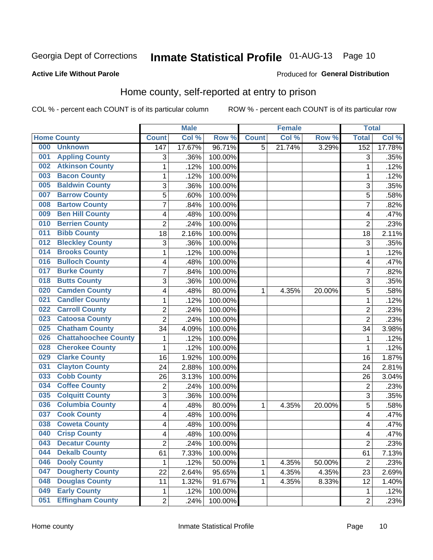# Inmate Statistical Profile 01-AUG-13 Page 10

#### **Active Life Without Parole**

#### Produced for General Distribution

### Home county, self-reported at entry to prison

COL % - percent each COUNT is of its particular column

|     |                             |                         | <b>Male</b> |         |              | <b>Female</b> |        | <b>Total</b>            |                     |
|-----|-----------------------------|-------------------------|-------------|---------|--------------|---------------|--------|-------------------------|---------------------|
|     | <b>Home County</b>          | <b>Count</b>            | Col %       | Row %   | <b>Count</b> | Col %         | Row %  | <b>Total</b>            | Col %               |
| 000 | <b>Unknown</b>              | 147                     | 17.67%      | 96.71%  | 5            | 21.74%        | 3.29%  | 152                     | 17.78%              |
| 001 | <b>Appling County</b>       | 3                       | .36%        | 100.00% |              |               |        | 3                       | .35%                |
| 002 | <b>Atkinson County</b>      | $\mathbf 1$             | .12%        | 100.00% |              |               |        | 1                       | .12%                |
| 003 | <b>Bacon County</b>         | $\mathbf 1$             | .12%        | 100.00% |              |               |        | 1                       | .12%                |
| 005 | <b>Baldwin County</b>       | 3                       | .36%        | 100.00% |              |               |        | 3                       | .35%                |
| 007 | <b>Barrow County</b>        | 5                       | .60%        | 100.00% |              |               |        | 5                       | .58%                |
| 008 | <b>Bartow County</b>        | $\overline{7}$          | .84%        | 100.00% |              |               |        | 7                       | .82%                |
| 009 | <b>Ben Hill County</b>      | 4                       | .48%        | 100.00% |              |               |        | 4                       | .47%                |
| 010 | <b>Berrien County</b>       | $\overline{2}$          | .24%        | 100.00% |              |               |        | $\overline{2}$          | .23%                |
| 011 | <b>Bibb County</b>          | 18                      | 2.16%       | 100.00% |              |               |        | 18                      | 2.11%               |
| 012 | <b>Bleckley County</b>      | 3                       | .36%        | 100.00% |              |               |        | 3                       | .35%                |
| 014 | <b>Brooks County</b>        | $\mathbf 1$             | .12%        | 100.00% |              |               |        | 1                       | .12%                |
| 016 | <b>Bulloch County</b>       | 4                       | .48%        | 100.00% |              |               |        | 4                       | .47%                |
| 017 | <b>Burke County</b>         | $\overline{7}$          | .84%        | 100.00% |              |               |        | 7                       | .82%                |
| 018 | <b>Butts County</b>         | 3                       | .36%        | 100.00% |              |               |        | 3                       | .35%                |
| 020 | <b>Camden County</b>        | 4                       | .48%        | 80.00%  | 1            | 4.35%         | 20.00% | 5                       | .58%                |
| 021 | <b>Candler County</b>       | $\mathbf 1$             | .12%        | 100.00% |              |               |        | 1                       | .12%                |
| 022 | <b>Carroll County</b>       | $\overline{\mathbf{c}}$ | .24%        | 100.00% |              |               |        | $\overline{2}$          | .23%                |
| 023 | <b>Catoosa County</b>       | $\overline{2}$          | .24%        | 100.00% |              |               |        | $\overline{2}$          | .23%                |
| 025 | <b>Chatham County</b>       | 34                      | 4.09%       | 100.00% |              |               |        | 34                      | 3.98%               |
| 026 | <b>Chattahoochee County</b> | $\mathbf 1$             | .12%        | 100.00% |              |               |        | 1                       | .12%                |
| 028 | <b>Cherokee County</b>      | $\mathbf{1}$            | .12%        | 100.00% |              |               |        | 1                       | .12%                |
| 029 | <b>Clarke County</b>        | 16                      | 1.92%       | 100.00% |              |               |        | 16                      | 1.87%               |
| 031 | <b>Clayton County</b>       | 24                      | 2.88%       | 100.00% |              |               |        | 24                      | 2.81%               |
| 033 | <b>Cobb County</b>          | 26                      | 3.13%       | 100.00% |              |               |        | 26                      | 3.04%               |
| 034 | <b>Coffee County</b>        | $\overline{c}$          | .24%        | 100.00% |              |               |        | $\overline{2}$          | .23%                |
| 035 | <b>Colquitt County</b>      | 3                       | .36%        | 100.00% |              |               |        | 3                       | .35%                |
| 036 | <b>Columbia County</b>      | 4                       | .48%        | 80.00%  | 1            | 4.35%         | 20.00% | 5                       | .58%                |
| 037 | <b>Cook County</b>          | 4                       | .48%        | 100.00% |              |               |        | 4                       | .47%                |
| 038 | <b>Coweta County</b>        | 4                       | .48%        | 100.00% |              |               |        | $\overline{\mathbf{4}}$ | .47%                |
| 040 | <b>Crisp County</b>         | 4                       | .48%        | 100.00% |              |               |        | 4                       | .47%                |
| 043 | <b>Decatur County</b>       | 2                       | .24%        | 100.00% |              |               |        | 2                       | .23%                |
| 044 | <b>Dekalb County</b>        | 61                      | 7.33%       | 100.00% |              |               |        | 61                      | $\overline{7.13\%}$ |
| 046 | <b>Dooly County</b>         | 1                       | .12%        | 50.00%  | 1            | 4.35%         | 50.00% | $\overline{2}$          | .23%                |
| 047 | <b>Dougherty County</b>     | 22                      | 2.64%       | 95.65%  | 1            | 4.35%         | 4.35%  | 23                      | 2.69%               |
| 048 | <b>Douglas County</b>       | 11                      | 1.32%       | 91.67%  | 1            | 4.35%         | 8.33%  | 12                      | 1.40%               |
| 049 | <b>Early County</b>         | $\mathbf{1}$            | .12%        | 100.00% |              |               |        | $\mathbf{1}$            | .12%                |
| 051 | <b>Effingham County</b>     | $\overline{2}$          | .24%        | 100.00% |              |               |        | $\overline{2}$          | .23%                |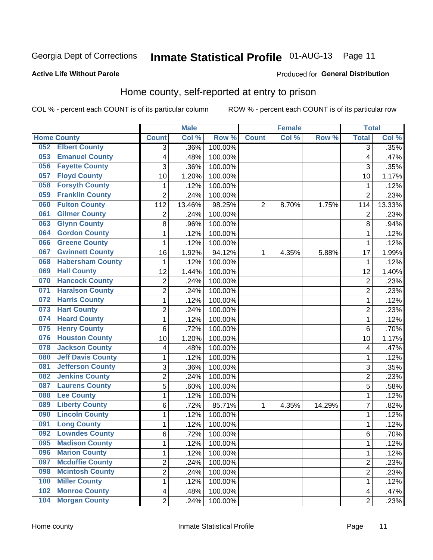# Inmate Statistical Profile 01-AUG-13 Page 11

### **Active Life Without Parole**

#### Produced for General Distribution

### Home county, self-reported at entry to prison

COL % - percent each COUNT is of its particular column

|                                 |                         | <b>Male</b> |         |                | <b>Female</b> |        | <b>Total</b>   |        |
|---------------------------------|-------------------------|-------------|---------|----------------|---------------|--------|----------------|--------|
| <b>Home County</b>              | <b>Count</b>            | Col %       | Row %   | <b>Count</b>   | Col %         | Row %  | <b>Total</b>   | Col %  |
| <b>Elbert County</b><br>052     | $\overline{3}$          | .36%        | 100.00% |                |               |        | 3              | .35%   |
| <b>Emanuel County</b><br>053    | 4                       | .48%        | 100.00% |                |               |        | 4              | .47%   |
| <b>Fayette County</b><br>056    | 3                       | .36%        | 100.00% |                |               |        | 3              | .35%   |
| <b>Floyd County</b><br>057      | 10                      | 1.20%       | 100.00% |                |               |        | 10             | 1.17%  |
| <b>Forsyth County</b><br>058    | 1                       | .12%        | 100.00% |                |               |        | 1              | .12%   |
| <b>Franklin County</b><br>059   | $\overline{2}$          | .24%        | 100.00% |                |               |        | $\overline{2}$ | .23%   |
| <b>Fulton County</b><br>060     | 112                     | 13.46%      | 98.25%  | $\overline{2}$ | 8.70%         | 1.75%  | 114            | 13.33% |
| <b>Gilmer County</b><br>061     | $\overline{2}$          | .24%        | 100.00% |                |               |        | 2              | .23%   |
| <b>Glynn County</b><br>063      | 8                       | .96%        | 100.00% |                |               |        | 8              | .94%   |
| <b>Gordon County</b><br>064     | 1                       | .12%        | 100.00% |                |               |        | 1              | .12%   |
| <b>Greene County</b><br>066     | 1                       | .12%        | 100.00% |                |               |        | 1              | .12%   |
| <b>Gwinnett County</b><br>067   | 16                      | 1.92%       | 94.12%  | 1              | 4.35%         | 5.88%  | 17             | 1.99%  |
| <b>Habersham County</b><br>068  | $\mathbf{1}$            | .12%        | 100.00% |                |               |        | 1              | .12%   |
| <b>Hall County</b><br>069       | 12                      | 1.44%       | 100.00% |                |               |        | 12             | 1.40%  |
| <b>Hancock County</b><br>070    | $\overline{2}$          | .24%        | 100.00% |                |               |        | $\overline{2}$ | .23%   |
| <b>Haralson County</b><br>071   | $\overline{2}$          | .24%        | 100.00% |                |               |        | $\overline{2}$ | .23%   |
| <b>Harris County</b><br>072     | $\mathbf{1}$            | .12%        | 100.00% |                |               |        | 1              | .12%   |
| <b>Hart County</b><br>073       | $\overline{2}$          | .24%        | 100.00% |                |               |        | $\overline{c}$ | .23%   |
| <b>Heard County</b><br>074      | $\mathbf 1$             | .12%        | 100.00% |                |               |        | $\mathbf 1$    | .12%   |
| <b>Henry County</b><br>075      | 6                       | .72%        | 100.00% |                |               |        | 6              | .70%   |
| <b>Houston County</b><br>076    | 10                      | 1.20%       | 100.00% |                |               |        | 10             | 1.17%  |
| <b>Jackson County</b><br>078    | 4                       | .48%        | 100.00% |                |               |        | 4              | .47%   |
| <b>Jeff Davis County</b><br>080 | $\mathbf{1}$            | .12%        | 100.00% |                |               |        | 1              | .12%   |
| <b>Jefferson County</b><br>081  | 3                       | .36%        | 100.00% |                |               |        | 3              | .35%   |
| <b>Jenkins County</b><br>082    | $\overline{2}$          | .24%        | 100.00% |                |               |        | $\overline{2}$ | .23%   |
| <b>Laurens County</b><br>087    | 5                       | .60%        | 100.00% |                |               |        | 5              | .58%   |
| <b>Lee County</b><br>088        | $\mathbf 1$             | .12%        | 100.00% |                |               |        | 1              | .12%   |
| <b>Liberty County</b><br>089    | $\,6$                   | .72%        | 85.71%  | 1              | 4.35%         | 14.29% | 7              | .82%   |
| <b>Lincoln County</b><br>090    | $\mathbf{1}$            | .12%        | 100.00% |                |               |        | 1              | .12%   |
| <b>Long County</b><br>091       | $\mathbf{1}$            | .12%        | 100.00% |                |               |        | 1              | .12%   |
| <b>Lowndes County</b><br>092    | 6                       | .72%        | 100.00% |                |               |        | 6              | .70%   |
| <b>Madison County</b><br>095    | 1                       | .12%        | 100.00% |                |               |        | 1              | .12%   |
| <b>Marion County</b><br>096     | 1                       | .12%        | 100.00% |                |               |        | $\mathbf{1}$   | .12%   |
| <b>Mcduffie County</b><br>097   | $\overline{c}$          | .24%        | 100.00% |                |               |        | 2              | .23%   |
| <b>Mcintosh County</b><br>098   | $\overline{2}$          | .24%        | 100.00% |                |               |        | $\overline{2}$ | .23%   |
| <b>Miller County</b><br>100     | 1                       | .12%        | 100.00% |                |               |        | 1              | .12%   |
| <b>Monroe County</b><br>102     | $\overline{\mathbf{4}}$ | .48%        | 100.00% |                |               |        | 4              | .47%   |
| <b>Morgan County</b><br>104     | $\overline{2}$          | .24%        | 100.00% |                |               |        | $\overline{2}$ | .23%   |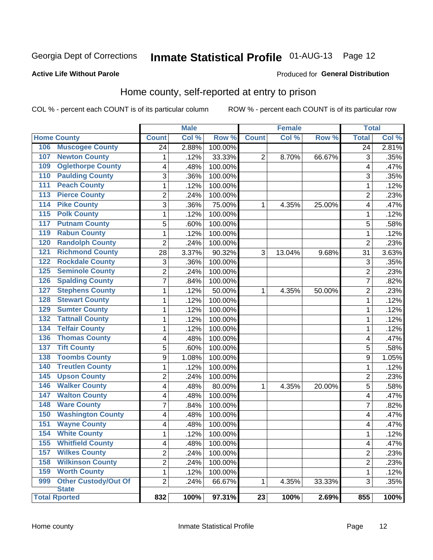# Inmate Statistical Profile 01-AUG-13 Page 12

#### **Active Life Without Parole**

### **Produced for General Distribution**

### Home county, self-reported at entry to prison

COL % - percent each COUNT is of its particular column

|                  |                                             |                          | <b>Male</b> |         |              | <b>Female</b> |        | <b>Total</b>            |       |
|------------------|---------------------------------------------|--------------------------|-------------|---------|--------------|---------------|--------|-------------------------|-------|
|                  | <b>Home County</b>                          | <b>Count</b>             | Col %       | Row %   | <b>Count</b> | Col %         | Row %  | <b>Total</b>            | Col % |
| 106              | <b>Muscogee County</b>                      | 24                       | 2.88%       | 100.00% |              |               |        | 24                      | 2.81% |
| 107              | <b>Newton County</b>                        | 1                        | .12%        | 33.33%  | 2            | 8.70%         | 66.67% | 3                       | .35%  |
| 109              | <b>Oglethorpe County</b>                    | 4                        | .48%        | 100.00% |              |               |        | 4                       | .47%  |
| 110              | <b>Paulding County</b>                      | 3                        | .36%        | 100.00% |              |               |        | 3                       | .35%  |
| 111              | <b>Peach County</b>                         | $\mathbf{1}$             | .12%        | 100.00% |              |               |        | 1                       | .12%  |
| $\overline{113}$ | <b>Pierce County</b>                        | $\overline{2}$           | .24%        | 100.00% |              |               |        | $\overline{2}$          | .23%  |
| 114              | <b>Pike County</b>                          | 3                        | .36%        | 75.00%  | 1            | 4.35%         | 25.00% | 4                       | .47%  |
| $\overline{115}$ | <b>Polk County</b>                          | 1                        | .12%        | 100.00% |              |               |        | 1                       | .12%  |
| 117              | <b>Putnam County</b>                        | 5                        | .60%        | 100.00% |              |               |        | 5                       | .58%  |
| 119              | <b>Rabun County</b>                         | 1                        | .12%        | 100.00% |              |               |        | 1                       | .12%  |
| 120              | <b>Randolph County</b>                      | 2                        | .24%        | 100.00% |              |               |        | 2                       | .23%  |
| 121              | <b>Richmond County</b>                      | 28                       | 3.37%       | 90.32%  | 3            | 13.04%        | 9.68%  | 31                      | 3.63% |
| 122              | <b>Rockdale County</b>                      | 3                        | .36%        | 100.00% |              |               |        | 3                       | .35%  |
| 125              | <b>Seminole County</b>                      | $\overline{2}$           | .24%        | 100.00% |              |               |        | $\overline{2}$          | .23%  |
| 126              | <b>Spalding County</b>                      | $\overline{7}$           | .84%        | 100.00% |              |               |        | 7                       | .82%  |
| 127              | <b>Stephens County</b>                      | 1                        | .12%        | 50.00%  | 1            | 4.35%         | 50.00% | $\overline{2}$          | .23%  |
| 128              | <b>Stewart County</b>                       | 1                        | .12%        | 100.00% |              |               |        | 1                       | .12%  |
| 129              | <b>Sumter County</b>                        | 1                        | .12%        | 100.00% |              |               |        | 1                       | .12%  |
| 132              | <b>Tattnall County</b>                      | 1                        | .12%        | 100.00% |              |               |        | 1                       | .12%  |
| 134              | <b>Telfair County</b>                       | 1                        | .12%        | 100.00% |              |               |        | 1                       | .12%  |
| 136              | <b>Thomas County</b>                        | $\overline{\mathcal{A}}$ | .48%        | 100.00% |              |               |        | 4                       | .47%  |
| 137              | <b>Tift County</b>                          | 5                        | .60%        | 100.00% |              |               |        | 5                       | .58%  |
| 138              | <b>Toombs County</b>                        | 9                        | 1.08%       | 100.00% |              |               |        | 9                       | 1.05% |
| 140              | <b>Treutlen County</b>                      | 1                        | .12%        | 100.00% |              |               |        | 1                       | .12%  |
| 145              | <b>Upson County</b>                         | 2                        | .24%        | 100.00% |              |               |        | 2                       | .23%  |
| 146              | <b>Walker County</b>                        | $\overline{\mathcal{A}}$ | .48%        | 80.00%  | 1            | 4.35%         | 20.00% | 5                       | .58%  |
| 147              | <b>Walton County</b>                        | 4                        | .48%        | 100.00% |              |               |        | 4                       | .47%  |
| 148              | <b>Ware County</b>                          | 7                        | .84%        | 100.00% |              |               |        | 7                       | .82%  |
| 150              | <b>Washington County</b>                    | $\overline{\mathcal{A}}$ | .48%        | 100.00% |              |               |        | 4                       | .47%  |
| 151              | <b>Wayne County</b>                         | 4                        | .48%        | 100.00% |              |               |        | 4                       | .47%  |
| 154              | <b>White County</b>                         | 1                        | .12%        | 100.00% |              |               |        | 1                       | .12%  |
| 155              | <b>Whitfield County</b>                     | $\overline{\mathbf{4}}$  | .48%        | 100.00% |              |               |        | $\overline{\mathbf{4}}$ | .47%  |
| 157              | <b>Wilkes County</b>                        | $\overline{2}$           | .24%        | 100.00% |              |               |        | 2                       | .23%  |
| 158              | <b>Wilkinson County</b>                     | $\overline{2}$           | .24%        | 100.00% |              |               |        | $\overline{2}$          | .23%  |
| 159              | <b>Worth County</b>                         | $\mathbf 1$              | .12%        | 100.00% |              |               |        | 1                       | .12%  |
| 999              | <b>Other Custody/Out Of</b><br><b>State</b> | $\overline{2}$           | .24%        | 66.67%  | 1            | 4.35%         | 33.33% | 3                       | .35%  |
|                  | <b>Total Rported</b>                        | 832                      | 100%        | 97.31%  | 23           | 100%          | 2.69%  | 855                     | 100%  |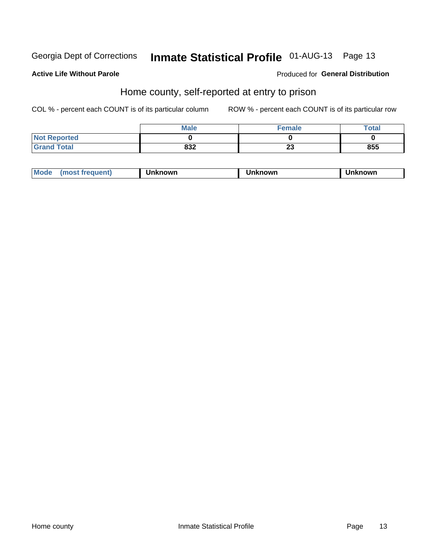# Inmate Statistical Profile 01-AUG-13 Page 13

### **Active Life Without Parole**

### **Produced for General Distribution**

### Home county, self-reported at entry to prison

COL % - percent each COUNT is of its particular column

|                     | <b>Male</b> | <b>Female</b> | Total |
|---------------------|-------------|---------------|-------|
| <b>Not Reported</b> |             |               |       |
| <b>Grand Total</b>  | 832         | nn.<br>Lυ     | 855   |

| <b>Moa</b><br>nown | owr | nowr |
|--------------------|-----|------|
|--------------------|-----|------|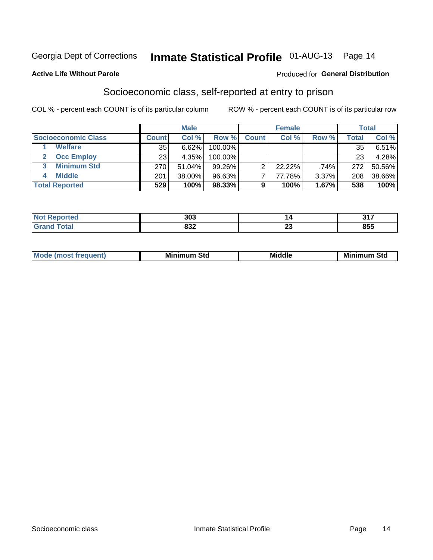### Inmate Statistical Profile 01-AUG-13 Page 14

#### **Active Life Without Parole**

#### Produced for General Distribution

### Socioeconomic class, self-reported at entry to prison

COL % - percent each COUNT is of its particular column

|                       |              | <b>Male</b> |         |              | <b>Female</b> |       |        | <b>Total</b> |
|-----------------------|--------------|-------------|---------|--------------|---------------|-------|--------|--------------|
| Socioeconomic Class   | <b>Count</b> | Col %       | Row %   | <b>Count</b> | Col %         | Row % | Total, | Col %        |
| <b>Welfare</b>        | 35           | 6.62%       | 100.00% |              |               |       | 35     | $6.51\%$     |
| <b>Occ Employ</b>     | 23           | 4.35%       | 100.00% |              |               |       | 23     | 4.28%        |
| <b>Minimum Std</b>    | 270          | 51.04%      | 99.26%  | ⌒            | $22.22\%$     | .74%  | 272    | 50.56%       |
| <b>Middle</b>         | 201          | 38.00%      | 96.63%  |              | 77.78%        | 3.37% | 208    | 38.66%       |
| <b>Total Reported</b> | 529          | 100%        | 98.33%  |              | 100%          | 1.67% | 538    | 100%         |

| тес | 303 |          | 247<br>. .<br>. |
|-----|-----|----------|-----------------|
|     | ດາາ | $\sim$   | OEE             |
|     | o∍∠ | <u>r</u> | cco             |

|  | Mo | Minin<br>Std<br>$- - - -$ | <b>Middle</b> | Min<br>Std<br>. |
|--|----|---------------------------|---------------|-----------------|
|--|----|---------------------------|---------------|-----------------|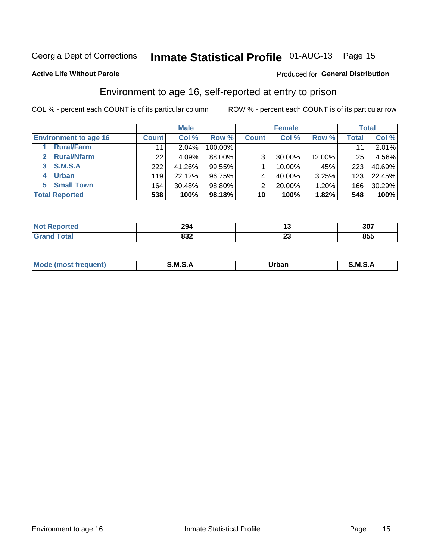### Inmate Statistical Profile 01-AUG-13 Page 15

### **Active Life Without Parole**

#### Produced for General Distribution

### Environment to age 16, self-reported at entry to prison

COL % - percent each COUNT is of its particular column

|                                    |                 | <b>Male</b> |         |              | <b>Female</b> |        |              | <b>Total</b> |
|------------------------------------|-----------------|-------------|---------|--------------|---------------|--------|--------------|--------------|
| <b>Environment to age 16</b>       | <b>Count</b>    | Col %       | Row %   | <b>Count</b> | Col %         | Row %  | <b>Total</b> | Col %        |
| <b>Rural/Farm</b>                  | 11              | $2.04\%$    | 100.00% |              |               |        |              | 2.01%        |
| <b>Rural/Nfarm</b><br>$\mathbf{2}$ | 22 <sub>1</sub> | 4.09%       | 88.00%  | 3            | 30.00%        | 12.00% | 25           | 4.56%        |
| S.M.S.A<br>3                       | 222             | 41.26%      | 99.55%  |              | 10.00%        | .45%   | 223          | 40.69%       |
| <b>Urban</b><br>4                  | 119             | 22.12%      | 96.75%  |              | 40.00%        | 3.25%  | 123          | 22.45%       |
| 5 Small Town                       | 164             | 30.48%      | 98.80%  | っ            | 20.00%        | 1.20%  | 166          | 30.29%       |
| <b>Total Reported</b>              | 538             | 100%        | 98.18%  | 10           | 100%          | 1.82%  | 548          | 100%         |

| rted | 294         | יי      | 307 |
|------|-------------|---------|-----|
|      | nn n<br>OJZ | ^^<br>∼ | 855 |

| $Mc$ | M | <b>Jrhan</b> | M.     |
|------|---|--------------|--------|
|      |   | _____        | ______ |
|      |   |              |        |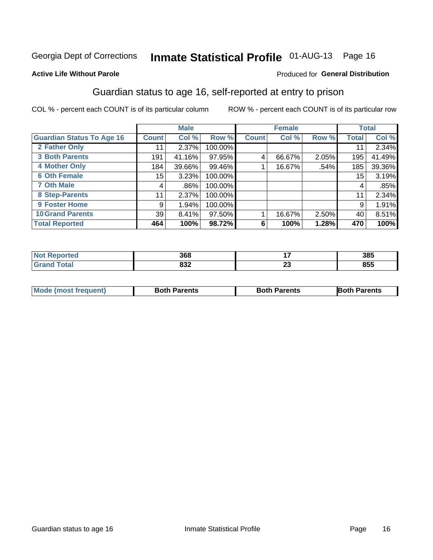# Inmate Statistical Profile 01-AUG-13 Page 16

#### **Active Life Without Parole**

#### Produced for General Distribution

### Guardian status to age 16, self-reported at entry to prison

COL % - percent each COUNT is of its particular column

|                                  |                  | <b>Male</b> |         |              | <b>Female</b> |       |              | <b>Total</b> |
|----------------------------------|------------------|-------------|---------|--------------|---------------|-------|--------------|--------------|
| <b>Guardian Status To Age 16</b> | <b>Count</b>     | Col %       | Row %   | <b>Count</b> | Col %         | Row % | <b>Total</b> | Col %        |
| 2 Father Only                    | 11               | $2.37\%$    | 100.00% |              |               |       | 11           | 2.34%        |
| <b>3 Both Parents</b>            | 191              | 41.16%      | 97.95%  | 4            | 66.67%        | 2.05% | 195          | 41.49%       |
| 4 Mother Only                    | 184              | 39.66%      | 99.46%  |              | 16.67%        | .54%  | 185          | 39.36%       |
| <b>6 Oth Female</b>              | 15 <sub>15</sub> | 3.23%       | 100.00% |              |               |       | 15           | 3.19%        |
| <b>7 Oth Male</b>                | 4                | .86%        | 100.00% |              |               |       | 4            | .85%         |
| 8 Step-Parents                   | 11               | 2.37%       | 100.00% |              |               |       | 11           | 2.34%        |
| <b>9 Foster Home</b>             | 9                | 1.94%       | 100.00% |              |               |       | 9            | 1.91%        |
| <b>10 Grand Parents</b>          | 39               | 8.41%       | 97.50%  |              | 16.67%        | 2.50% | 40           | 8.51%        |
| <b>Total Reported</b>            | 464              | 100%        | 98.72%  | 6            | 100%          | 1.28% | 470          | 100%         |

| ted | sco<br>30C        |          | 385 |
|-----|-------------------|----------|-----|
|     | <b>000</b><br>∠טט | ~~<br>Δv | 855 |

| <b>Mode (most frequent)</b> | <b>Both Parents</b> | <b>Both Parents</b> | <b>Both Parents</b> |
|-----------------------------|---------------------|---------------------|---------------------|
|                             |                     |                     |                     |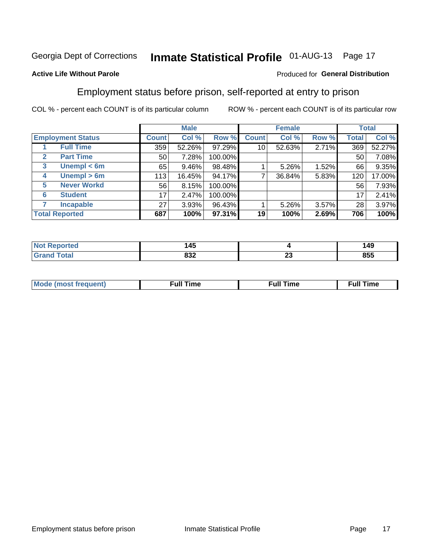# Inmate Statistical Profile 01-AUG-13 Page 17

### **Active Life Without Parole**

#### Produced for General Distribution

### Employment status before prison, self-reported at entry to prison

COL % - percent each COUNT is of its particular column

|                                  |              | <b>Male</b> |         |              | <b>Female</b> |       |       | <b>Total</b> |
|----------------------------------|--------------|-------------|---------|--------------|---------------|-------|-------|--------------|
| <b>Employment Status</b>         | <b>Count</b> | Col %       | Row %   | <b>Count</b> | Col %         | Row % | Total | Col %        |
| <b>Full Time</b>                 | 359          | 52.26%      | 97.29%  | 10           | 52.63%        | 2.71% | 369   | 52.27%       |
| <b>Part Time</b><br>$\mathbf{2}$ | 50           | 7.28%       | 100.00% |              |               |       | 50    | 7.08%        |
| Unempl $<$ 6m<br>3               | 65           | 9.46%       | 98.48%  |              | 5.26%         | 1.52% | 66    | 9.35%        |
| Unempl > 6m<br>4                 | 113          | 16.45%      | 94.17%  | ⇁            | 36.84%        | 5.83% | 120   | 17.00%       |
| <b>Never Workd</b><br>5          | 56           | 8.15%       | 100.00% |              |               |       | 56    | 7.93%        |
| <b>Student</b><br>6              | 17           | 2.47%       | 100.00% |              |               |       | 17    | 2.41%        |
| <b>Incapable</b><br>7            | 27           | 3.93%       | 96.43%  |              | $5.26\%$      | 3.57% | 28    | 3.97%        |
| <b>Total Reported</b>            | 687          | 100%        | 97.31%  | 19           | 100%          | 2.69% | 706   | 100%         |

| 14F<br>.<br>$\sim$ |                               | 149 |
|--------------------|-------------------------------|-----|
| oog<br>ഠാ∠         | $\overline{\phantom{a}}$<br>~ | 855 |

| Mc | ∙u∥<br>----<br>ıme | ίuΙ<br>Πmε |
|----|--------------------|------------|
|    |                    |            |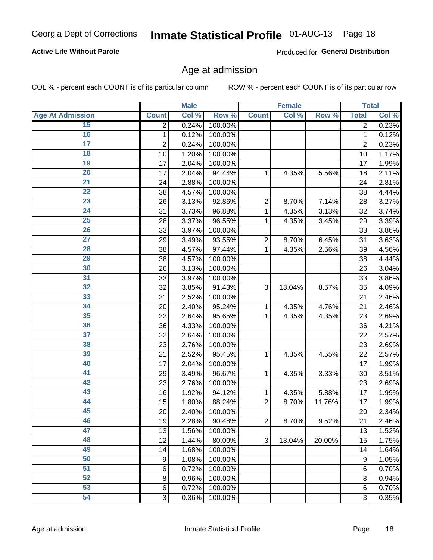# Inmate Statistical Profile 01-AUG-13 Page 18

### **Active Life Without Parole**

Produced for General Distribution

### Age at admission

COL % - percent each COUNT is of its particular column

|                         |                         | <b>Male</b> |         |                | <b>Female</b> |        |                | <b>Total</b> |
|-------------------------|-------------------------|-------------|---------|----------------|---------------|--------|----------------|--------------|
| <b>Age At Admission</b> | <b>Count</b>            | Col %       | Row %   | <b>Count</b>   | Col %         | Row %  | <b>Total</b>   | Col %        |
| 15                      | 2                       | 0.24%       | 100.00% |                |               |        | 2              | 0.23%        |
| 16                      | 1                       | 0.12%       | 100.00% |                |               |        | $\mathbf{1}$   | 0.12%        |
| $\overline{17}$         | $\overline{\mathbf{c}}$ | 0.24%       | 100.00% |                |               |        | $\overline{2}$ | 0.23%        |
| 18                      | 10                      | 1.20%       | 100.00% |                |               |        | 10             | 1.17%        |
| 19                      | 17                      | 2.04%       | 100.00% |                |               |        | 17             | 1.99%        |
| $\overline{20}$         | 17                      | 2.04%       | 94.44%  | 1              | 4.35%         | 5.56%  | 18             | 2.11%        |
| 21                      | 24                      | 2.88%       | 100.00% |                |               |        | 24             | 2.81%        |
| 22                      | 38                      | 4.57%       | 100.00% |                |               |        | 38             | 4.44%        |
| 23                      | 26                      | 3.13%       | 92.86%  | $\overline{2}$ | 8.70%         | 7.14%  | 28             | 3.27%        |
| 24                      | 31                      | 3.73%       | 96.88%  | 1              | 4.35%         | 3.13%  | 32             | 3.74%        |
| $\overline{25}$         | 28                      | 3.37%       | 96.55%  | 1              | 4.35%         | 3.45%  | 29             | 3.39%        |
| 26                      | 33                      | 3.97%       | 100.00% |                |               |        | 33             | 3.86%        |
| $\overline{27}$         | 29                      | 3.49%       | 93.55%  | $\overline{2}$ | 8.70%         | 6.45%  | 31             | 3.63%        |
| 28                      | 38                      | 4.57%       | 97.44%  | 1              | 4.35%         | 2.56%  | 39             | 4.56%        |
| 29                      | 38                      | 4.57%       | 100.00% |                |               |        | 38             | 4.44%        |
| 30                      | 26                      | 3.13%       | 100.00% |                |               |        | 26             | 3.04%        |
| 31                      | 33                      | 3.97%       | 100.00% |                |               |        | 33             | 3.86%        |
| 32                      | 32                      | 3.85%       | 91.43%  | 3              | 13.04%        | 8.57%  | 35             | 4.09%        |
| 33                      | 21                      | 2.52%       | 100.00% |                |               |        | 21             | 2.46%        |
| 34                      | 20                      | 2.40%       | 95.24%  | 1              | 4.35%         | 4.76%  | 21             | 2.46%        |
| 35                      | 22                      | 2.64%       | 95.65%  | 1              | 4.35%         | 4.35%  | 23             | 2.69%        |
| 36                      | 36                      | 4.33%       | 100.00% |                |               |        | 36             | 4.21%        |
| $\overline{37}$         | 22                      | 2.64%       | 100.00% |                |               |        | 22             | 2.57%        |
| 38                      | 23                      | 2.76%       | 100.00% |                |               |        | 23             | 2.69%        |
| 39                      | 21                      | 2.52%       | 95.45%  | 1              | 4.35%         | 4.55%  | 22             | 2.57%        |
| 40                      | 17                      | 2.04%       | 100.00% |                |               |        | 17             | 1.99%        |
| 41                      | 29                      | 3.49%       | 96.67%  | 1              | 4.35%         | 3.33%  | 30             | 3.51%        |
| 42                      | 23                      | 2.76%       | 100.00% |                |               |        | 23             | 2.69%        |
| 43                      | 16                      | 1.92%       | 94.12%  | 1              | 4.35%         | 5.88%  | 17             | 1.99%        |
| 44                      | 15                      | 1.80%       | 88.24%  | $\overline{2}$ | 8.70%         | 11.76% | 17             | 1.99%        |
| 45                      | 20                      | 2.40%       | 100.00% |                |               |        | 20             | 2.34%        |
| 46                      | 19                      | 2.28%       | 90.48%  | $\overline{2}$ | 8.70%         | 9.52%  | 21             | 2.46%        |
| 47                      | 13                      | 1.56%       | 100.00% |                |               |        | 13             | 1.52%        |
| 48                      | 12                      | 1.44%       | 80.00%  | 3              | 13.04%        | 20.00% | 15             | 1.75%        |
| 49                      | 14                      | 1.68%       | 100.00% |                |               |        | 14             | 1.64%        |
| 50                      | 9                       | 1.08%       | 100.00% |                |               |        | 9              | 1.05%        |
| $\overline{51}$         | $6\phantom{1}6$         | 0.72%       | 100.00% |                |               |        | 6              | 0.70%        |
| 52                      | 8                       | 0.96%       | 100.00% |                |               |        | 8              | 0.94%        |
| 53                      | $6\phantom{1}6$         | 0.72%       | 100.00% |                |               |        | 6              | 0.70%        |
| 54                      | 3                       | 0.36%       | 100.00% |                |               |        | 3              | 0.35%        |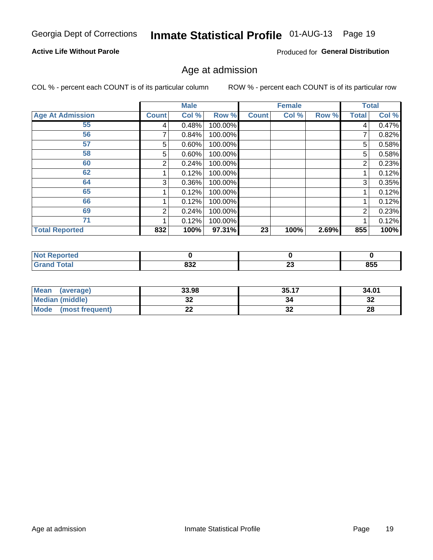# Inmate Statistical Profile 01-AUG-13 Page 19

### **Active Life Without Parole**

Produced for General Distribution

### Age at admission

COL % - percent each COUNT is of its particular column

|                         |              | <b>Male</b> |         |              | <b>Female</b> |       |       | <b>Total</b> |
|-------------------------|--------------|-------------|---------|--------------|---------------|-------|-------|--------------|
| <b>Age At Admission</b> | <b>Count</b> | Col %       | Row %   | <b>Count</b> | Col %         | Row % | Total | Col %        |
| 55                      | 4            | 0.48%       | 100.00% |              |               |       | 4     | 0.47%        |
| 56                      |              | 0.84%       | 100.00% |              |               |       | 7     | 0.82%        |
| 57                      | 5            | 0.60%       | 100.00% |              |               |       | 5     | 0.58%        |
| 58                      | 5            | 0.60%       | 100.00% |              |               |       | 5     | 0.58%        |
| 60                      | 2            | 0.24%       | 100.00% |              |               |       | 2     | 0.23%        |
| 62                      |              | 0.12%       | 100.00% |              |               |       |       | 0.12%        |
| 64                      | 3            | 0.36%       | 100.00% |              |               |       | 3     | 0.35%        |
| 65                      |              | 0.12%       | 100.00% |              |               |       |       | 0.12%        |
| 66                      |              | 0.12%       | 100.00% |              |               |       |       | 0.12%        |
| 69                      | 2            | 0.24%       | 100.00% |              |               |       | 2     | 0.23%        |
| 71                      |              | 0.12%       | 100.00% |              |               |       |       | 0.12%        |
| <b>Total Reported</b>   | 832          | 100%        | 97.31%  | 23           | 100%          | 2.69% | 855   | 100%         |

| <b>Not Reported</b> |            |          |     |
|---------------------|------------|----------|-----|
| <b>Total</b>        | 000<br>OJZ | n.<br>-- | 855 |

| <b>Mean</b><br>(average)       | 33.98   | 35.17    | 34.01    |
|--------------------------------|---------|----------|----------|
| <b>Median (middle)</b>         | ົ<br>JŁ | 34       | ົາ<br>⊾ت |
| <b>Mode</b><br>(most frequent) | --      | ^^<br>◡▵ | 28       |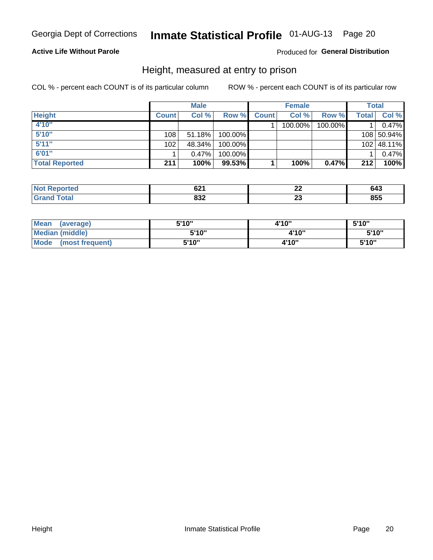# Inmate Statistical Profile 01-AUG-13 Page 20

### **Active Life Without Parole**

### Produced for General Distribution

### Height, measured at entry to prison

COL % - percent each COUNT is of its particular column

|                       |                  | <b>Male</b> |         |              | <b>Female</b> |         |       | Total      |
|-----------------------|------------------|-------------|---------|--------------|---------------|---------|-------|------------|
| <b>Height</b>         | <b>Count</b>     | Col %       | Row %   | <b>Count</b> | Col %         | Row %   | Total | Col %      |
| 4'10"                 |                  |             |         |              | 100.00%       | 100.00% |       | 0.47%      |
| 5'10''                | 108              | 51.18%      | 100.00% |              |               |         |       | 108 50.94% |
| 5'11''                | 102 <sub>1</sub> | 48.34%      | 100.00% |              |               |         |       | 102 48.11% |
| 6'01''                |                  | $0.47\%$    | 100.00% |              |               |         |       | 0.47%      |
| <b>Total Reported</b> | 211              | 100%        | 99.53%  |              | 100%          | 0.47%   | 212   | 100%       |

| <b>Not</b><br><b>rted</b><br>reno, | cn4<br>UZ I | --  | 643 |
|------------------------------------|-------------|-----|-----|
| Total                              | ooo         | - - | 855 |
| ' Grano                            | אטס         | ∼   |     |

| Mean<br>(average)              | 5'10" | 4'10" | 5'10"  |
|--------------------------------|-------|-------|--------|
| Median (middle)                | 5'10" | 4'10" | 5'10'' |
| <b>Mode</b><br>(most frequent) | 5'10" | 4'10" | 5'10"  |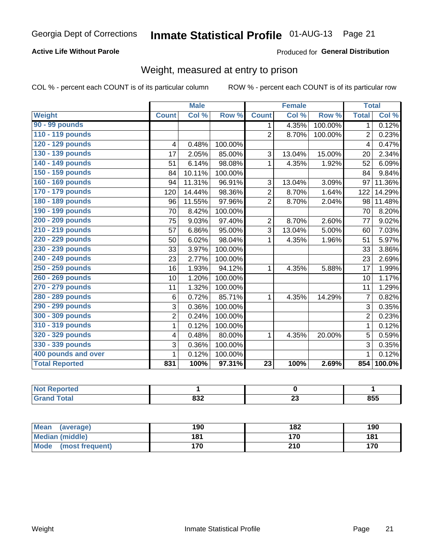# Inmate Statistical Profile 01-AUG-13 Page 21

### **Active Life Without Parole**

Produced for General Distribution

### Weight, measured at entry to prison

COL % - percent each COUNT is of its particular column

|                       |                | <b>Male</b> |         |                 | <b>Female</b> |         |                | <b>Total</b> |
|-----------------------|----------------|-------------|---------|-----------------|---------------|---------|----------------|--------------|
| <b>Weight</b>         | <b>Count</b>   | Col %       | Row %   | <b>Count</b>    | Col %         | Row %   | <b>Total</b>   | Col %        |
| 90 - 99 pounds        |                |             |         | 1               | 4.35%         | 100.00% | 1 <sup>1</sup> | 0.12%        |
| 110 - 119 pounds      |                |             |         | $\overline{2}$  | 8.70%         | 100.00% | $\overline{2}$ | 0.23%        |
| 120 - 129 pounds      | 4              | 0.48%       | 100.00% |                 |               |         | 4              | 0.47%        |
| 130 - 139 pounds      | 17             | 2.05%       | 85.00%  | 3               | 13.04%        | 15.00%  | 20             | 2.34%        |
| 140 - 149 pounds      | 51             | 6.14%       | 98.08%  | 1               | 4.35%         | 1.92%   | 52             | 6.09%        |
| 150 - 159 pounds      | 84             | 10.11%      | 100.00% |                 |               |         | 84             | 9.84%        |
| 160 - 169 pounds      | 94             | 11.31%      | 96.91%  | 3               | 13.04%        | 3.09%   | 97             | 11.36%       |
| 170 - 179 pounds      | 120            | 14.44%      | 98.36%  | $\overline{2}$  | 8.70%         | 1.64%   | 122            | 14.29%       |
| 180 - 189 pounds      | 96             | 11.55%      | 97.96%  | $\overline{2}$  | 8.70%         | 2.04%   | 98             | 11.48%       |
| 190 - 199 pounds      | 70             | 8.42%       | 100.00% |                 |               |         | 70             | 8.20%        |
| 200 - 209 pounds      | 75             | 9.03%       | 97.40%  | 2               | 8.70%         | 2.60%   | 77             | 9.02%        |
| 210 - 219 pounds      | 57             | 6.86%       | 95.00%  | 3               | 13.04%        | 5.00%   | 60             | 7.03%        |
| 220 - 229 pounds      | 50             | 6.02%       | 98.04%  | 1               | 4.35%         | 1.96%   | 51             | 5.97%        |
| 230 - 239 pounds      | 33             | 3.97%       | 100.00% |                 |               |         | 33             | 3.86%        |
| 240 - 249 pounds      | 23             | 2.77%       | 100.00% |                 |               |         | 23             | 2.69%        |
| 250 - 259 pounds      | 16             | 1.93%       | 94.12%  | 1               | 4.35%         | 5.88%   | 17             | 1.99%        |
| 260 - 269 pounds      | 10             | 1.20%       | 100.00% |                 |               |         | 10             | 1.17%        |
| 270 - 279 pounds      | 11             | 1.32%       | 100.00% |                 |               |         | 11             | 1.29%        |
| 280 - 289 pounds      | 6              | 0.72%       | 85.71%  | 1               | 4.35%         | 14.29%  | $\overline{7}$ | 0.82%        |
| 290 - 299 pounds      | 3              | 0.36%       | 100.00% |                 |               |         | 3              | 0.35%        |
| 300 - 309 pounds      | $\overline{2}$ | 0.24%       | 100.00% |                 |               |         | $\overline{2}$ | 0.23%        |
| 310 - 319 pounds      | 1              | 0.12%       | 100.00% |                 |               |         | $\mathbf{1}$   | 0.12%        |
| 320 - 329 pounds      | 4              | 0.48%       | 80.00%  | 1               | 4.35%         | 20.00%  | 5              | 0.59%        |
| 330 - 339 pounds      | 3              | 0.36%       | 100.00% |                 |               |         | 3              | 0.35%        |
| 400 pounds and over   | 1              | 0.12%       | 100.00% |                 |               |         | $\mathbf{1}$   | 0.12%        |
| <b>Total Reported</b> | 831            | 100%        | 97.31%  | $\overline{23}$ | 100%          | 2.69%   | 854            | $100.0\%$    |

| тео |                   |                                |     |
|-----|-------------------|--------------------------------|-----|
|     | nnn<br><b>OJZ</b> | n.<br>$\overline{\phantom{a}}$ | 855 |

| Mean (average)                 | 190 | 182 | 190 |
|--------------------------------|-----|-----|-----|
| Median (middle)                | 181 | 170 | 181 |
| <b>Mode</b><br>(most frequent) | 170 | 210 | 170 |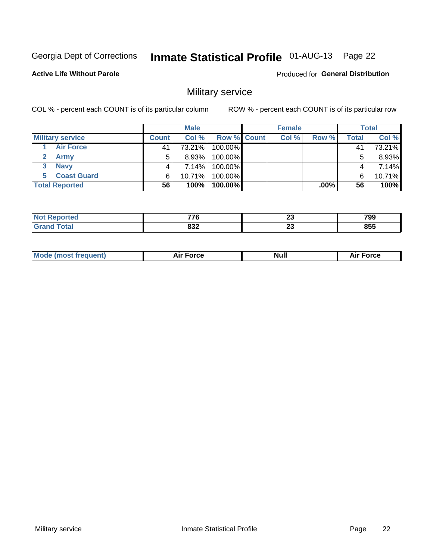# Inmate Statistical Profile 01-AUG-13 Page 22

**Active Life Without Parole** 

**Produced for General Distribution** 

### Military service

COL % - percent each COUNT is of its particular column

|                         |              | <b>Male</b> |                    | <b>Female</b> |        |       | <b>Total</b> |
|-------------------------|--------------|-------------|--------------------|---------------|--------|-------|--------------|
| <b>Military service</b> | <b>Count</b> | Col%        | <b>Row % Count</b> | Col %         | Row %  | Total | Col %        |
| <b>Air Force</b>        | 41           | 73.21%      | 100.00%            |               |        | 41    | 73.21%       |
| <b>Army</b>             |              | $8.93\%$    | 100.00%            |               |        | 5     | 8.93%        |
| <b>Navy</b>             |              | 7.14%       | 100.00%            |               |        | 4     | 7.14%        |
| <b>Coast Guard</b>      | 6.           | $10.71\%$   | 100.00%            |               |        | 6     | 10.71%       |
| <b>Total Reported</b>   | 56           | 100%        | 100.00%            |               | .00% l | 56    | 100%         |

| ---        | n.<br><u>_</u> | 799 |
|------------|----------------|-----|
| ດລາ<br>99Z | -<br>ZJ        | 855 |

| <b>Mode (most frequent)</b> | <b>Force</b><br>ыı | Null | ™orce<br>AI. |
|-----------------------------|--------------------|------|--------------|
|                             |                    |      |              |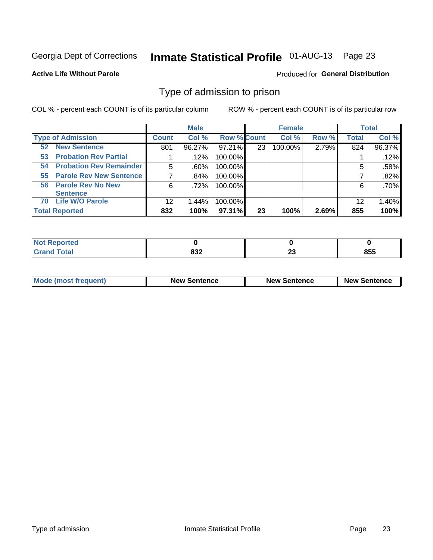# Inmate Statistical Profile 01-AUG-13 Page 23

#### **Active Life Without Parole**

#### Produced for General Distribution

### Type of admission to prison

COL % - percent each COUNT is of its particular column

|                                      |         | <b>Male</b> |                    |    | <b>Female</b> |       |              | <b>Total</b> |
|--------------------------------------|---------|-------------|--------------------|----|---------------|-------|--------------|--------------|
| <b>Type of Admission</b>             | Count l | Col %       | <b>Row % Count</b> |    | Col %         | Row % | <b>Total</b> | Col %        |
| <b>New Sentence</b><br>52            | 801     | 96.27%      | 97.21%             | 23 | 100.00%       | 2.79% | 824          | 96.37%       |
| <b>Probation Rev Partial</b><br>53   |         | .12%        | 100.00%            |    |               |       |              | .12%         |
| <b>Probation Rev Remainder</b><br>54 | 5       | $.60\%$     | 100.00%            |    |               |       | 5            | .58%         |
| <b>Parole Rev New Sentence</b><br>55 |         | ا 84%.      | 100.00%            |    |               |       |              | .82%         |
| <b>Parole Rev No New</b><br>56       | 6       | .72%        | 100.00%            |    |               |       | 6            | .70%         |
| <b>Sentence</b>                      |         |             |                    |    |               |       |              |              |
| <b>Life W/O Parole</b><br>70         | 12      | 1.44%       | 100.00%            |    |               |       | 12           | 1.40%        |
| <b>Total Reported</b>                | 832     | 100%        | 97.31%             | 23 | 100%          | 2.69% | 855          | 100%         |

| Reported<br><b>NOT</b> |    |        |     |
|------------------------|----|--------|-----|
| <b>Fotal</b>           | שט | ~<br>~ | 855 |

| <b>Mode (most frequent)</b> | <b>New Sentence</b> | <b>New Sentence</b> | <b>New Sentence</b> |
|-----------------------------|---------------------|---------------------|---------------------|
|                             |                     |                     |                     |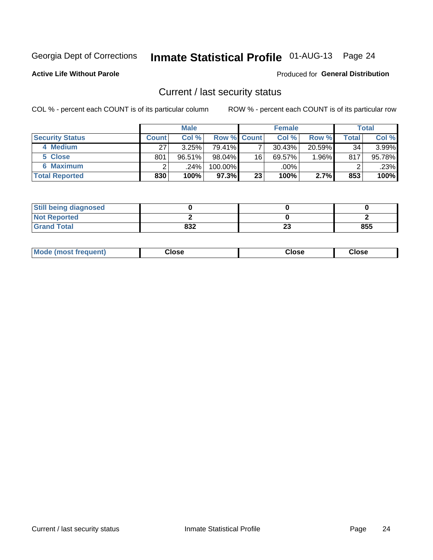# Inmate Statistical Profile 01-AUG-13 Page 24

**Active Life Without Parole** 

#### Produced for General Distribution

### Current / last security status

COL % - percent each COUNT is of its particular column

|                        |         | <b>Male</b> |                    |    | <b>Female</b> |           |       | <b>Total</b> |
|------------------------|---------|-------------|--------------------|----|---------------|-----------|-------|--------------|
| <b>Security Status</b> | Count l | Col %       | <b>Row % Count</b> |    | Col %         | Row %     | Total | Col %        |
| 4 Medium               | 27      | 3.25%       | 79.41%             |    | 30.43%        | $20.59\%$ | 34    | 3.99%        |
| 5 Close                | 801     | 96.51%      | $98.04\%$          | 16 | 69.57%        | $.96\%$   | 817   | 95.78%       |
| 6 Maximum              |         | .24%        | 100.00%            |    | .00%          |           | ⌒     | .23%         |
| <b>Total Reported</b>  | 830     | 100%        | 97.3%              | 23 | 100%          | 2.7%      | 853   | 100%         |

| <b>Still being diagnosed</b> |     |              |     |
|------------------------------|-----|--------------|-----|
| <b>Not Reported</b>          |     |              |     |
| <b>Grand Total</b>           | 832 | $\sim$<br>20 | 855 |

| Mode (most frequent) | Close | Close | <b>Close</b> |
|----------------------|-------|-------|--------------|
|                      |       |       |              |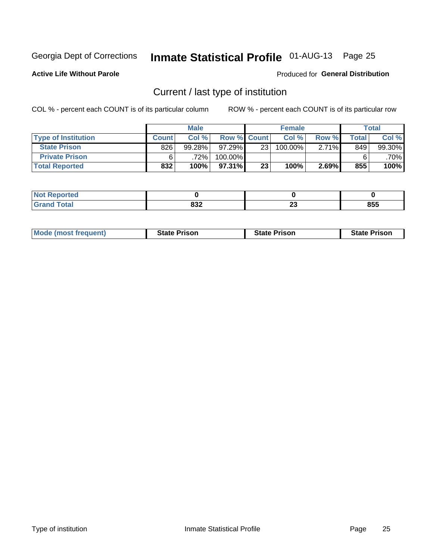# Inmate Statistical Profile 01-AUG-13 Page 25

**Active Life Without Parole** 

#### Produced for General Distribution

### Current / last type of institution

COL % - percent each COUNT is of its particular column

|                            |              | <b>Male</b> |                    |    | <b>Female</b> |          |       | <b>Total</b> |
|----------------------------|--------------|-------------|--------------------|----|---------------|----------|-------|--------------|
| <b>Type of Institution</b> | <b>Count</b> | Col %       | <b>Row % Count</b> |    | Col %         | Row %    | Total | Col %        |
| <b>State Prison</b>        | 826          | $99.28\%$   | $97.29\%$          | 23 | $100.00\%$    | $2.71\%$ | 849   | 99.30%       |
| <b>Private Prison</b>      |              | 72%         | 100.00%            |    |               |          |       | $.70\%$      |
| <b>Total Reported</b>      | 832          | 100%        | 97.31%             | 23 | 100%          | 2.69%    | 855   | 100%         |

| ---<br>rtea |     |    |     |
|-------------|-----|----|-----|
|             | 022 | ^^ | OEE |
|             | ഠാ∠ | ~  | ວວະ |

| <b>Mode (most frequent)</b> | <b>State Prison</b> | <b>State Prison</b> | <b>State Prison</b> |
|-----------------------------|---------------------|---------------------|---------------------|
|                             |                     |                     |                     |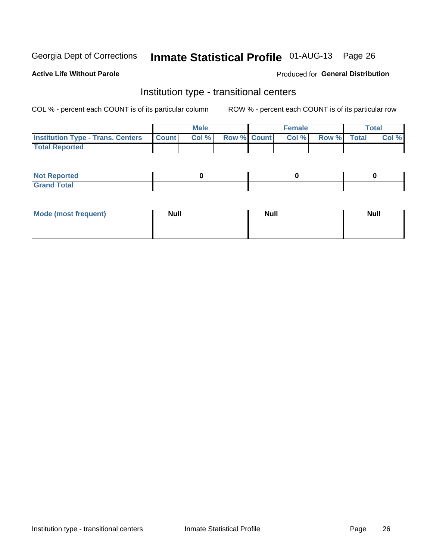# Inmate Statistical Profile 01-AUG-13 Page 26

#### **Active Life Without Parole**

#### Produced for General Distribution

### Institution type - transitional centers

COL % - percent each COUNT is of its particular column

|                                                | <b>Male</b> |                          | <b>Female</b> |             | Total |
|------------------------------------------------|-------------|--------------------------|---------------|-------------|-------|
| <b>Institution Type - Trans. Centers Count</b> |             | <b>Col %</b> Row % Count | Col %         | Row % Total | Col % |
| <b>Total Reported</b>                          |             |                          |               |             |       |

| <b>Reported</b><br><b>NOT</b><br>$\sim$            |  |  |
|----------------------------------------------------|--|--|
| $f$ $f \circ f \circ f$<br>$C = 1$<br><b>TULAI</b> |  |  |

| Mode (most frequent) | <b>Null</b> | <b>Null</b> | <b>Null</b> |
|----------------------|-------------|-------------|-------------|
|                      |             |             |             |
|                      |             |             |             |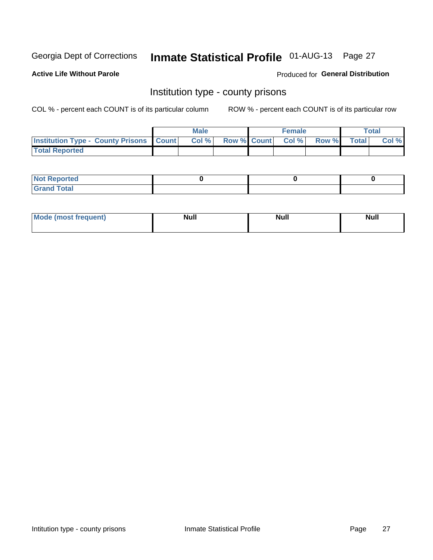# Inmate Statistical Profile 01-AUG-13 Page 27

**Active Life Without Parole** 

Produced for General Distribution

### Institution type - county prisons

COL % - percent each COUNT is of its particular column

|                                                    | <b>Male</b> |  | <b>Female</b>            |             | <b>Total</b> |
|----------------------------------------------------|-------------|--|--------------------------|-------------|--------------|
| <b>Institution Type - County Prisons   Count  </b> | Col %       |  | <b>Row % Count Col %</b> | Row % Total | Col %        |
| <b>Total Reported</b>                              |             |  |                          |             |              |

| <b>Not Reported</b>         |  |  |
|-----------------------------|--|--|
| <b>Total</b><br>-<br>______ |  |  |

| <b>Mode</b>      | <b>Null</b> | <b>Null</b> | <b>Null</b> |
|------------------|-------------|-------------|-------------|
| (most freauent). |             |             |             |
|                  |             |             |             |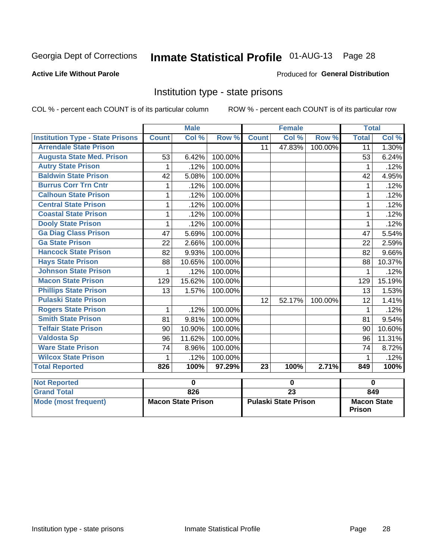# Inmate Statistical Profile 01-AUG-13 Page 28

### **Active Life Without Parole**

#### Produced for General Distribution

### Institution type - state prisons

COL % - percent each COUNT is of its particular column

|                                         |              | <b>Male</b> |         |              | <b>Female</b> |         | <b>Total</b> |          |
|-----------------------------------------|--------------|-------------|---------|--------------|---------------|---------|--------------|----------|
| <b>Institution Type - State Prisons</b> | <b>Count</b> | Col %       | Row %   | <b>Count</b> | Col %         | Row %   | <b>Total</b> | Col %    |
| <b>Arrendale State Prison</b>           |              |             |         | 11           | 47.83%        | 100.00% | 11           | $1.30\%$ |
| <b>Augusta State Med. Prison</b>        | 53           | 6.42%       | 100.00% |              |               |         | 53           | 6.24%    |
| <b>Autry State Prison</b>               | 1            | .12%        | 100.00% |              |               |         | 1            | .12%     |
| <b>Baldwin State Prison</b>             | 42           | 5.08%       | 100.00% |              |               |         | 42           | 4.95%    |
| <b>Burrus Corr Trn Cntr</b>             | 1            | .12%        | 100.00% |              |               |         | 1            | .12%     |
| <b>Calhoun State Prison</b>             |              | .12%        | 100.00% |              |               |         |              | .12%     |
| <b>Central State Prison</b>             | 1            | .12%        | 100.00% |              |               |         | 1            | .12%     |
| <b>Coastal State Prison</b>             | 1            | .12%        | 100.00% |              |               |         | 1            | .12%     |
| <b>Dooly State Prison</b>               | 1            | .12%        | 100.00% |              |               |         | 1            | .12%     |
| <b>Ga Diag Class Prison</b>             | 47           | 5.69%       | 100.00% |              |               |         | 47           | 5.54%    |
| <b>Ga State Prison</b>                  | 22           | 2.66%       | 100.00% |              |               |         | 22           | 2.59%    |
| <b>Hancock State Prison</b>             | 82           | 9.93%       | 100.00% |              |               |         | 82           | 9.66%    |
| <b>Hays State Prison</b>                | 88           | 10.65%      | 100.00% |              |               |         | 88           | 10.37%   |
| <b>Johnson State Prison</b>             | 1            | .12%        | 100.00% |              |               |         | 1            | .12%     |
| <b>Macon State Prison</b>               | 129          | 15.62%      | 100.00% |              |               |         | 129          | 15.19%   |
| <b>Phillips State Prison</b>            | 13           | 1.57%       | 100.00% |              |               |         | 13           | 1.53%    |
| <b>Pulaski State Prison</b>             |              |             |         | 12           | 52.17%        | 100.00% | 12           | 1.41%    |
| <b>Rogers State Prison</b>              | 1            | .12%        | 100.00% |              |               |         | 1            | .12%     |
| <b>Smith State Prison</b>               | 81           | 9.81%       | 100.00% |              |               |         | 81           | 9.54%    |
| <b>Telfair State Prison</b>             | 90           | 10.90%      | 100.00% |              |               |         | 90           | 10.60%   |
| <b>Valdosta Sp</b>                      | 96           | 11.62%      | 100.00% |              |               |         | 96           | 11.31%   |
| <b>Ware State Prison</b>                | 74           | 8.96%       | 100.00% |              |               |         | 74           | 8.72%    |
| <b>Wilcox State Prison</b>              | 1            | .12%        | 100.00% |              |               |         | 1            | .12%     |
| <b>Total Reported</b>                   | 826          | 100%        | 97.29%  | 23           | 100%          | 2.71%   | 849          | 100%     |
| <b>Not Reported</b>                     |              | 0           |         |              | 0             |         | $\bf{0}$     |          |
| <b>Contract Contract Contract</b>       |              | $\sim$      |         |              | ~~            |         |              |          |

| I NUL REDULIEU.      |                           |                             |                                     |
|----------------------|---------------------------|-----------------------------|-------------------------------------|
| <b>Grand Total</b>   | 826                       |                             | 849                                 |
| Mode (most frequent) | <b>Macon State Prison</b> | <b>Pulaski State Prison</b> | <b>Macon State</b><br><b>Prison</b> |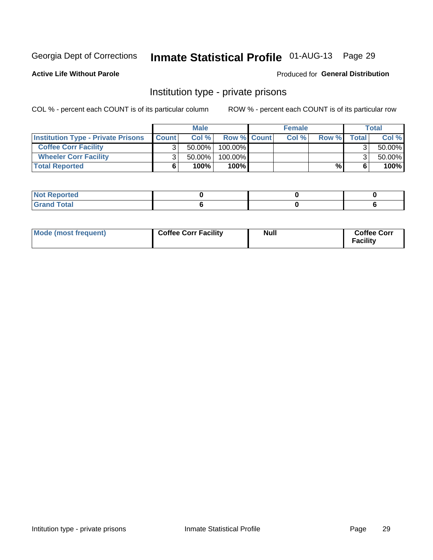# Inmate Statistical Profile 01-AUG-13 Page 29

**Active Life Without Parole** 

#### Produced for General Distribution

### Institution type - private prisons

COL % - percent each COUNT is of its particular column

|                                           |              | <b>Male</b> |                    | <b>Female</b> |       |       | <b>Total</b> |
|-------------------------------------------|--------------|-------------|--------------------|---------------|-------|-------|--------------|
| <b>Institution Type - Private Prisons</b> | <b>Count</b> | Col %       | <b>Row % Count</b> | Col%          | Row % | Total | Col %        |
| <b>Coffee Corr Facility</b>               |              | $50.00\%$   | $100.00\%$         |               |       |       | 50.00%       |
| <b>Wheeler Corr Facility</b>              |              | $50.00\%$   | $100.00\%$         |               |       |       | 50.00%       |
| <b>Total Reported</b>                     |              | 100%        | 100%               |               | %     |       | 100%         |

| <b>Not Reported</b>   |  |  |
|-----------------------|--|--|
| <b>Total</b><br>_____ |  |  |

| Mode (most frequent) | <b>Coffee Corr Facility</b> | <b>Null</b> | <b>Coffee Corr</b><br><b>Facility</b> |
|----------------------|-----------------------------|-------------|---------------------------------------|
|----------------------|-----------------------------|-------------|---------------------------------------|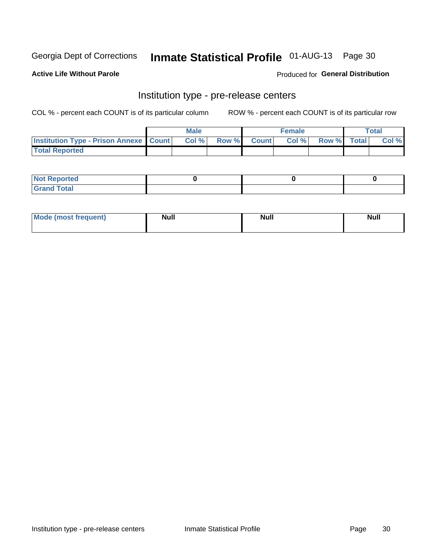# Inmate Statistical Profile 01-AUG-13 Page 30

**Active Life Without Parole** 

**Produced for General Distribution** 

# Institution type - pre-release centers

COL % - percent each COUNT is of its particular column

|                                                   | <b>Male</b> |              |       | <b>Female</b> |                    | <b>Total</b> |
|---------------------------------------------------|-------------|--------------|-------|---------------|--------------------|--------------|
| <b>Institution Type - Prison Annexe   Count  </b> | Col %       | <b>Row %</b> | Count | Col %         | <b>Row %</b> Total | Col %        |
| <b>Total Reported</b>                             |             |              |       |               |                    |              |

| <b>Reported</b><br>I NOT |  |  |
|--------------------------|--|--|
| <b>Total</b><br>$C$ ren  |  |  |

| $^{\circ}$ Mo<br>frequent)<br>⊥(most | <b>Null</b> | Noll<br><b>vull</b> | <b>Null</b> |
|--------------------------------------|-------------|---------------------|-------------|
|                                      |             |                     |             |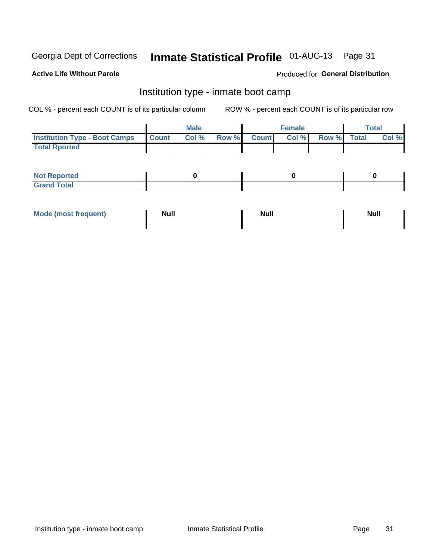# Inmate Statistical Profile 01-AUG-13 Page 31

### **Active Life Without Parole**

### **Produced for General Distribution**

### Institution type - inmate boot camp

COL % - percent each COUNT is of its particular column

|                                      |              | <b>Male</b> |               |              | <b>Female</b> |             | <b>Total</b> |
|--------------------------------------|--------------|-------------|---------------|--------------|---------------|-------------|--------------|
| <b>Institution Type - Boot Camps</b> | <b>Count</b> | Col %       | <b>Row %I</b> | <b>Count</b> | Col %         | Row % Total | Col %        |
| <b>Total Rported</b>                 |              |             |               |              |               |             |              |

| <b>Not Reported</b>            |  |  |
|--------------------------------|--|--|
| <b>Total</b><br>C <sub>r</sub> |  |  |

| <b>I Mode (most frequent)</b> | <b>Null</b> | <b>Null</b> | <b>Null</b> |
|-------------------------------|-------------|-------------|-------------|
|                               |             |             |             |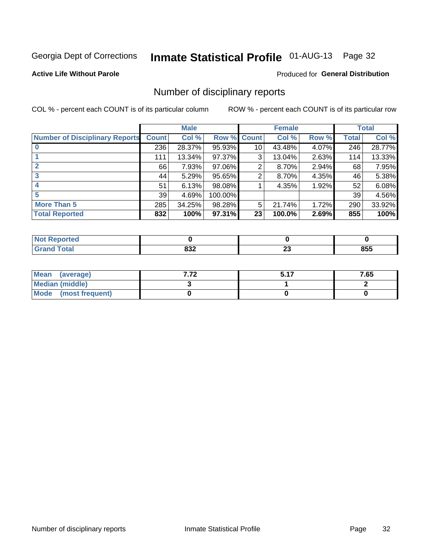# Inmate Statistical Profile 01-AUG-13 Page 32

### **Active Life Without Parole**

#### Produced for General Distribution

### Number of disciplinary reports

COL % - percent each COUNT is of its particular column

|                                       |              | <b>Male</b> |             |    | <b>Female</b> |       |       | <b>Total</b> |
|---------------------------------------|--------------|-------------|-------------|----|---------------|-------|-------|--------------|
| <b>Number of Disciplinary Reports</b> | <b>Count</b> | Col %       | Row % Count |    | Col %         | Row % | Total | Col %        |
|                                       | 236          | 28.37%      | 95.93%      | 10 | 43.48%        | 4.07% | 246   | 28.77%       |
|                                       | 111          | 13.34%      | 97.37%      | 3  | 13.04%        | 2.63% | 114   | 13.33%       |
| $\mathbf{2}$                          | 66           | 7.93%       | 97.06%      | 2  | 8.70%         | 2.94% | 68    | 7.95%        |
| 3                                     | 44           | 5.29%       | 95.65%      | 2  | 8.70%         | 4.35% | 46    | 5.38%        |
|                                       | 51           | 6.13%       | 98.08%      |    | 4.35%         | 1.92% | 52    | 6.08%        |
| 5                                     | 39           | 4.69%       | 100.00%     |    |               |       | 39    | 4.56%        |
| <b>More Than 5</b>                    | 285          | 34.25%      | 98.28%      | 5  | 21.74%        | 1.72% | 290   | 33.92%       |
| <b>Total Reported</b>                 | 832          | 100%        | 97.31%      | 23 | 100.0%        | 2.69% | 855   | 100%         |

| Reported<br>NOT   |            |               |     |
|-------------------|------------|---------------|-----|
| <sup>-</sup> otal | 02c<br>o∍∠ | ~~<br>∼<br>__ | 855 |

| Mean (average)       | E 47 | 7.65 |
|----------------------|------|------|
| Median (middle)      |      |      |
| Mode (most frequent) |      |      |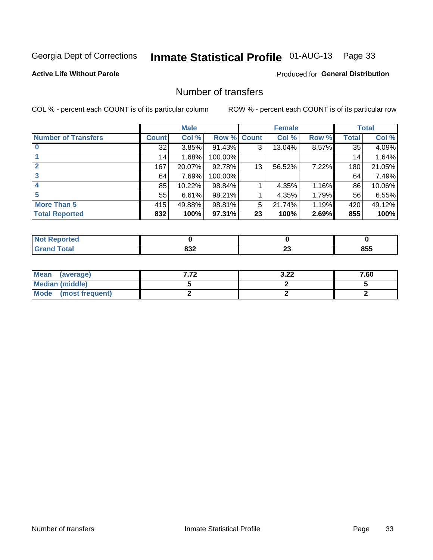# Inmate Statistical Profile 01-AUG-13 Page 33

### **Active Life Without Parole**

### **Produced for General Distribution**

### Number of transfers

COL % - percent each COUNT is of its particular column

|                            | <b>Male</b> |        | <b>Female</b> |              |        | <b>Total</b> |              |        |
|----------------------------|-------------|--------|---------------|--------------|--------|--------------|--------------|--------|
| <b>Number of Transfers</b> | Count l     | Col %  | Row %         | <b>Count</b> | Col %  | Row %        | <b>Total</b> | Col %  |
|                            | 32          | 3.85%  | 91.43%        | 3            | 13.04% | 8.57%        | 35           | 4.09%  |
|                            | 14          | 1.68%  | 100.00%       |              |        |              | 14           | 1.64%  |
|                            | 167         | 20.07% | 92.78%        | 13           | 56.52% | 7.22%        | 180          | 21.05% |
| 3                          | 64          | 7.69%  | 100.00%       |              |        |              | 64           | 7.49%  |
|                            | 85          | 10.22% | 98.84%        |              | 4.35%  | 1.16%        | 86           | 10.06% |
| 5                          | 55          | 6.61%  | 98.21%        |              | 4.35%  | 1.79%        | 56           | 6.55%  |
| <b>More Than 5</b>         | 415         | 49.88% | 98.81%        | 5            | 21.74% | 1.19%        | 420          | 49.12% |
| <b>Total Reported</b>      | 832         | 100%   | 97.31%        | 23           | 100%   | 2.69%        | 855          | 100%   |

| Reported<br>NOT   |            |               |     |
|-------------------|------------|---------------|-----|
| <sup>-</sup> otal | 02c<br>o∍∠ | ~~<br>∼<br>__ | 855 |

| Mean (average)       | ר כ<br>J.LL | 7.60 |
|----------------------|-------------|------|
| Median (middle)      |             |      |
| Mode (most frequent) |             |      |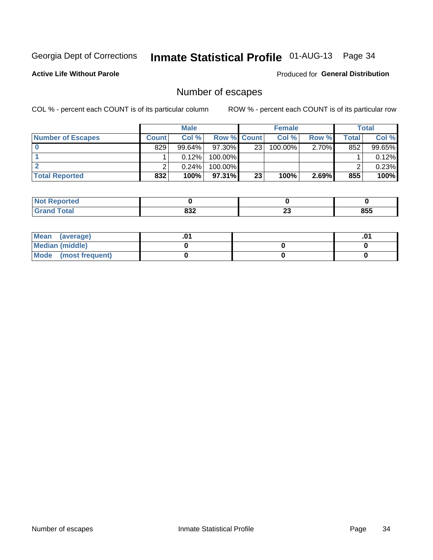# Inmate Statistical Profile 01-AUG-13 Page 34

**Active Life Without Parole** 

Produced for General Distribution

### Number of escapes

COL % - percent each COUNT is of its particular column

|                          | <b>Male</b>  |           |                    | <b>Female</b>   |            |          | Total |        |
|--------------------------|--------------|-----------|--------------------|-----------------|------------|----------|-------|--------|
| <b>Number of Escapes</b> | <b>Count</b> | Col%      | <b>Row % Count</b> |                 | Col %      | Row %    | Total | Col %  |
|                          | 829          | $99.64\%$ | $97.30\%$          | 23 <sub>1</sub> | $100.00\%$ | $2.70\%$ | 852   | 99.65% |
|                          |              | 0.12%     | $100.00\%$         |                 |            |          |       | 0.12%  |
|                          |              | 0.24%     | $100.00\%$         |                 |            |          |       | 0.23%  |
| <b>Total Reported</b>    | 832          | 100%      | $97.31\%$          | 23              | 100%       | 2.69%    | 855   | 100%   |

| orted<br><b>NO</b><br><b>A</b> Report |     |    |     |
|---------------------------------------|-----|----|-----|
| <b>f</b> otal                         | 02c | n. | 855 |
| Grand                                 | ০১∠ | ∠J |     |

| Mean (average)       |  | .01 |
|----------------------|--|-----|
| Median (middle)      |  |     |
| Mode (most frequent) |  |     |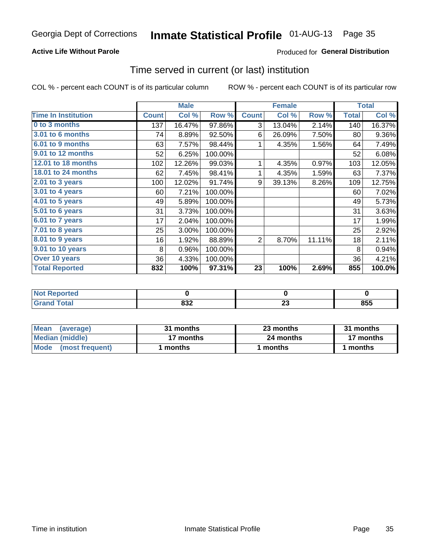# Inmate Statistical Profile 01-AUG-13 Page 35

### **Active Life Without Parole**

### **Produced for General Distribution**

### Time served in current (or last) institution

COL % - percent each COUNT is of its particular column

|                            |              | <b>Male</b> |         |                | <b>Female</b> |        |              | <b>Total</b> |
|----------------------------|--------------|-------------|---------|----------------|---------------|--------|--------------|--------------|
| <b>Time In Institution</b> | <b>Count</b> | Col %       | Row %   | <b>Count</b>   | Col %         | Row %  | <b>Total</b> | Col %        |
| 0 to 3 months              | 137          | 16.47%      | 97.86%  | 3              | 13.04%        | 2.14%  | 140          | 16.37%       |
| <b>3.01 to 6 months</b>    | 74           | 8.89%       | 92.50%  | 6              | 26.09%        | 7.50%  | 80           | 9.36%        |
| 6.01 to 9 months           | 63           | 7.57%       | 98.44%  | 1              | 4.35%         | 1.56%  | 64           | 7.49%        |
| 9.01 to 12 months          | 52           | 6.25%       | 100.00% |                |               |        | 52           | 6.08%        |
| 12.01 to 18 months         | 102          | 12.26%      | 99.03%  | 1              | 4.35%         | 0.97%  | 103          | 12.05%       |
| <b>18.01 to 24 months</b>  | 62           | 7.45%       | 98.41%  |                | 4.35%         | 1.59%  | 63           | 7.37%        |
| 2.01 to 3 years            | 100          | 12.02%      | 91.74%  | 9              | 39.13%        | 8.26%  | 109          | 12.75%       |
| 3.01 to 4 years            | 60           | 7.21%       | 100.00% |                |               |        | 60           | 7.02%        |
| $4.01$ to 5 years          | 49           | 5.89%       | 100.00% |                |               |        | 49           | 5.73%        |
| 5.01 to 6 years            | 31           | 3.73%       | 100.00% |                |               |        | 31           | 3.63%        |
| 6.01 to 7 years            | 17           | 2.04%       | 100.00% |                |               |        | 17           | 1.99%        |
| $7.01$ to 8 years          | 25           | 3.00%       | 100.00% |                |               |        | 25           | 2.92%        |
| 8.01 to 9 years            | 16           | 1.92%       | 88.89%  | $\overline{2}$ | 8.70%         | 11.11% | 18           | 2.11%        |
| 9.01 to 10 years           | 8            | 0.96%       | 100.00% |                |               |        | 8            | 0.94%        |
| Over 10 years              | 36           | 4.33%       | 100.00% |                |               |        | 36           | 4.21%        |
| <b>Total Reported</b>      | 832          | 100%        | 97.31%  | 23             | 100%          | 2.69%  | 855          | 100.0%       |

| Reported<br><b>NOT</b> |             |                     |           |
|------------------------|-------------|---------------------|-----------|
| <i>i</i> otal          | nnn.<br>0JZ | ^^<br>2 J<br>$\sim$ | OEE<br>ნა |

| <b>Mean</b><br>(average) | 31 months | 23 months | 31 months |  |
|--------------------------|-----------|-----------|-----------|--|
| Median (middle)          | 17 months | 24 months | 17 months |  |
| Mode (most frequent)     | months    | 1 months  | 1 months  |  |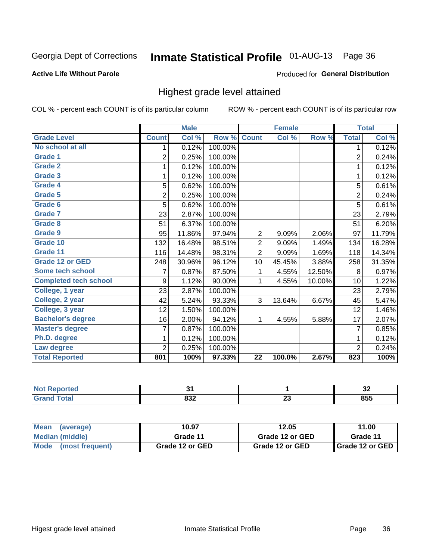# Inmate Statistical Profile 01-AUG-13 Page 36

#### **Active Life Without Parole**

#### Produced for General Distribution

### Highest grade level attained

COL % - percent each COUNT is of its particular column

|                              |                | <b>Male</b> |         |                 | <b>Female</b> |        |                | <b>Total</b> |
|------------------------------|----------------|-------------|---------|-----------------|---------------|--------|----------------|--------------|
| <b>Grade Level</b>           | <b>Count</b>   | Col %       | Row %   | <b>Count</b>    | Col %         | Row %  | <b>Total</b>   | Col %        |
| No school at all             | 1.             | 0.12%       | 100.00% |                 |               |        | 1              | 0.12%        |
| <b>Grade 1</b>               | $\overline{2}$ | 0.25%       | 100.00% |                 |               |        | $\overline{2}$ | 0.24%        |
| <b>Grade 2</b>               | 1              | 0.12%       | 100.00% |                 |               |        | 1              | 0.12%        |
| <b>Grade 3</b>               | 1              | 0.12%       | 100.00% |                 |               |        | 1              | 0.12%        |
| <b>Grade 4</b>               | 5              | 0.62%       | 100.00% |                 |               |        | 5              | 0.61%        |
| Grade 5                      | $\overline{c}$ | 0.25%       | 100.00% |                 |               |        | 2              | 0.24%        |
| Grade 6                      | 5              | 0.62%       | 100.00% |                 |               |        | 5              | 0.61%        |
| Grade 7                      | 23             | 2.87%       | 100.00% |                 |               |        | 23             | 2.79%        |
| <b>Grade 8</b>               | 51             | 6.37%       | 100.00% |                 |               |        | 51             | 6.20%        |
| Grade 9                      | 95             | 11.86%      | 97.94%  | $\overline{2}$  | 9.09%         | 2.06%  | 97             | 11.79%       |
| Grade 10                     | 132            | 16.48%      | 98.51%  | $\overline{2}$  | 9.09%         | 1.49%  | 134            | 16.28%       |
| Grade 11                     | 116            | 14.48%      | 98.31%  | $\overline{2}$  | 9.09%         | 1.69%  | 118            | 14.34%       |
| <b>Grade 12 or GED</b>       | 248            | 30.96%      | 96.12%  | 10              | 45.45%        | 3.88%  | 258            | 31.35%       |
| Some tech school             | 7              | 0.87%       | 87.50%  | 1               | 4.55%         | 12.50% | 8              | 0.97%        |
| <b>Completed tech school</b> | 9              | 1.12%       | 90.00%  | 1               | 4.55%         | 10.00% | 10             | 1.22%        |
| College, 1 year              | 23             | 2.87%       | 100.00% |                 |               |        | 23             | 2.79%        |
| College, 2 year              | 42             | 5.24%       | 93.33%  | 3               | 13.64%        | 6.67%  | 45             | 5.47%        |
| College, 3 year              | 12             | 1.50%       | 100.00% |                 |               |        | 12             | 1.46%        |
| <b>Bachelor's degree</b>     | 16             | 2.00%       | 94.12%  | 1               | 4.55%         | 5.88%  | 17             | 2.07%        |
| <b>Master's degree</b>       | 7              | 0.87%       | 100.00% |                 |               |        | 7              | 0.85%        |
| Ph.D. degree                 | 1              | 0.12%       | 100.00% |                 |               |        | 1              | 0.12%        |
| Law degree                   | $\overline{2}$ | 0.25%       | 100.00% |                 |               |        | $\overline{2}$ | 0.24%        |
| <b>Total Reported</b>        | 801            | 100%        | 97.33%  | $\overline{22}$ | 100.0%        | 2.67%  | 823            | 100%         |

| prtea<br><b>NOT</b>  |     |   | . .<br>◡▵ |
|----------------------|-----|---|-----------|
| $F_{\mathbf{A}}$ tal | oor | ∼ | OEE       |
| υιαι                 | 832 |   | ໐ວວ       |

| <b>Mean</b><br>(average) | 10.97<br>12.05  |                 | 11.00             |  |
|--------------------------|-----------------|-----------------|-------------------|--|
| Median (middle)          | Grade 11        | Grade 12 or GED | Grade 11          |  |
| Mode (most frequent)     | Grade 12 or GED | Grade 12 or GED | I Grade 12 or GED |  |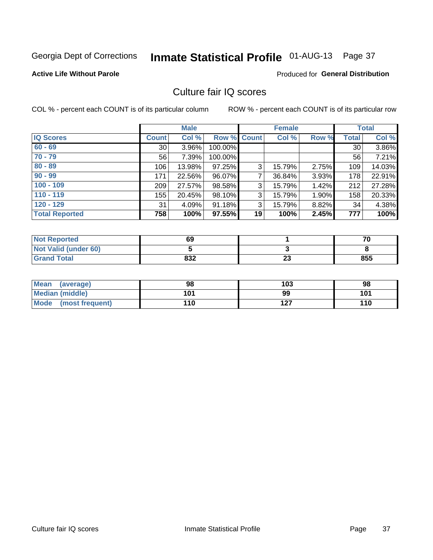## Inmate Statistical Profile 01-AUG-13 Page 37

#### **Active Life Without Parole**

#### Produced for General Distribution

## Culture fair IQ scores

COL % - percent each COUNT is of its particular column

|                       |              | <b>Male</b> |                    |    | <b>Female</b> |          |              | <b>Total</b> |
|-----------------------|--------------|-------------|--------------------|----|---------------|----------|--------------|--------------|
| <b>IQ Scores</b>      | <b>Count</b> | Col %       | <b>Row % Count</b> |    | Col %         | Row %    | <b>Total</b> | Col %        |
| $60 - 69$             | 30           | 3.96%       | 100.00%            |    |               |          | 30           | 3.86%        |
| $70 - 79$             | 56           | 7.39%       | 100.00%            |    |               |          | 56           | 7.21%        |
| $80 - 89$             | 106          | 13.98%      | 97.25%             | 3  | 15.79%        | 2.75%    | 109          | 14.03%       |
| $90 - 99$             | 171          | 22.56%      | 96.07%             | 7  | 36.84%        | $3.93\%$ | 178          | 22.91%       |
| $100 - 109$           | 209          | 27.57%      | 98.58%             | 3  | 15.79%        | 1.42%    | 212          | 27.28%       |
| $110 - 119$           | 155          | 20.45%      | 98.10%             | 3  | 15.79%        | 1.90%    | 158          | 20.33%       |
| $120 - 129$           | 31           | 4.09%       | 91.18%             | 3  | 15.79%        | 8.82%    | 34           | 4.38%        |
| <b>Total Reported</b> | 758          | 100%        | 97.55%             | 19 | 100%          | 2.45%    | 777          | 100%         |

| <b>Not Reported</b>         | 69  |          | 70  |
|-----------------------------|-----|----------|-----|
| <b>Not Valid (under 60)</b> |     |          |     |
| <b>Grand Total</b>          | 832 | ^^<br>∠J | 855 |

| Mean (average)       | 98  | 103 | 98  |
|----------------------|-----|-----|-----|
| Median (middle)      | 101 | 99  | 101 |
| Mode (most frequent) | 110 | 127 | 110 |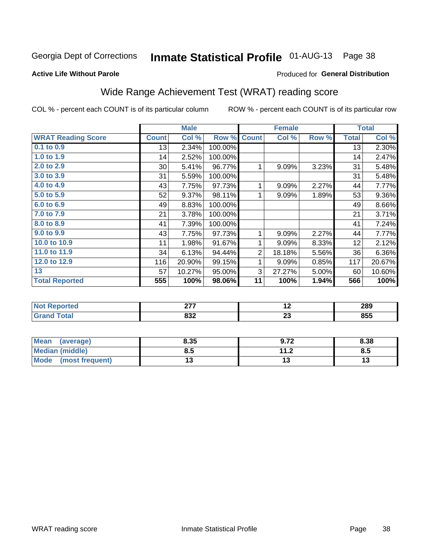# Inmate Statistical Profile 01-AUG-13 Page 38

#### **Active Life Without Parole**

### **Produced for General Distribution**

## Wide Range Achievement Test (WRAT) reading score

COL % - percent each COUNT is of its particular column

|                           |              | <b>Male</b> |         |                | <b>Female</b> |       |              | <b>Total</b> |
|---------------------------|--------------|-------------|---------|----------------|---------------|-------|--------------|--------------|
| <b>WRAT Reading Score</b> | <b>Count</b> | Col %       | Row %   | <b>Count</b>   | Col %         | Row % | <b>Total</b> | Col %        |
| 0.1 to 0.9                | 13           | 2.34%       | 100.00% |                |               |       | 13           | 2.30%        |
| 1.0 to 1.9                | 14           | 2.52%       | 100.00% |                |               |       | 14           | 2.47%        |
| 2.0 to 2.9                | $30$         | 5.41%       | 96.77%  | 1              | 9.09%         | 3.23% | 31           | 5.48%        |
| 3.0 to 3.9                | 31           | 5.59%       | 100.00% |                |               |       | 31           | 5.48%        |
| 4.0 to 4.9                | 43           | 7.75%       | 97.73%  | 1              | 9.09%         | 2.27% | 44           | 7.77%        |
| 5.0 to 5.9                | 52           | 9.37%       | 98.11%  | 1              | 9.09%         | 1.89% | 53           | $9.36\%$     |
| 6.0 to 6.9                | 49           | 8.83%       | 100.00% |                |               |       | 49           | 8.66%        |
| 7.0 to 7.9                | 21           | 3.78%       | 100.00% |                |               |       | 21           | 3.71%        |
| 8.0 to 8.9                | 41           | 7.39%       | 100.00% |                |               |       | 41           | 7.24%        |
| 9.0 to 9.9                | 43           | 7.75%       | 97.73%  | 1              | 9.09%         | 2.27% | 44           | 7.77%        |
| 10.0 to 10.9              | 11           | 1.98%       | 91.67%  | 1              | 9.09%         | 8.33% | 12           | 2.12%        |
| 11.0 to 11.9              | 34           | 6.13%       | 94.44%  | $\overline{2}$ | 18.18%        | 5.56% | 36           | $6.36\%$     |
| 12.0 to 12.9              | 116          | 20.90%      | 99.15%  | 1              | 9.09%         | 0.85% | 117          | 20.67%       |
| 13                        | 57           | 10.27%      | 95.00%  | 3              | 27.27%        | 5.00% | 60           | 10.60%       |
| <b>Total Reported</b>     | 555          | 100%        | 98.06%  | 11             | 100%          | 1.94% | 566          | 100%         |
|                           |              |             |         |                |               |       |              |              |
| Not Penerted              |              | 277         |         |                | 12            |       |              | 280          |

|   | ---                    | $\overline{\phantom{0}}$ | ----<br>- - |
|---|------------------------|--------------------------|-------------|
| - | 00 <sup>o</sup><br>OJZ | $\sim$<br>20             | ---<br>രാാ  |
|   |                        |                          |             |

| <b>Mean</b><br>(average)       | 8.35 | 9.72                 | 8.38 |
|--------------------------------|------|----------------------|------|
| <b>Median (middle)</b>         | ช.ว  | 11 O<br>$\mathbf{L}$ | Ծ.J  |
| <b>Mode</b><br>(most frequent) | ⊶    | ⊍                    | ט ו  |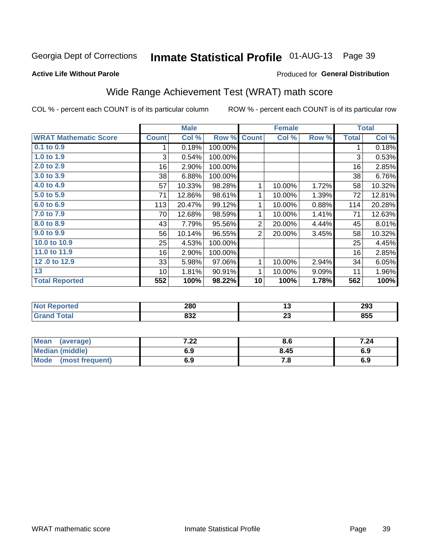#### Inmate Statistical Profile 01-AUG-13 Page 39

#### **Active Life Without Parole**

#### Produced for General Distribution

## Wide Range Achievement Test (WRAT) math score

COL % - percent each COUNT is of its particular column

ROW % - percent each COUNT is of its particular row

 $\overline{23}$ 

|                              |              | <b>Male</b> |         |                | <b>Female</b>   |       |              | <b>Total</b> |
|------------------------------|--------------|-------------|---------|----------------|-----------------|-------|--------------|--------------|
| <b>WRAT Mathematic Score</b> | <b>Count</b> | Col %       | Row %   | <b>Count</b>   | Col %           | Row % | <b>Total</b> | Col %        |
| 0.1 to 0.9                   | 1            | 0.18%       | 100.00% |                |                 |       | 1            | 0.18%        |
| 1.0 to 1.9                   | 3            | 0.54%       | 100.00% |                |                 |       | 3            | 0.53%        |
| 2.0 to 2.9                   | 16           | 2.90%       | 100.00% |                |                 |       | 16           | 2.85%        |
| 3.0 to 3.9                   | 38           | 6.88%       | 100.00% |                |                 |       | 38           | 6.76%        |
| 4.0 to 4.9                   | 57           | 10.33%      | 98.28%  | 1              | 10.00%          | 1.72% | 58           | 10.32%       |
| 5.0 to 5.9                   | 71           | 12.86%      | 98.61%  | 1              | 10.00%          | 1.39% | 72           | 12.81%       |
| 6.0 to 6.9                   | 113          | 20.47%      | 99.12%  | 1              | 10.00%          | 0.88% | 114          | 20.28%       |
| 7.0 to 7.9                   | 70           | 12.68%      | 98.59%  | 1              | 10.00%          | 1.41% | 71           | 12.63%       |
| 8.0 to 8.9                   | 43           | 7.79%       | 95.56%  | $\overline{2}$ | 20.00%          | 4.44% | 45           | 8.01%        |
| 9.0 to 9.9                   | 56           | 10.14%      | 96.55%  | $\overline{2}$ | 20.00%          | 3.45% | 58           | 10.32%       |
| 10.0 to 10.9                 | 25           | 4.53%       | 100.00% |                |                 |       | 25           | 4.45%        |
| 11.0 to 11.9                 | 16           | 2.90%       | 100.00% |                |                 |       | 16           | 2.85%        |
| 12.0 to 12.9                 | 33           | 5.98%       | 97.06%  | 1              | 10.00%          | 2.94% | 34           | 6.05%        |
| 13                           | 10           | 1.81%       | 90.91%  | 1              | 10.00%          | 9.09% | 11           | 1.96%        |
| <b>Total Reported</b>        | 552          | 100%        | 98.22%  | 10             | 100%            | 1.78% | 562          | 100%         |
|                              |              |             |         |                |                 |       |              |              |
| <b>Not Reported</b>          |              | 280         |         |                | $\overline{13}$ |       |              | 293          |

| Mean<br>(average)              | ^^<br>$\cdot$ . 22 $\cdot$ | ၓ.t   | 7.24 |
|--------------------------------|----------------------------|-------|------|
| <b>Median (middle)</b>         | 6.9                        | 8.45  | 6.Y  |
| <b>Mode</b><br>(most frequent) | 6.9                        | . . 0 | ৩.৬  |

 $832$ 

**Grand Total** 

 $855$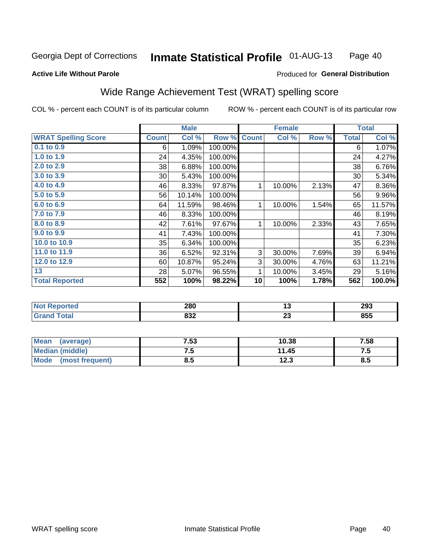#### **Inmate Statistical Profile 01-AUG-13** Page 40

#### **Active Life Without Parole**

### Produced for General Distribution

## Wide Range Achievement Test (WRAT) spelling score

COL % - percent each COUNT is of its particular column

|                            |              | <b>Male</b> |         |              | <b>Female</b> |       |              | <b>Total</b> |
|----------------------------|--------------|-------------|---------|--------------|---------------|-------|--------------|--------------|
| <b>WRAT Spelling Score</b> | <b>Count</b> | Col %       | Row %   | <b>Count</b> | Col %         | Row % | <b>Total</b> | Col %        |
| 0.1 to 0.9                 | 6            | 1.09%       | 100.00% |              |               |       | 6            | 1.07%        |
| 1.0 to 1.9                 | 24           | 4.35%       | 100.00% |              |               |       | 24           | 4.27%        |
| 2.0 to 2.9                 | 38           | 6.88%       | 100.00% |              |               |       | 38           | 6.76%        |
| 3.0 to 3.9                 | 30           | 5.43%       | 100.00% |              |               |       | 30           | 5.34%        |
| 4.0 to 4.9                 | 46           | 8.33%       | 97.87%  | 1            | 10.00%        | 2.13% | 47           | 8.36%        |
| 5.0 t0 5.9                 | 56           | 10.14%      | 100.00% |              |               |       | 56           | 9.96%        |
| 6.0 to 6.9                 | 64           | 11.59%      | 98.46%  | 1            | 10.00%        | 1.54% | 65           | 11.57%       |
| 7.0 to 7.9                 | 46           | 8.33%       | 100.00% |              |               |       | 46           | 8.19%        |
| 8.0 to 8.9                 | 42           | 7.61%       | 97.67%  | 1            | 10.00%        | 2.33% | 43           | 7.65%        |
| 9.0 to 9.9                 | 41           | 7.43%       | 100.00% |              |               |       | 41           | 7.30%        |
| 10.0 to 10.9               | 35           | 6.34%       | 100.00% |              |               |       | 35           | 6.23%        |
| 11.0 to 11.9               | 36           | 6.52%       | 92.31%  | 3            | 30.00%        | 7.69% | 39           | 6.94%        |
| 12.0 to 12.9               | 60           | 10.87%      | 95.24%  | $\mathbf{3}$ | 30.00%        | 4.76% | 63           | 11.21%       |
| 13                         | 28           | 5.07%       | 96.55%  | 1            | 10.00%        | 3.45% | 29           | 5.16%        |
| <b>Total Reported</b>      | 552          | 100%        | 98.22%  | 10           | 100%          | 1.78% | 562          | 100.0%       |
|                            |              |             |         |              |               |       |              |              |
| <b>Not Reported</b>        |              | 280         |         |              | 13            |       |              | 293          |
| <b>Grand Total</b>         |              | 832         |         |              | 23            |       |              | 855          |

| <b>Mean</b><br>(average) | 7.53 | 10.38        | 7.58 |
|--------------------------|------|--------------|------|
| Median (middle)          |      | 11.45        | ں ،  |
| Mode<br>(most frequent)  | 0.J  | 1つ ?<br>12.J | 8.5  |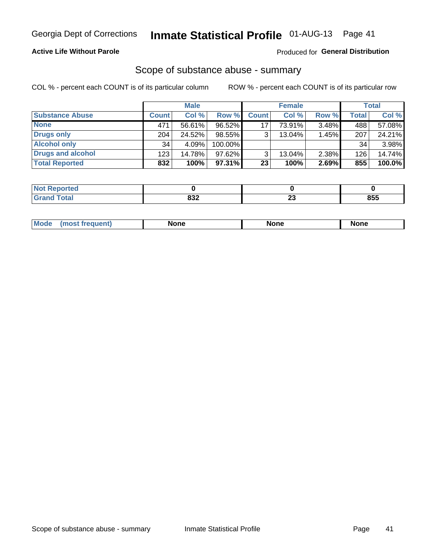### **Active Life Without Parole**

### **Produced for General Distribution**

### Scope of substance abuse - summary

COL % - percent each COUNT is of its particular column

|                        |              | <b>Male</b> |         |                 | <b>Female</b> |       |              | <b>Total</b> |
|------------------------|--------------|-------------|---------|-----------------|---------------|-------|--------------|--------------|
| <b>Substance Abuse</b> | <b>Count</b> | Col %       | Row %   | <b>Count</b>    | Col %         | Row % | <b>Total</b> | Col %        |
| <b>None</b>            | 471          | 56.61%      | 96.52%  | 17              | 73.91%        | 3.48% | 488          | 57.08%       |
| <b>Drugs only</b>      | 204          | 24.52%      | 98.55%  |                 | 13.04%        | 1.45% | 207          | 24.21%       |
| <b>Alcohol only</b>    | 34           | 4.09%       | 100.00% |                 |               |       | 34           | 3.98%        |
| Drugs and alcohol      | 123          | 14.78%      | 97.62%  |                 | $13.04\%$     | 2.38% | 126          | 14.74%       |
| <b>Total Reported</b>  | 832          | 100%        | 97.31%  | 23 <sub>1</sub> | 100%          | 2.69% | 855          | 100.0%       |

| <b>Not</b><br>Reported       |             |    |     |
|------------------------------|-------------|----|-----|
| <b>Total</b><br><b>Grand</b> | nn n<br>אטר | ∠J | 855 |

| <b>Mod</b><br>'one<br>None<br><b>None</b> |
|-------------------------------------------|
|-------------------------------------------|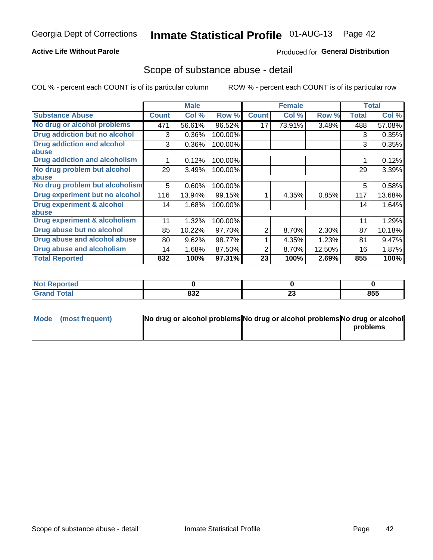### **Active Life Without Parole**

### **Produced for General Distribution**

### Scope of substance abuse - detail

COL % - percent each COUNT is of its particular column

|                                      |              | <b>Male</b> |         |              | <b>Female</b> |        |              | <b>Total</b> |
|--------------------------------------|--------------|-------------|---------|--------------|---------------|--------|--------------|--------------|
| <b>Substance Abuse</b>               | <b>Count</b> | Col %       | Row %   | <b>Count</b> | Col %         | Row %  | <b>Total</b> | Col %        |
| No drug or alcohol problems          | 471          | 56.61%      | 96.52%  | 17           | 73.91%        | 3.48%  | 488          | 57.08%       |
| Drug addiction but no alcohol        | 3            | 0.36%       | 100.00% |              |               |        | 3            | 0.35%        |
| <b>Drug addiction and alcohol</b>    | 3            | 0.36%       | 100.00% |              |               |        | 3            | 0.35%        |
| <b>labuse</b>                        |              |             |         |              |               |        |              |              |
| <b>Drug addiction and alcoholism</b> |              | 0.12%       | 100.00% |              |               |        |              | 0.12%        |
| No drug problem but alcohol          | 29           | 3.49%       | 100.00% |              |               |        | 29           | 3.39%        |
| abuse                                |              |             |         |              |               |        |              |              |
| No drug problem but alcoholism       | 5            | 0.60%       | 100.00% |              |               |        | 5            | 0.58%        |
| Drug experiment but no alcohol       | 116          | 13.94%      | 99.15%  |              | 4.35%         | 0.85%  | 117          | 13.68%       |
| <b>Drug experiment &amp; alcohol</b> | 14           | 1.68%       | 100.00% |              |               |        | 14           | 1.64%        |
| abuse                                |              |             |         |              |               |        |              |              |
| Drug experiment & alcoholism         | 11           | 1.32%       | 100.00% |              |               |        | 11           | 1.29%        |
| Drug abuse but no alcohol            | 85           | 10.22%      | 97.70%  | 2            | 8.70%         | 2.30%  | 87           | 10.18%       |
| Drug abuse and alcohol abuse         | 80           | 9.62%       | 98.77%  |              | 4.35%         | 1.23%  | 81           | 9.47%        |
| <b>Drug abuse and alcoholism</b>     | 14           | 1.68%       | 87.50%  | 2            | 8.70%         | 12.50% | 16           | 1.87%        |
| <b>Total Reported</b>                | 832          | 100%        | 97.31%  | 23           | 100%          | 2.69%  | 855          | 100%         |

| ported<br>NOT |     |    |     |
|---------------|-----|----|-----|
| $\sim$        | 022 | ^^ | 855 |
| _____         | oəz | ΔJ |     |

| Mode (most frequent) | No drug or alcohol problems No drug or alcohol problems No drug or alcohol |          |
|----------------------|----------------------------------------------------------------------------|----------|
|                      |                                                                            | problems |
|                      |                                                                            |          |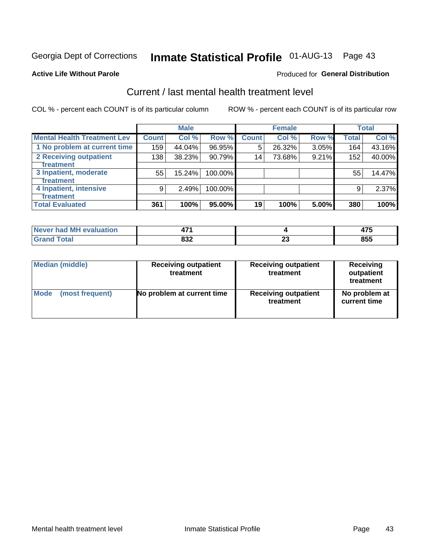## Inmate Statistical Profile 01-AUG-13 Page 43

#### **Active Life Without Parole**

#### Produced for General Distribution

## Current / last mental health treatment level

COL % - percent each COUNT is of its particular column

|                                    |              | <b>Male</b> |         |              | <b>Female</b> |       |              | <b>Total</b> |
|------------------------------------|--------------|-------------|---------|--------------|---------------|-------|--------------|--------------|
| <b>Mental Health Treatment Lev</b> | <b>Count</b> | Col %       | Row %   | <b>Count</b> | Col %         | Row % | <b>Total</b> | Col %        |
| 1 No problem at current time       | 159          | 44.04%      | 96.95%  | 5            | 26.32%        | 3.05% | 164          | 43.16%       |
| 2 Receiving outpatient             | 138          | 38.23%      | 90.79%  | 14           | 73.68%        | 9.21% | 152          | 40.00%       |
| <b>Treatment</b>                   |              |             |         |              |               |       |              |              |
| 3 Inpatient, moderate              | 55           | 15.24%      | 100.00% |              |               |       | 55           | 14.47%       |
| <b>Treatment</b>                   |              |             |         |              |               |       |              |              |
| 4 Inpatient, intensive             | 9            | 2.49%       | 100.00% |              |               |       | 9            | 2.37%        |
| Treatment                          |              |             |         |              |               |       |              |              |
| <b>Total Evaluated</b>             | 361          | 100%        | 95.00%  | 19           | 100%          | 5.00% | 380          | 100%         |

| Never had MH evaluation | 1 7 A |                          | .   |
|-------------------------|-------|--------------------------|-----|
|                         | 000   | $\overline{\phantom{a}}$ | occ |
|                         | ⊿כס   | --                       | ჾაა |

| <b>Median (middle)</b> | <b>Receiving outpatient</b><br>treatment | <b>Receiving outpatient</b><br>treatment | <b>Receiving</b><br>outpatient<br>treatment |  |  |
|------------------------|------------------------------------------|------------------------------------------|---------------------------------------------|--|--|
| <b>Mode</b>            | No problem at current time               | <b>Receiving outpatient</b>              | No problem at                               |  |  |
| (most frequent)        |                                          | treatment                                | current time                                |  |  |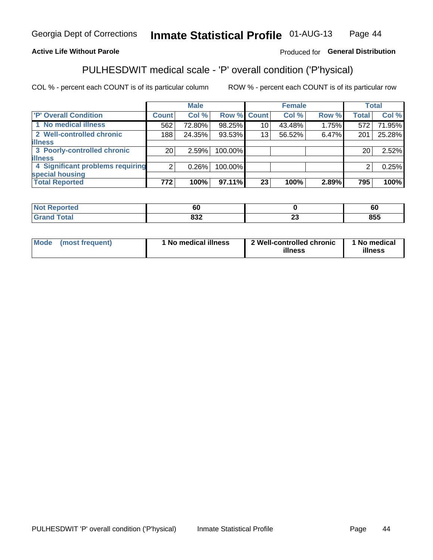#### Inmate Statistical Profile 01-AUG-13 Page 44

### **Active Life Without Parole**

### Produced for General Distribution

## PULHESDWIT medical scale - 'P' overall condition ('P'hysical)

COL % - percent each COUNT is of its particular column

|                                  |                 | <b>Male</b> |             |    | <b>Female</b> |       |                | <b>Total</b> |
|----------------------------------|-----------------|-------------|-------------|----|---------------|-------|----------------|--------------|
| 'P' Overall Condition            | Count l         | Col %       | Row % Count |    | Col %         | Row % | <b>Total</b>   | Col %        |
| 1 No medical illness             | 562             | 72.80%      | 98.25%      | 10 | 43.48%        | 1.75% | 572            | 71.95%       |
| 2 Well-controlled chronic        | 188             | 24.35%      | 93.53%      | 13 | 56.52%        | 6.47% | 201            | 25.28%       |
| <b>illness</b>                   |                 |             |             |    |               |       |                |              |
| 3 Poorly-controlled chronic      | 20 <sub>1</sub> | 2.59%       | 100.00%     |    |               |       | 20             | 2.52%        |
| <b>illness</b>                   |                 |             |             |    |               |       |                |              |
| 4 Significant problems requiring | 2 <sub>1</sub>  | 0.26%       | 100.00%     |    |               |       | $\overline{2}$ | 0.25%        |
| special housing                  |                 |             |             |    |               |       |                |              |
| <b>Total Reported</b>            | 772             | 100%        | 97.11%      | 23 | 100%          | 2.89% | 795            | 100%         |

| . .<br>or. |                                                      | . .<br>σu |
|------------|------------------------------------------------------|-----------|
| 000<br>--- | $\overline{\phantom{a}}$<br>$\overline{\phantom{a}}$ | 855       |

| <b>Mode</b> | (most frequent) | 1 No medical illness | 2 Well-controlled chronic<br>illness | 1 No medical<br>illness |
|-------------|-----------------|----------------------|--------------------------------------|-------------------------|
|-------------|-----------------|----------------------|--------------------------------------|-------------------------|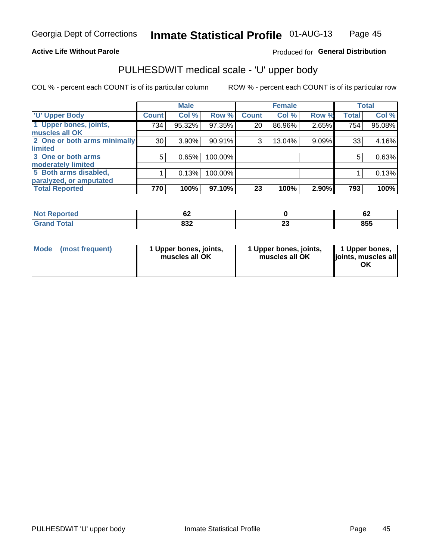#### **Active Life Without Parole**

#### Produced for General Distribution

## PULHESDWIT medical scale - 'U' upper body

COL % - percent each COUNT is of its particular column

|                              |               | <b>Male</b> |         |              | <b>Female</b> |       |              | <b>Total</b> |
|------------------------------|---------------|-------------|---------|--------------|---------------|-------|--------------|--------------|
| <b>U' Upper Body</b>         | <b>Count!</b> | Col %       | Row %   | <b>Count</b> | Col %         | Row % | <b>Total</b> | Col %        |
| 1 Upper bones, joints,       | 734           | 95.32%      | 97.35%  | 20           | 86.96%        | 2.65% | 754          | 95.08%       |
| muscles all OK               |               |             |         |              |               |       |              |              |
| 2 One or both arms minimally | 30            | 3.90%       | 90.91%  | 3            | 13.04%        | 9.09% | 33           | 4.16%        |
| limited                      |               |             |         |              |               |       |              |              |
| 3 One or both arms           | 5             | 0.65%       | 100.00% |              |               |       | 5            | 0.63%        |
| <b>moderately limited</b>    |               |             |         |              |               |       |              |              |
| 5 Both arms disabled,        |               | 0.13%       | 100.00% |              |               |       |              | 0.13%        |
| paralyzed, or amputated      |               |             |         |              |               |       |              |              |
| <b>Total Reported</b>        | 770           | 100%        | 97.10%  | 23           | 100%          | 2.90% | 793          | 100%         |

| orted<br><b>NOT REDC</b><br>$\sim$ . The set of $\sim$ | ୰∠         |    | ~<br>VŁ |
|--------------------------------------------------------|------------|----|---------|
| <b>Total</b>                                           | ៰៰៱<br>οσ∠ | ∠J | 855     |

|  | Mode (most frequent) | l Upper bones, joints,<br>muscles all OK | 1 Upper bones, joints,<br>muscles all OK | 1 Upper bones,<br>ljoints, muscles all |
|--|----------------------|------------------------------------------|------------------------------------------|----------------------------------------|
|--|----------------------|------------------------------------------|------------------------------------------|----------------------------------------|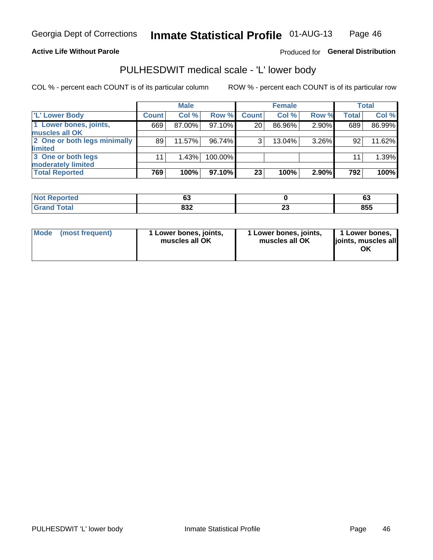#### **Active Life Without Parole**

Produced for General Distribution

## PULHESDWIT medical scale - 'L' lower body

COL % - percent each COUNT is of its particular column

|                                             |              | <b>Male</b> |         |              | <b>Female</b> |          |              | <b>Total</b> |
|---------------------------------------------|--------------|-------------|---------|--------------|---------------|----------|--------------|--------------|
| 'L' Lower Body                              | <b>Count</b> | Col %       | Row %   | <b>Count</b> | Col %         | Row %    | <b>Total</b> | Col %        |
| 1 Lower bones, joints,<br>muscles all OK    | 669          | 87.00%      | 97.10%  | 20           | 86.96%        | 2.90%    | 689          | 86.99%       |
| 2 One or both legs minimally                | 89           | 11.57%      | 96.74%  | 3            | 13.04%        | $3.26\%$ | 92           | 11.62%       |
| limited<br>3 One or both legs               | 11           | 1.43%       | 100.00% |              |               |          | 11           | 1.39%        |
| moderately limited<br><b>Total Reported</b> | 769          | 100%        | 97.10%  | 23           | 100%          | 2.90%    | 792          | 100%         |

| m.<br>тес | Ju         |            | ~∙<br>ບປ |
|-----------|------------|------------|----------|
|           | oon<br>∡טכ | --<br>$ -$ | 855      |

| <b>Mode</b> | (most frequent) | 1 Lower bones, joints,<br>muscles all OK | l Lower bones, joints,<br>muscles all OK | <b>1 Lower bones,</b><br>joints, muscles all<br>ΟK |
|-------------|-----------------|------------------------------------------|------------------------------------------|----------------------------------------------------|
|-------------|-----------------|------------------------------------------|------------------------------------------|----------------------------------------------------|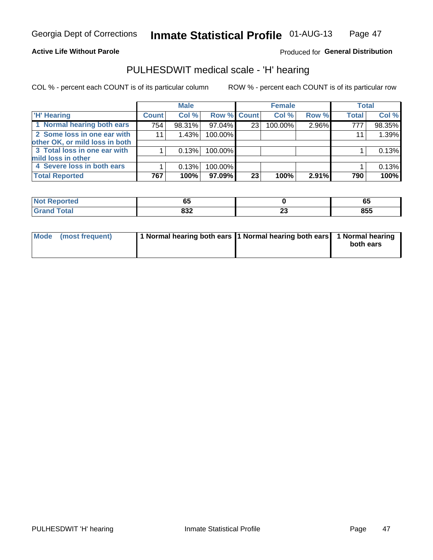#### **Active Life Without Parole**

#### Produced for General Distribution

## PULHESDWIT medical scale - 'H' hearing

COL % - percent each COUNT is of its particular column

|                                |              | <b>Male</b> |                    |    | <b>Female</b> |       | <b>Total</b> |        |
|--------------------------------|--------------|-------------|--------------------|----|---------------|-------|--------------|--------|
| <b>H' Hearing</b>              | <b>Count</b> | Col %       | <b>Row % Count</b> |    | Col %         | Row % | <b>Total</b> | Col %  |
| 1 Normal hearing both ears     | 754          | 98.31%      | 97.04%             | 23 | 100.00%       | 2.96% | 777          | 98.35% |
| 2 Some loss in one ear with    | 11           | 1.43%       | 100.00%            |    |               |       | 11           | 1.39%  |
| other OK, or mild loss in both |              |             |                    |    |               |       |              |        |
| 3 Total loss in one ear with   |              | 0.13%       | 100.00%            |    |               |       |              | 0.13%  |
| mild loss in other             |              |             |                    |    |               |       |              |        |
| 4 Severe loss in both ears     |              | 0.13%       | 100.00%            |    |               |       |              | 0.13%  |
| <b>Total Reported</b>          | 767          | 100%        | 97.09%             | 23 | 100%          | 2.91% | 790          | 100%   |

| المتمتلين<br>rtea<br>N             | - -<br>u      |               | vu  |
|------------------------------------|---------------|---------------|-----|
| $\sim$ $\sim$ $\sim$ $\sim$ $\sim$ | $\sim$<br>◡◡▵ | . .<br>$\sim$ | 855 |

| Mode (most frequent) | 1 Normal hearing both ears 1 Normal hearing both ears 1 Normal hearing | both ears |
|----------------------|------------------------------------------------------------------------|-----------|
|                      |                                                                        |           |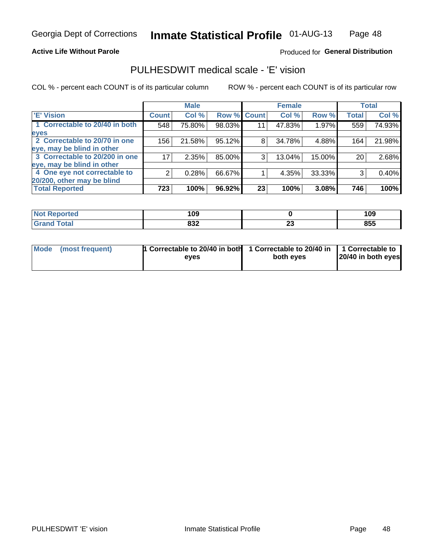#### **Active Life Without Parole**

#### Produced for General Distribution

## PULHESDWIT medical scale - 'E' vision

COL % - percent each COUNT is of its particular column

|                                |              | <b>Male</b> |             |    | <b>Female</b> |        |              | <b>Total</b> |
|--------------------------------|--------------|-------------|-------------|----|---------------|--------|--------------|--------------|
| <b>E' Vision</b>               | <b>Count</b> | Col %       | Row % Count |    | Col %         | Row %  | <b>Total</b> | Col %        |
| 1 Correctable to 20/40 in both | 548          | 75.80%      | 98.03%      | 11 | 47.83%        | 1.97%  | 559          | 74.93%       |
| eyes                           |              |             |             |    |               |        |              |              |
| 2 Correctable to 20/70 in one  | 156          | 21.58%      | 95.12%      | 8  | 34.78%        | 4.88%  | 164          | 21.98%       |
| eye, may be blind in other     |              |             |             |    |               |        |              |              |
| 3 Correctable to 20/200 in one | 17           | 2.35%       | 85.00%      | 3  | 13.04%        | 15.00% | 20           | 2.68%        |
| eye, may be blind in other     |              |             |             |    |               |        |              |              |
| 4 One eye not correctable to   | 2            | 0.28%       | 66.67%      |    | 4.35%         | 33.33% | 3            | 0.40%        |
| 20/200, other may be blind     |              |             |             |    |               |        |              |              |
| <b>Total Reported</b>          | 723          | 100%        | 96.92%      | 23 | 100%          | 3.08%  | 746          | 100%         |

| 109<br><b>Not R</b><br><b>Reported</b> |     |         | 109 |
|----------------------------------------|-----|---------|-----|
| <b>Total</b><br>Cror                   | 832 | ^^<br>∼ | 855 |

| Mode (most frequent) | <sup>1</sup> Correctable to 20/40 in both 1 Correctable to 20/40 in 1 Correctable to<br>eves | both eyes | 20/40 in both eyes |
|----------------------|----------------------------------------------------------------------------------------------|-----------|--------------------|
|                      |                                                                                              |           |                    |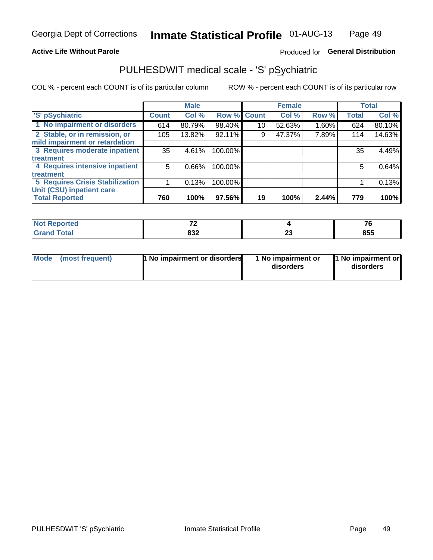#### **Active Life Without Parole**

### Produced for General Distribution

## PULHESDWIT medical scale - 'S' pSychiatric

COL % - percent each COUNT is of its particular column

|                                        |              | <b>Male</b> |         |             | <b>Female</b> |       |              | <b>Total</b> |
|----------------------------------------|--------------|-------------|---------|-------------|---------------|-------|--------------|--------------|
| 'S' pSychiatric                        | <b>Count</b> | Col %       |         | Row % Count | Col %         | Row % | <b>Total</b> | Col %        |
| 1 No impairment or disorders           | 614          | 80.79%      | 98.40%  | 10          | 52.63%        | 1.60% | 624          | 80.10%       |
| 2 Stable, or in remission, or          | 105          | 13.82%      | 92.11%  | 9           | 47.37%        | 7.89% | 114          | 14.63%       |
| mild impairment or retardation         |              |             |         |             |               |       |              |              |
| 3 Requires moderate inpatient          | 35           | 4.61%       | 100.00% |             |               |       | 35           | 4.49%        |
| <b>treatment</b>                       |              |             |         |             |               |       |              |              |
| 4 Requires intensive inpatient         | 5            | 0.66%       | 100.00% |             |               |       | 5            | 0.64%        |
| <b>treatment</b>                       |              |             |         |             |               |       |              |              |
| <b>5 Requires Crisis Stabilization</b> |              | 0.13%       | 100.00% |             |               |       |              | 0.13%        |
| Unit (CSU) inpatient care              |              |             |         |             |               |       |              |              |
| <b>Total Reported</b>                  | 760          | 100%        | 97.56%  | 19          | 100%          | 2.44% | 779          | 100%         |

| <b>Not Reported</b><br>$\sim$ |     |         | $\sim$<br>70 O |
|-------------------------------|-----|---------|----------------|
| <b>Total</b><br>Gran          | 832 | ~<br>-- | 855            |

| Mode<br>1 No impairment or disorders<br>(most frequent) | 1 No impairment or<br>disorders | 1 No impairment or<br>disorders |
|---------------------------------------------------------|---------------------------------|---------------------------------|
|---------------------------------------------------------|---------------------------------|---------------------------------|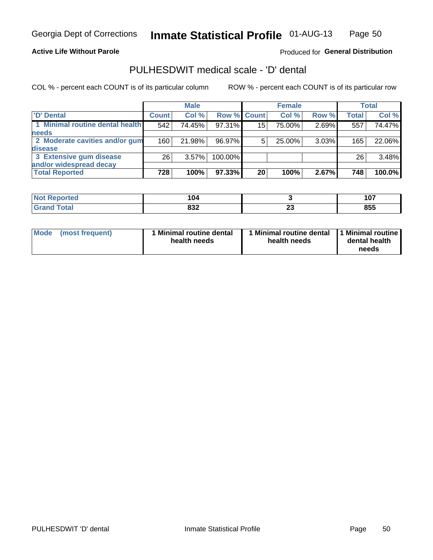#### **Active Life Without Parole**

Produced for General Distribution

## PULHESDWIT medical scale - 'D' dental

COL % - percent each COUNT is of its particular column

|                                 |                 | <b>Male</b> |         |             | <b>Female</b> |       |              | Total  |
|---------------------------------|-----------------|-------------|---------|-------------|---------------|-------|--------------|--------|
| 'D' Dental                      | <b>Count</b>    | Col %       |         | Row % Count | Col %         | Row % | <b>Total</b> | Col %  |
| 1 Minimal routine dental health | 542             | 74.45%      | 97.31%  | 15          | 75.00%        | 2.69% | 557          | 74.47% |
| <b>needs</b>                    |                 |             |         |             |               |       |              |        |
| 2 Moderate cavities and/or gum  | 160             | 21.98%      | 96.97%  | 5           | 25.00%        | 3.03% | 165          | 22.06% |
| disease                         |                 |             |         |             |               |       |              |        |
| 3 Extensive gum disease         | 26 <sub>1</sub> | 3.57%       | 100.00% |             |               |       | 26           | 3.48%  |
| and/or widespread decay         |                 |             |         |             |               |       |              |        |
| <b>Total Reported</b>           | 728             | 100%        | 97.33%  | 20          | 100%          | 2.67% | 748          | 100.0% |

| <b>NOT REDORTED</b><br>$\cdots$ | 104 |               | 107 |
|---------------------------------|-----|---------------|-----|
| <sup>-</sup> otal               | 832 | ~<br><u>_</u> | 855 |

| Mode<br>(most frequent) | Minimal routine dental<br>health needs | <b>Minimal routine dental</b><br>health needs | 1 Minimal routine<br>dental health<br>needs |
|-------------------------|----------------------------------------|-----------------------------------------------|---------------------------------------------|
|-------------------------|----------------------------------------|-----------------------------------------------|---------------------------------------------|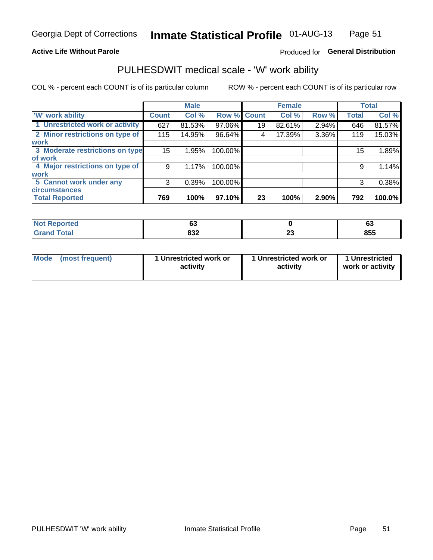#### **Active Life Without Parole**

### Produced for General Distribution

## PULHESDWIT medical scale - 'W' work ability

COL % - percent each COUNT is of its particular column

|                                 |              | <b>Male</b> |         |             | <b>Female</b> |       |              | <b>Total</b> |
|---------------------------------|--------------|-------------|---------|-------------|---------------|-------|--------------|--------------|
| <b>W' work ability</b>          | <b>Count</b> | Col %       |         | Row % Count | Col %         | Row % | <b>Total</b> | Col %        |
| 1 Unrestricted work or activity | 627          | 81.53%      | 97.06%  | 19          | 82.61%        | 2.94% | 646          | 81.57%       |
| 2 Minor restrictions on type of | 115          | 14.95%      | 96.64%  | 4           | 17.39%        | 3.36% | 119          | 15.03%       |
| <b>work</b>                     |              |             |         |             |               |       |              |              |
| 3 Moderate restrictions on type | 15           | 1.95%       | 100.00% |             |               |       | 15           | 1.89%        |
| of work                         |              |             |         |             |               |       |              |              |
| 4 Major restrictions on type of | 9            | 1.17%       | 100.00% |             |               |       | 9            | 1.14%        |
| <b>work</b>                     |              |             |         |             |               |       |              |              |
| 5 Cannot work under any         | 3            | 0.39%       | 100.00% |             |               |       | 3            | 0.38%        |
| <b>circumstances</b>            |              |             |         |             |               |       |              |              |
| <b>Total Reported</b>           | 769          | 100%        | 97.10%  | 23          | 100%          | 2.90% | 792          | 100.0%       |

| <b>Not Reported</b>             | $\sim$<br>v. |         | ~<br>v. |
|---------------------------------|--------------|---------|---------|
| <b>Total</b><br>Cron<br>Grand l | 832          | n.<br>∼ | 855     |

| Mode            | 1 Unrestricted work or | 1 Unrestricted work or | 1 Unrestricted   |
|-----------------|------------------------|------------------------|------------------|
| (most frequent) | activity               | activity               | work or activity |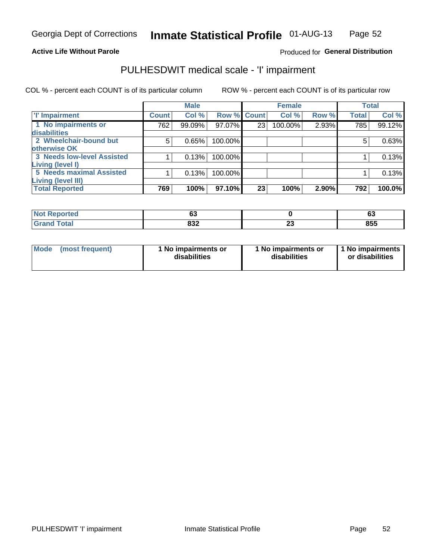#### **Active Life Without Parole**

#### Produced for General Distribution

## PULHESDWIT medical scale - 'I' impairment

|                            |               | <b>Male</b> |             |    | <b>Female</b> |       |              | <b>Total</b> |
|----------------------------|---------------|-------------|-------------|----|---------------|-------|--------------|--------------|
| <b>T' Impairment</b>       | <b>Count!</b> | Col %       | Row % Count |    | Col %         | Row % | <b>Total</b> | Col %        |
| 1 No impairments or        | 762           | 99.09%      | 97.07%      | 23 | 100.00%       | 2.93% | 785          | 99.12%       |
| <b>disabilities</b>        |               |             |             |    |               |       |              |              |
| 2 Wheelchair-bound but     | 5             | 0.65%       | 100.00%     |    |               |       | 5            | 0.63%        |
| otherwise OK               |               |             |             |    |               |       |              |              |
| 3 Needs low-level Assisted |               | 0.13%       | 100.00%     |    |               |       |              | 0.13%        |
| Living (level I)           |               |             |             |    |               |       |              |              |
| 5 Needs maximal Assisted   |               | 0.13%       | 100.00%     |    |               |       |              | 0.13%        |
| <b>Living (level III)</b>  |               |             |             |    |               |       |              |              |
| <b>Total Reported</b>      | 769           | 100%        | 97.10%      | 23 | 100%          | 2.90% | 792          | 100.0%       |

| $^{\circ}$ Not $\cdot$ | ~~  |          | r.  |
|------------------------|-----|----------|-----|
| Reported               | ບວ  |          | ნა  |
| Total<br>' Grand       | 832 | $-$<br>w | 855 |

| <b>Mode</b> | (most frequent) | 1 No impairments or<br>disabilities | 1 No impairments or<br>disabilities | 1 1 No impairments<br>or disabilities |
|-------------|-----------------|-------------------------------------|-------------------------------------|---------------------------------------|
|-------------|-----------------|-------------------------------------|-------------------------------------|---------------------------------------|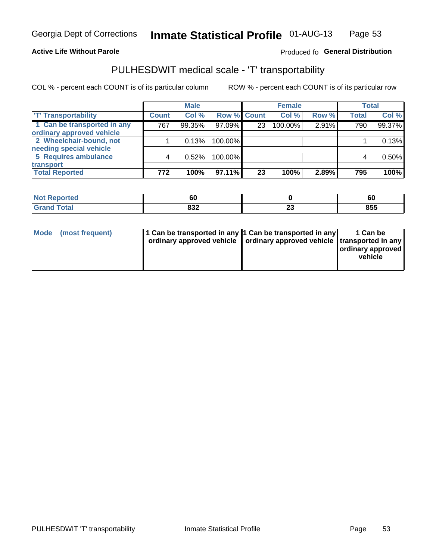#### **Active Life Without Parole**

#### Produced fo General Distribution

## PULHESDWIT medical scale - 'T' transportability

COL % - percent each COUNT is of its particular column

|                             |              | <b>Male</b> |             |    | <b>Female</b> |       |              | <b>Total</b> |
|-----------------------------|--------------|-------------|-------------|----|---------------|-------|--------------|--------------|
| <b>T' Transportability</b>  | <b>Count</b> | Col %       | Row % Count |    | Col %         | Row % | <b>Total</b> | Col %        |
| 1 Can be transported in any | 767          | 99.35%      | 97.09%      | 23 | 100.00%       | 2.91% | 790          | 99.37%       |
| ordinary approved vehicle   |              |             |             |    |               |       |              |              |
| 2 Wheelchair-bound, not     |              | 0.13%       | 100.00%     |    |               |       |              | 0.13%        |
| needing special vehicle     |              |             |             |    |               |       |              |              |
| 5 Requires ambulance        |              | 0.52%       | 100.00%     |    |               |       |              | 0.50%        |
| transport                   |              |             |             |    |               |       |              |              |
| <b>Total Reported</b>       | 772          | 100%        | 97.11%      | 23 | 100%          | 2.89% | 795          | 100%         |

| <b>Reported</b> | c r<br>οu |                    | 60  |
|-----------------|-----------|--------------------|-----|
|                 | 832       | <u>_</u><br>$\sim$ | 855 |

| Mode (most frequent) | 1 Can be transported in any 1 Can be transported in any | ordinary approved vehicle   ordinary approved vehicle   transported in any | 1 Can be<br>ordinary approved<br>vehicle |
|----------------------|---------------------------------------------------------|----------------------------------------------------------------------------|------------------------------------------|
|                      |                                                         |                                                                            |                                          |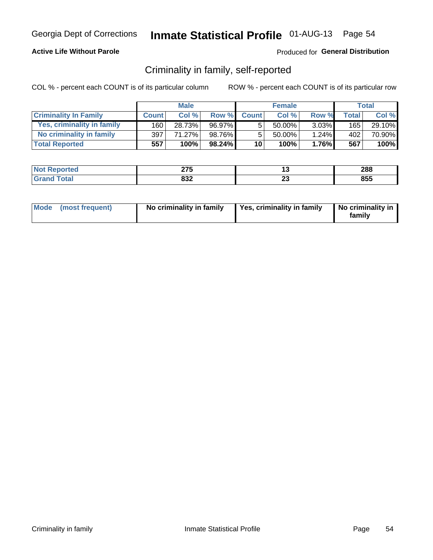### **Active Life Without Parole**

### Produced for General Distribution

## Criminality in family, self-reported

COL % - percent each COUNT is of its particular column

|                              |              | <b>Male</b> |        |                 | <b>Female</b> |          |       | Total  |
|------------------------------|--------------|-------------|--------|-----------------|---------------|----------|-------|--------|
| <b>Criminality In Family</b> | <b>Count</b> | Col%        | Row %  | <b>Count</b>    | Col %         | Row %    | Total | Col %  |
| Yes, criminality in family   | 160          | 28.73%      | 96.97% | 5               | $50.00\%$     | $3.03\%$ | 165   | 29.10% |
| No criminality in family     | 397          | 71.27%      | 98.76% | 5               | 50.00%        | $1.24\%$ | 402   | 70.90% |
| <b>Total Reported</b>        | 557          | 100%        | 98.24% | 10 <sup>1</sup> | 100%          | $1.76\%$ | 567   | 100%   |

| <b>Not</b><br>Reported | 27F<br>41 J |    | 288 |
|------------------------|-------------|----|-----|
| <b>otal</b><br>_______ | ៰៰៱<br>ου∠  | ΔJ | 855 |

|  | Mode (most frequent) | No criminality in family | Yes, criminality in family | No criminality in<br>family |
|--|----------------------|--------------------------|----------------------------|-----------------------------|
|--|----------------------|--------------------------|----------------------------|-----------------------------|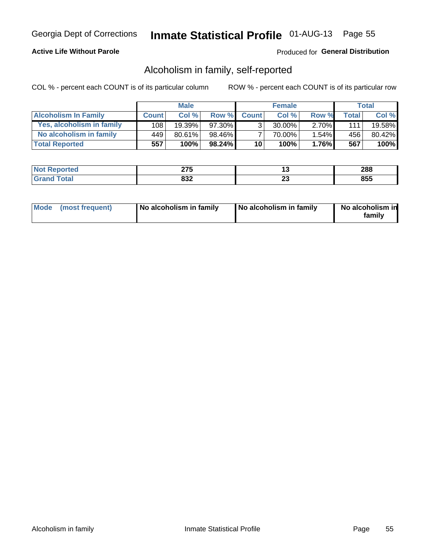### **Active Life Without Parole**

### Produced for General Distribution

## Alcoholism in family, self-reported

COL % - percent each COUNT is of its particular column

|                             |              | <b>Male</b> |        |              | <b>Female</b> |          |                    | Total  |
|-----------------------------|--------------|-------------|--------|--------------|---------------|----------|--------------------|--------|
| <b>Alcoholism In Family</b> | <b>Count</b> | Col%        | Row %  | <b>Count</b> | Col%          | Row %    | Total <sub>I</sub> | Col %  |
| Yes, alcoholism in family   | 108          | 19.39%      | 97.30% | $\mathbf{r}$ | $30.00\%$     | $2.70\%$ | 111                | 19.58% |
| No alcoholism in family     | 449          | 80.61%      | 98.46% |              | 70.00%        | $1.54\%$ | 456                | 80.42% |
| <b>Total Reported</b>       | 557          | 100%        | 98.24% | 10           | 100%          | $1.76\%$ | 567                | 100%   |

| <b>Not</b><br><b>Reported</b> | 27F<br>71 J | 1 v     | 288 |
|-------------------------------|-------------|---------|-----|
| <b>Total</b>                  | 022<br>০১∠  | ~<br>ZJ | 855 |

|  | Mode (most frequent) | No alcoholism in family | No alcoholism in family | No alcoholism in<br>family |
|--|----------------------|-------------------------|-------------------------|----------------------------|
|--|----------------------|-------------------------|-------------------------|----------------------------|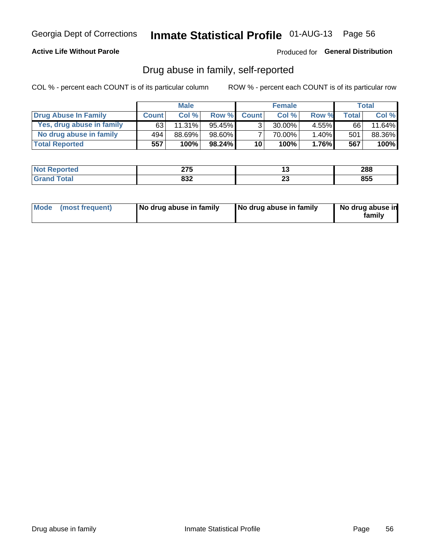### **Active Life Without Parole**

Produced for General Distribution

## Drug abuse in family, self-reported

COL % - percent each COUNT is of its particular column

|                           |              | <b>Male</b> |           |                 | <b>Female</b> |          |       | <b>Total</b> |
|---------------------------|--------------|-------------|-----------|-----------------|---------------|----------|-------|--------------|
| Drug Abuse In Family      | <b>Count</b> | Col%        | Row %     | <b>Count</b>    | Col%          | Row %    | Total | Col %        |
| Yes, drug abuse in family | 63           | 11.31%      | $95.45\%$ | 3 <sub>1</sub>  | $30.00\%$     | $4.55\%$ | 66    | 11.64%       |
| No drug abuse in family   | 494          | 88.69%      | 98.60%    |                 | 70.00%        | 1.40%    | 501   | 88.36%       |
| <b>Total Reported</b>     | 557          | 100%        | $98.24\%$ | 10 <sup>1</sup> | 100%          | $1.76\%$ | 567   | 100%         |

| <b>Not</b><br><b>Reported</b> | 27F<br>71 J | 1 v     | 288 |
|-------------------------------|-------------|---------|-----|
| <b>Total</b>                  | 022<br>০১∠  | ~<br>ZJ | 855 |

|  | Mode (most frequent) | No drug abuse in family | No drug abuse in family | No drug abuse in<br>familv |
|--|----------------------|-------------------------|-------------------------|----------------------------|
|--|----------------------|-------------------------|-------------------------|----------------------------|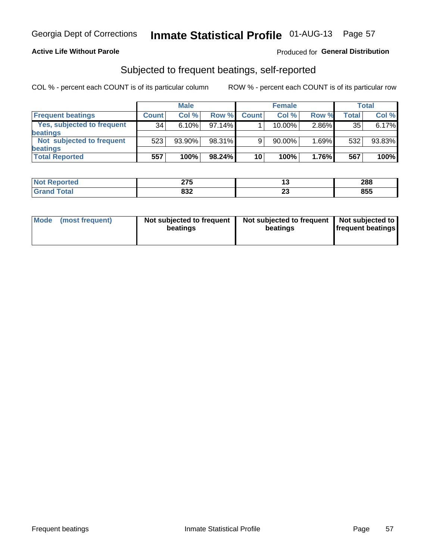#### **Active Life Without Parole**

#### Produced for General Distribution

## Subjected to frequent beatings, self-reported

COL % - percent each COUNT is of its particular column

|                                   |              | <b>Male</b> |           |              | <b>Female</b> |       |       | Total  |
|-----------------------------------|--------------|-------------|-----------|--------------|---------------|-------|-------|--------|
| <b>Frequent beatings</b>          | <b>Count</b> | Col %       | Row %     | <b>Count</b> | Col %         | Row % | Total | Col %  |
| <b>Yes, subjected to frequent</b> | 34           | 6.10%       | 97.14%    |              | 10.00%        | 2.86% | 35    | 6.17%  |
| <b>beatings</b>                   |              |             |           |              |               |       |       |        |
| Not subjected to frequent         | 523          | 93.90%      | 98.31%    | 9            | 90.00%        | 1.69% | 532   | 93.83% |
| <b>beatings</b>                   |              |             |           |              |               |       |       |        |
| <b>Total Reported</b>             | 557          | 100%        | $98.24\%$ | 10           | 100%          | 1.76% | 567   | 100%   |

| <b>Not Reported</b> | クフロ<br>21 J | ⊶        | 288 |
|---------------------|-------------|----------|-----|
| <b>Total</b>        | 832         | ~~<br>20 | 855 |

| Mode (most frequent) | Not subjected to frequent<br>beatings | Not subjected to frequent<br>beatings | Not subjected to<br><b>frequent beatings</b> |
|----------------------|---------------------------------------|---------------------------------------|----------------------------------------------|
|                      |                                       |                                       |                                              |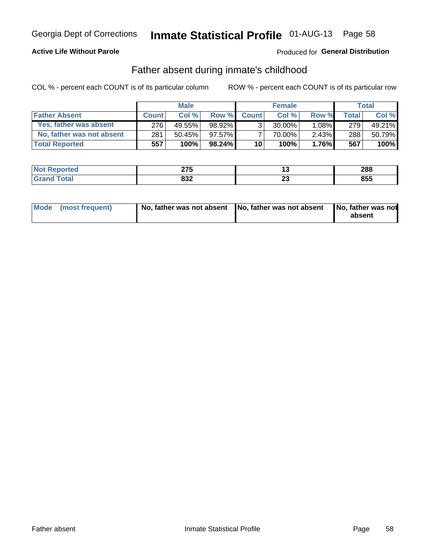### **Active Life Without Parole**

### Produced for General Distribution

## Father absent during inmate's childhood

COL % - percent each COUNT is of its particular column

|                           |              | <b>Male</b> |           |                | <b>Female</b> |          |              | <b>Total</b> |
|---------------------------|--------------|-------------|-----------|----------------|---------------|----------|--------------|--------------|
| <b>Father Absent</b>      | <b>Count</b> | Col%        | Row %     | <b>Count</b>   | Col%          | Row %    | <b>Total</b> | Col %        |
| Yes, father was absent    | 276          | 49.55%      | 98.92%    | 3 <sub>1</sub> | $30.00\%$     | $1.08\%$ | 279          | 49.21%       |
| No, father was not absent | 281          | $50.45\%$   | 97.57%    |                | 70.00%        | $2.43\%$ | 288          | 50.79%       |
| <b>Total Reported</b>     | 557          | $100\%$     | $98.24\%$ | 10             | 100%          | 1.76%    | 567          | 100%         |

| <b>Not Reported</b> | $\sim$<br>41 V |        | 288 |
|---------------------|----------------|--------|-----|
| `otal               | ດລາ            | ∼      | 855 |
| <b>Gran</b>         | 0JZ            | $\sim$ |     |

|  | Mode (most frequent) | No, father was not absent No, father was not absent |  | No, father was not<br>absent |
|--|----------------------|-----------------------------------------------------|--|------------------------------|
|--|----------------------|-----------------------------------------------------|--|------------------------------|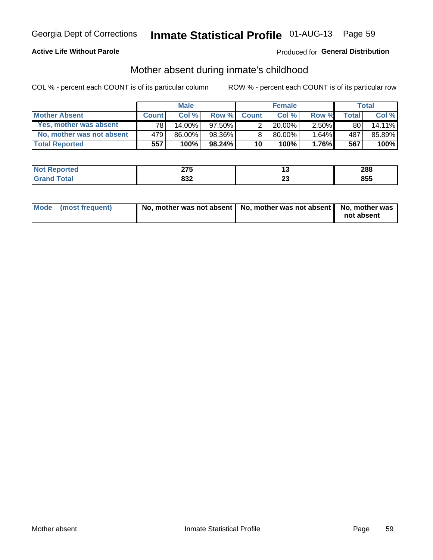### **Active Life Without Parole**

### Produced for General Distribution

## Mother absent during inmate's childhood

COL % - percent each COUNT is of its particular column

|                           |              | <b>Male</b> |           |                 | <b>Female</b> |          |       | Total  |
|---------------------------|--------------|-------------|-----------|-----------------|---------------|----------|-------|--------|
| <b>Mother Absent</b>      | <b>Count</b> | Col%        | Row %     | <b>Count</b>    | Col %         | Row %    | Total | Col %  |
| Yes, mother was absent    | 781          | 14.00%      | $97.50\%$ | 2               | $20.00\%$     | $2.50\%$ | 80    | 14.11% |
| No, mother was not absent | 479          | 86.00%      | 98.36%    | 8               | 80.00%        | 1.64%    | 487   | 85.89% |
| <b>Total Reported</b>     | 557          | 100%        | $98.24\%$ | 10 <sup>1</sup> | 100%          | $1.76\%$ | 567   | 100%   |

| <b>Not</b><br>Reported | $\sim$<br>40 V |    | 288 |
|------------------------|----------------|----|-----|
| <b>otal</b>            | ៰៰៱<br>o∍∠     | ∼∸ | 855 |

| Mode (most frequent) | No, mother was not absent   No, mother was not absent   No, mother was | not absent |
|----------------------|------------------------------------------------------------------------|------------|
|                      |                                                                        |            |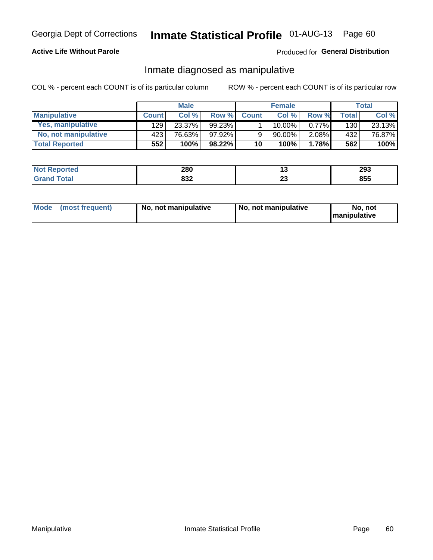#### **Active Life Without Parole**

### Produced for General Distribution

## Inmate diagnosed as manipulative

COL % - percent each COUNT is of its particular column

|                          |              | <b>Male</b> |        |              | <b>Female</b> |          |       | Total  |
|--------------------------|--------------|-------------|--------|--------------|---------------|----------|-------|--------|
| <b>Manipulative</b>      | <b>Count</b> | Col%        | Row %  | <b>Count</b> | Col %         | Row %    | Total | Col %  |
| <b>Yes, manipulative</b> | 129          | 23.37%      | 99.23% |              | $10.00\%$ .   | $0.77\%$ | 130   | 23.13% |
| No, not manipulative     | 423          | 76.63%      | 97.92% | 9            | $90.00\%$     | $2.08\%$ | 432   | 76.87% |
| <b>Total Reported</b>    | 552          | 100%        | 98.22% | 10           | 100%          | 1.78%    | 562   | 100%   |

| <b>Not</b><br><b>Reported</b> | 280        | . .                 | 293 |
|-------------------------------|------------|---------------------|-----|
| <b>ota</b><br>l Gran          | ດລາ<br>0JZ | ^^<br>2 J<br>$\sim$ | 855 |

|  | Mode (most frequent) | No, not manipulative | No, not manipulative | No. not<br><b>I</b> manipulative |
|--|----------------------|----------------------|----------------------|----------------------------------|
|--|----------------------|----------------------|----------------------|----------------------------------|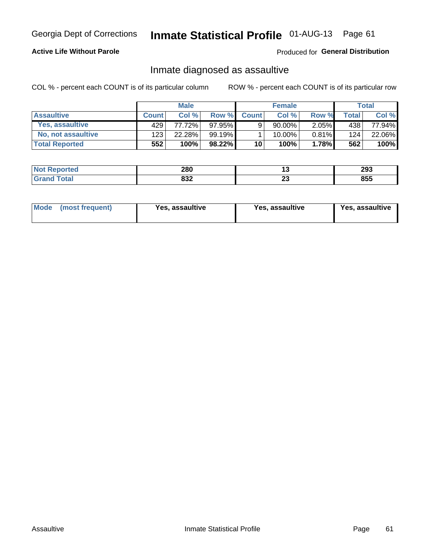# Inmate Statistical Profile 01-AUG-13 Page 61

### **Active Life Without Parole**

#### Produced for General Distribution

## Inmate diagnosed as assaultive

COL % - percent each COUNT is of its particular column

|                       |              | <b>Male</b> |           |              | <b>Female</b> |          |       | Total  |
|-----------------------|--------------|-------------|-----------|--------------|---------------|----------|-------|--------|
| <b>Assaultive</b>     | <b>Count</b> | Col%        | Row %     | <b>Count</b> | Col %         | Row %    | Total | Col %  |
| Yes, assaultive       | 429          | 77.72%      | $97.95\%$ | 9            | 90.00%        | $2.05\%$ | 438   | 77.94% |
| No, not assaultive    | 123          | 22.28%      | 99.19%    |              | 10.00%        | $0.81\%$ | 124   | 22.06% |
| <b>Total Reported</b> | 552          | 100%        | 98.22%    | 10           | 100%          | 1.78%    | 562   | 100%   |

| <b>Not</b><br><b>Reported</b> | 280        | 1 v    | 293 |
|-------------------------------|------------|--------|-----|
| <b>Fotal</b>                  | 022<br>০১∠ | ~<br>w | 855 |

| Mode (most frequent)<br>Yes, assaultive | Yes, assaultive | <b>Yes, assaultive</b> |
|-----------------------------------------|-----------------|------------------------|
|-----------------------------------------|-----------------|------------------------|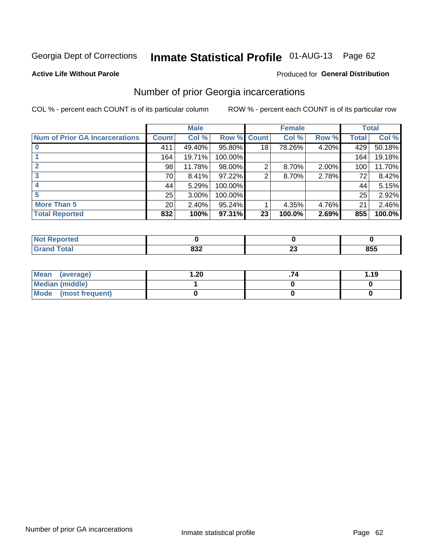# Inmate Statistical Profile 01-AUG-13 Page 62

#### **Active Life Without Parole**

#### Produced for General Distribution

## Number of prior Georgia incarcerations

COL % - percent each COUNT is of its particular column

|                                       | <b>Male</b>     |        |                    | <b>Female</b>   |        |          | <b>Total</b> |        |
|---------------------------------------|-----------------|--------|--------------------|-----------------|--------|----------|--------------|--------|
| <b>Num of Prior GA Incarcerations</b> | <b>Count</b>    | Col %  | <b>Row % Count</b> |                 | Col %  | Row %    | Total        | Col %  |
|                                       | 411             | 49.40% | 95.80%             | 18              | 78.26% | 4.20%    | 429          | 50.18% |
|                                       | 164             | 19.71% | 100.00%            |                 |        |          | 164          | 19.18% |
|                                       | 98              | 11.78% | 98.00%             | 2               | 8.70%  | $2.00\%$ | 100          | 11.70% |
| 3                                     | 70              | 8.41%  | 97.22%             | 2               | 8.70%  | 2.78%    | 72           | 8.42%  |
|                                       | 44              | 5.29%  | 100.00%            |                 |        |          | 44           | 5.15%  |
| 5                                     | 25              | 3.00%  | 100.00%            |                 |        |          | 25           | 2.92%  |
| <b>More Than 5</b>                    | 20 <sub>1</sub> | 2.40%  | 95.24%             |                 | 4.35%  | 4.76%    | 21           | 2.46%  |
| <b>Total Reported</b>                 | 832             | 100%   | 97.31%             | 23 <sub>1</sub> | 100.0% | 2.69%    | 855          | 100.0% |

| тео |                          |    |            |
|-----|--------------------------|----|------------|
|     | <b>000</b><br><b>UJZ</b> | ZJ | OEE<br>၀၁၁ |

| Mean (average)       | .20 | 1.19 |
|----------------------|-----|------|
| Median (middle)      |     |      |
| Mode (most frequent) |     |      |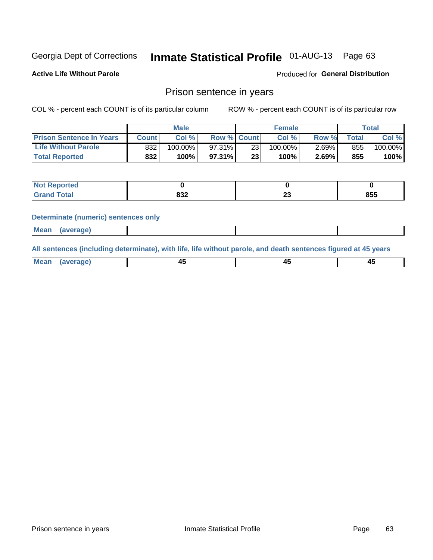## Inmate Statistical Profile 01-AUG-13 Page 63

**Active Life Without Parole** 

Produced for General Distribution

### Prison sentence in years

COL % - percent each COUNT is of its particular column

ROW % - percent each COUNT is of its particular row

|                                 | <b>Male</b> |            |                    | <b>Female</b> |            |       | Total       |         |
|---------------------------------|-------------|------------|--------------------|---------------|------------|-------|-------------|---------|
| <b>Prison Sentence In Years</b> | Count l     | Col %      | <b>Row % Count</b> |               | Col %      | Row % | $\tau$ otal | Col %   |
| <b>Life Without Parole</b>      | 832         | $100.00\%$ | 97.31%             | 23            | $100.00\%$ | 2.69% | 855         | 100.00% |
| <b>Total Reported</b>           | 832         | 100%       | $97.31\%$          | 23            | 100%       | 2.69% | 855         | 100%    |

| <b>Not Reported</b> |             |   |     |
|---------------------|-------------|---|-----|
| <b>otal</b>         | nn n<br>0JZ | ~ | 855 |

#### **Determinate (numeric) sentences only**

| <b>Mean</b><br><i>(average)</i> |  |
|---------------------------------|--|
|---------------------------------|--|

All sentences (including determinate), with life, life without parole, and death sentences figured at 45 years

| $M$ ea<br>(average) | $\sim$ | ,,<br>т. |
|---------------------|--------|----------|
|                     |        |          |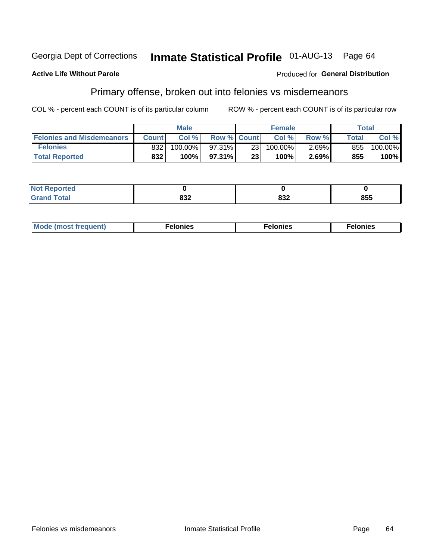#### **Active Life Without Parole**

#### Produced for General Distribution

## Primary offense, broken out into felonies vs misdemeanors

COL % - percent each COUNT is of its particular column

|                                  | <b>Male</b>  |         |                    | <b>Female</b>   |         |       | Total        |         |
|----------------------------------|--------------|---------|--------------------|-----------------|---------|-------|--------------|---------|
| <b>Felonies and Misdemeanors</b> | <b>Count</b> | Col %   | <b>Row % Count</b> |                 | Col%    | Row % | <b>Total</b> | Col %   |
| <b>Felonies</b>                  | 832          | 100.00% | 97.31%             | 23 I            | 100.00% | 2.69% | 855          | 100.00% |
| <b>Total Reported</b>            | 832          | $100\%$ | $97.31\%$          | 23 <sub>1</sub> | 100%    | 2.69% | 855          | 100%    |

| <b>Not Reported</b>         |                   |            |     |
|-----------------------------|-------------------|------------|-----|
| <b>Total</b><br>Gran<br>uuu | nn <i>n</i><br>∠ט | oog<br>OJ4 | 855 |

| $Mc$<br>equent)<br>нез<br>$\sim$<br>. | onies<br>. | <b>onies</b><br>. |
|---------------------------------------|------------|-------------------|
|---------------------------------------|------------|-------------------|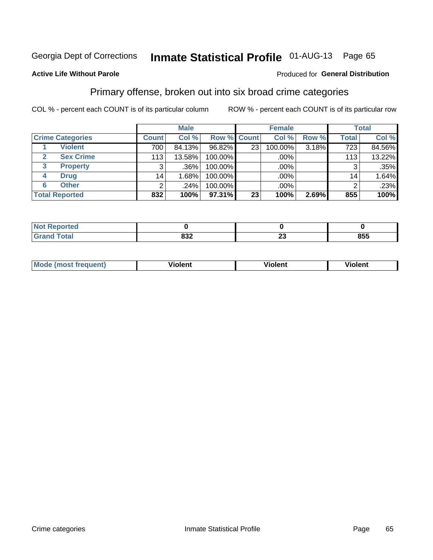## Inmate Statistical Profile 01-AUG-13 Page 65

#### **Active Life Without Parole**

#### Produced for General Distribution

## Primary offense, broken out into six broad crime categories

COL % - percent each COUNT is of its particular column

|                         |                 | <b>Male</b> |             |                 | <b>Female</b> |       |              | <b>Total</b> |
|-------------------------|-----------------|-------------|-------------|-----------------|---------------|-------|--------------|--------------|
| <b>Crime Categories</b> | <b>Count</b>    | Col %       | Row % Count |                 | Col %         | Row % | <b>Total</b> | Col %        |
| <b>Violent</b>          | 700             | 84.13%      | 96.82%      | 23 <sub>1</sub> | 100.00%       | 3.18% | 723          | 84.56%       |
| <b>Sex Crime</b>        | 113             | 13.58%      | 100.00%     |                 | .00%          |       | 113          | 13.22%       |
| 3<br><b>Property</b>    | 3               | .36%        | 100.00%     |                 | .00%          |       |              | .35%         |
| <b>Drug</b><br>4        | 14 <sub>1</sub> | ا 68% ا     | 100.00%     |                 | .00%          |       | 14.          | 1.64%        |
| <b>Other</b><br>6       | 2               | .24%        | 100.00%     |                 | $.00\%$       |       |              | .23%         |
| <b>Total Reported</b>   | 832             | 100%        | 97.31%      | 23 <sub>1</sub> | 100%          | 2.69% | 855          | 100%         |

| <b>Not Reported</b> |            |                               |     |  |  |
|---------------------|------------|-------------------------------|-----|--|--|
| <b>Total</b>        | ៰៰៱<br>০১∠ | $\overline{\phantom{a}}$<br>∼ | 855 |  |  |

| М | ,,, | - -- -<br>וחו | m |
|---|-----|---------------|---|
|   |     |               |   |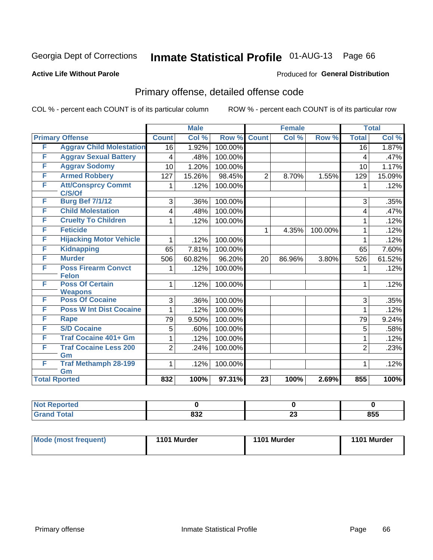## Inmate Statistical Profile 01-AUG-13 Page 66

#### **Active Life Without Parole**

#### Produced for General Distribution

## Primary offense, detailed offense code

COL % - percent each COUNT is of its particular column

|                      |                                            |                 | <b>Male</b> |         | <b>Female</b>   |        |         | <b>Total</b>    |        |
|----------------------|--------------------------------------------|-----------------|-------------|---------|-----------------|--------|---------|-----------------|--------|
|                      | <b>Primary Offense</b>                     | <b>Count</b>    | Col %       | Row %   | <b>Count</b>    | Col %  | Row %   | <b>Total</b>    | Col %  |
| F                    | <b>Aggrav Child Molestation</b>            | 16              | 1.92%       | 100.00% |                 |        |         | $\overline{16}$ | 1.87%  |
| F                    | <b>Aggrav Sexual Battery</b>               | 4               | .48%        | 100.00% |                 |        |         | 4               | .47%   |
| F                    | <b>Aggrav Sodomy</b>                       | 10              | 1.20%       | 100.00% |                 |        |         | 10              | 1.17%  |
| F                    | <b>Armed Robbery</b>                       | 127             | 15.26%      | 98.45%  | $\overline{2}$  | 8.70%  | 1.55%   | 129             | 15.09% |
| F                    | <b>Att/Consprcy Commt</b><br>C/S/Of        | 1               | .12%        | 100.00% |                 |        |         | 1               | .12%   |
| F                    | <b>Burg Bef 7/1/12</b>                     | 3               | .36%        | 100.00% |                 |        |         | 3               | .35%   |
| F                    | <b>Child Molestation</b>                   | 4               | .48%        | 100.00% |                 |        |         | 4               | .47%   |
| F                    | <b>Cruelty To Children</b>                 | 1               | .12%        | 100.00% |                 |        |         | 1               | .12%   |
| F                    | <b>Feticide</b>                            |                 |             |         | 1               | 4.35%  | 100.00% | 1               | .12%   |
| F                    | <b>Hijacking Motor Vehicle</b>             | 1               | .12%        | 100.00% |                 |        |         | 1               | .12%   |
| F                    | <b>Kidnapping</b>                          | 65              | 7.81%       | 100.00% |                 |        |         | 65              | 7.60%  |
| F                    | <b>Murder</b>                              | 506             | 60.82%      | 96.20%  | 20              | 86.96% | 3.80%   | 526             | 61.52% |
| F                    | <b>Poss Firearm Convct</b><br><b>Felon</b> | 1               | .12%        | 100.00% |                 |        |         | 1               | .12%   |
| F                    | <b>Poss Of Certain</b><br><b>Weapons</b>   | 1               | .12%        | 100.00% |                 |        |         | 1               | .12%   |
| F                    | <b>Poss Of Cocaine</b>                     | 3               | .36%        | 100.00% |                 |        |         | 3               | .35%   |
| F                    | <b>Poss W Int Dist Cocaine</b>             | 1               | .12%        | 100.00% |                 |        |         | 1               | .12%   |
| F                    | <b>Rape</b>                                | $\overline{79}$ | 9.50%       | 100.00% |                 |        |         | 79              | 9.24%  |
| F                    | <b>S/D Cocaine</b>                         | 5               | .60%        | 100.00% |                 |        |         | 5               | .58%   |
| F                    | <b>Traf Cocaine 401+ Gm</b>                | 1               | .12%        | 100.00% |                 |        |         | 1               | .12%   |
| F                    | <b>Traf Cocaine Less 200</b><br>Gm         | $\overline{2}$  | .24%        | 100.00% |                 |        |         | $\overline{2}$  | .23%   |
| F                    | <b>Traf Methamph 28-199</b><br>Gm          | 1               | .12%        | 100.00% |                 |        |         | 1               | .12%   |
| <b>Total Rported</b> |                                            | 832             | 100%        | 97.31%  | $\overline{23}$ | 100%   | 2.69%   | 855             | 100%   |

| oorted<br><b>N</b> |             |          |     |
|--------------------|-------------|----------|-----|
| <b>c</b> otal      | 0.25<br>o∍∠ | ^^<br>ZJ | 855 |

| <b>Mode (most frequent)</b> | 1101 Murder | 1101 Murder | 1101 Murder |
|-----------------------------|-------------|-------------|-------------|
|                             |             |             |             |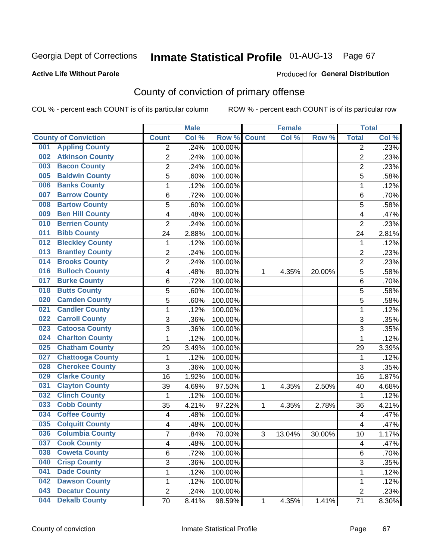#### **Active Life Without Parole**

#### Produced for **General Distribution**

## County of conviction of primary offense

|                                            |                | <b>Male</b> |         |              | <b>Female</b> |                  |                | <b>Total</b> |
|--------------------------------------------|----------------|-------------|---------|--------------|---------------|------------------|----------------|--------------|
| <b>County of Conviction</b>                | <b>Count</b>   | Col %       | Row %   | <b>Count</b> | Col %         | Row <sup>%</sup> | <b>Total</b>   | Col %        |
| <b>Appling County</b><br>001               | 2              | .24%        | 100.00% |              |               |                  | 2              | .23%         |
| <b>Atkinson County</b><br>002              | $\overline{2}$ | .24%        | 100.00% |              |               |                  | $\overline{2}$ | .23%         |
| <b>Bacon County</b><br>003                 | $\overline{2}$ | .24%        | 100.00% |              |               |                  | $\overline{2}$ | .23%         |
| <b>Baldwin County</b><br>005               | $\overline{5}$ | .60%        | 100.00% |              |               |                  | 5              | .58%         |
| <b>Banks County</b><br>006                 | 1              | .12%        | 100.00% |              |               |                  | 1              | .12%         |
| <b>Barrow County</b><br>007                | 6              | .72%        | 100.00% |              |               |                  | 6              | .70%         |
| <b>Bartow County</b><br>008                | 5              | .60%        | 100.00% |              |               |                  | 5              | .58%         |
| <b>Ben Hill County</b><br>009              | 4              | .48%        | 100.00% |              |               |                  | 4              | .47%         |
| <b>Berrien County</b><br>010               | $\overline{2}$ | .24%        | 100.00% |              |               |                  | $\overline{2}$ | .23%         |
| <b>Bibb County</b><br>011                  | 24             | 2.88%       | 100.00% |              |               |                  | 24             | 2.81%        |
| <b>Bleckley County</b><br>012              | 1              | .12%        | 100.00% |              |               |                  | 1              | .12%         |
| <b>Brantley County</b><br>$\overline{013}$ | $\overline{2}$ | .24%        | 100.00% |              |               |                  | $\overline{c}$ | .23%         |
| <b>Brooks County</b><br>014                | $\overline{2}$ | .24%        | 100.00% |              |               |                  | $\overline{2}$ | .23%         |
| <b>Bulloch County</b><br>016               | 4              | .48%        | 80.00%  | 1            | 4.35%         | 20.00%           | 5              | .58%         |
| <b>Burke County</b><br>017                 | 6              | .72%        | 100.00% |              |               |                  | 6              | .70%         |
| <b>Butts County</b><br>018                 | 5              | .60%        | 100.00% |              |               |                  | 5              | .58%         |
| <b>Camden County</b><br>020                | 5              | .60%        | 100.00% |              |               |                  | 5              | .58%         |
| <b>Candler County</b><br>021               | 1              | .12%        | 100.00% |              |               |                  | 1              | .12%         |
| <b>Carroll County</b><br>022               | 3              | .36%        | 100.00% |              |               |                  | 3              | .35%         |
| <b>Catoosa County</b><br>023               | $\overline{3}$ | .36%        | 100.00% |              |               |                  | $\overline{3}$ | .35%         |
| <b>Charlton County</b><br>024              | 1              | .12%        | 100.00% |              |               |                  | 1              | .12%         |
| <b>Chatham County</b><br>025               | 29             | 3.49%       | 100.00% |              |               |                  | 29             | 3.39%        |
| <b>Chattooga County</b><br>027             | 1              | .12%        | 100.00% |              |               |                  | 1              | .12%         |
| <b>Cherokee County</b><br>028              | $\overline{3}$ | .36%        | 100.00% |              |               |                  | 3              | .35%         |
| <b>Clarke County</b><br>029                | 16             | 1.92%       | 100.00% |              |               |                  | 16             | 1.87%        |
| <b>Clayton County</b><br>031               | 39             | 4.69%       | 97.50%  | 1            | 4.35%         | 2.50%            | 40             | 4.68%        |
| <b>Clinch County</b><br>032                | 1              | .12%        | 100.00% |              |               |                  | 1              | .12%         |
| <b>Cobb County</b><br>033                  | 35             | 4.21%       | 97.22%  | 1            | 4.35%         | 2.78%            | 36             | 4.21%        |
| <b>Coffee County</b><br>034                | 4              | .48%        | 100.00% |              |               |                  | 4              | .47%         |
| <b>Colquitt County</b><br>035              | 4              | .48%        | 100.00% |              |               |                  | 4              | .47%         |
| <b>Columbia County</b><br>036              | 7              | .84%        | 70.00%  | 3            | 13.04%        | 30.00%           | 10             | 1.17%        |
| 037<br><b>Cook County</b>                  | 4              | .48%        | 100.00% |              |               |                  | 4              | .47%         |
| <b>Coweta County</b><br>038                | 6              | .72%        | 100.00% |              |               |                  | 6              | .70%         |
| <b>Crisp County</b><br>040                 | 3              | .36%        | 100.00% |              |               |                  | 3              | .35%         |
| <b>Dade County</b><br>041                  | 1              | .12%        | 100.00% |              |               |                  | 1              | .12%         |
| <b>Dawson County</b><br>042                | 1              | .12%        | 100.00% |              |               |                  | 1              | .12%         |
| <b>Decatur County</b><br>043               | $\overline{c}$ | .24%        | 100.00% |              |               |                  | $\overline{2}$ | .23%         |
| <b>Dekalb County</b><br>044                | 70             | 8.41%       | 98.59%  | 1            | 4.35%         | 1.41%            | 71             | 8.30%        |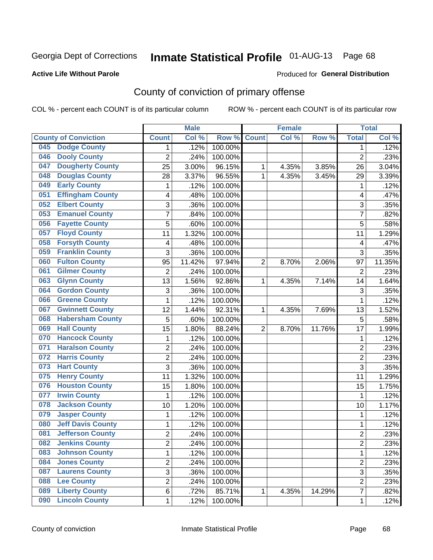#### **Active Life Without Parole**

#### Produced for **General Distribution**

## County of conviction of primary offense

|     |                             |                         | <b>Male</b> |         |                | <b>Female</b> |        |                | <b>Total</b> |
|-----|-----------------------------|-------------------------|-------------|---------|----------------|---------------|--------|----------------|--------------|
|     | <b>County of Conviction</b> | <b>Count</b>            | Col %       | Row %   | <b>Count</b>   | Col %         | Row %  | <b>Total</b>   | Col %        |
| 045 | <b>Dodge County</b>         | 1                       | .12%        | 100.00% |                |               |        | 1              | .12%         |
| 046 | <b>Dooly County</b>         | $\overline{2}$          | .24%        | 100.00% |                |               |        | $\overline{2}$ | .23%         |
| 047 | <b>Dougherty County</b>     | 25                      | 3.00%       | 96.15%  | 1              | 4.35%         | 3.85%  | 26             | 3.04%        |
| 048 | <b>Douglas County</b>       | 28                      | 3.37%       | 96.55%  | 1              | 4.35%         | 3.45%  | 29             | 3.39%        |
| 049 | <b>Early County</b>         | 1                       | .12%        | 100.00% |                |               |        | 1              | .12%         |
| 051 | <b>Effingham County</b>     | 4                       | .48%        | 100.00% |                |               |        | 4              | .47%         |
| 052 | <b>Elbert County</b>        | 3                       | .36%        | 100.00% |                |               |        | 3              | .35%         |
| 053 | <b>Emanuel County</b>       | 7                       | .84%        | 100.00% |                |               |        | $\overline{7}$ | .82%         |
| 056 | <b>Fayette County</b>       | 5                       | .60%        | 100.00% |                |               |        | 5              | .58%         |
| 057 | <b>Floyd County</b>         | 11                      | 1.32%       | 100.00% |                |               |        | 11             | 1.29%        |
| 058 | <b>Forsyth County</b>       | $\overline{\mathbf{4}}$ | .48%        | 100.00% |                |               |        | 4              | .47%         |
| 059 | <b>Franklin County</b>      | 3                       | .36%        | 100.00% |                |               |        | 3              | .35%         |
| 060 | <b>Fulton County</b>        | 95                      | 11.42%      | 97.94%  | $\overline{2}$ | 8.70%         | 2.06%  | 97             | 11.35%       |
| 061 | <b>Gilmer County</b>        | $\overline{2}$          | .24%        | 100.00% |                |               |        | $\overline{2}$ | .23%         |
| 063 | <b>Glynn County</b>         | 13                      | 1.56%       | 92.86%  | 1              | 4.35%         | 7.14%  | 14             | 1.64%        |
| 064 | <b>Gordon County</b>        | 3                       | .36%        | 100.00% |                |               |        | 3              | .35%         |
| 066 | <b>Greene County</b>        | 1                       | .12%        | 100.00% |                |               |        | 1              | .12%         |
| 067 | <b>Gwinnett County</b>      | 12                      | 1.44%       | 92.31%  | 1              | 4.35%         | 7.69%  | 13             | 1.52%        |
| 068 | <b>Habersham County</b>     | $\overline{5}$          | .60%        | 100.00% |                |               |        | 5              | .58%         |
| 069 | <b>Hall County</b>          | 15                      | 1.80%       | 88.24%  | $\overline{2}$ | 8.70%         | 11.76% | 17             | 1.99%        |
| 070 | <b>Hancock County</b>       | 1                       | .12%        | 100.00% |                |               |        | 1              | .12%         |
| 071 | <b>Haralson County</b>      | $\overline{c}$          | .24%        | 100.00% |                |               |        | $\overline{2}$ | .23%         |
| 072 | <b>Harris County</b>        | $\overline{2}$          | .24%        | 100.00% |                |               |        | $\overline{2}$ | .23%         |
| 073 | <b>Hart County</b>          | 3                       | .36%        | 100.00% |                |               |        | 3              | .35%         |
| 075 | <b>Henry County</b>         | 11                      | 1.32%       | 100.00% |                |               |        | 11             | 1.29%        |
| 076 | <b>Houston County</b>       | 15                      | 1.80%       | 100.00% |                |               |        | 15             | 1.75%        |
| 077 | <b>Irwin County</b>         | 1                       | .12%        | 100.00% |                |               |        | 1              | .12%         |
| 078 | <b>Jackson County</b>       | 10                      | 1.20%       | 100.00% |                |               |        | 10             | 1.17%        |
| 079 | <b>Jasper County</b>        | 1                       | .12%        | 100.00% |                |               |        | 1              | .12%         |
| 080 | <b>Jeff Davis County</b>    | 1                       | .12%        | 100.00% |                |               |        | 1              | .12%         |
| 081 | <b>Jefferson County</b>     | $\overline{2}$          | .24%        | 100.00% |                |               |        | $\overline{2}$ | .23%         |
| 082 | <b>Jenkins County</b>       | $\overline{\mathbf{c}}$ | .24%        | 100.00% |                |               |        | 2              | .23%         |
| 083 | <b>Johnson County</b>       | 1                       | .12%        | 100.00% |                |               |        | $\mathbf{1}$   | .12%         |
| 084 | <b>Jones County</b>         | 2                       | .24%        | 100.00% |                |               |        | $\overline{2}$ | .23%         |
| 087 | <b>Laurens County</b>       | $\overline{3}$          | .36%        | 100.00% |                |               |        | $\overline{3}$ | .35%         |
| 088 | <b>Lee County</b>           | 2                       | .24%        | 100.00% |                |               |        | $\overline{2}$ | .23%         |
| 089 | <b>Liberty County</b>       | 6                       | .72%        | 85.71%  | 1              | 4.35%         | 14.29% | $\overline{7}$ | .82%         |
| 090 | <b>Lincoln County</b>       | 1                       | .12%        | 100.00% |                |               |        | 1              | .12%         |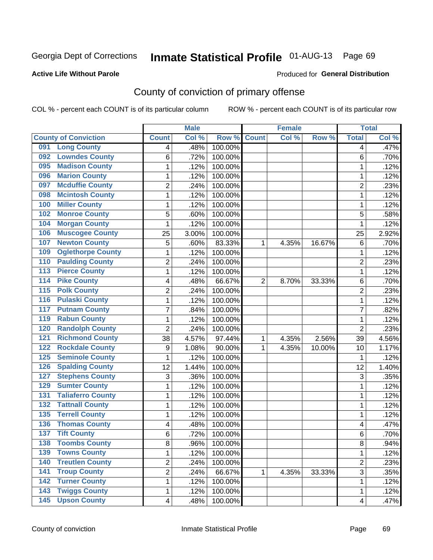#### **Active Life Without Parole**

#### Produced for **General Distribution**

## County of conviction of primary offense

|                                         |                | <b>Male</b> |         |                | <b>Female</b> |        |                         | <b>Total</b> |
|-----------------------------------------|----------------|-------------|---------|----------------|---------------|--------|-------------------------|--------------|
| <b>County of Conviction</b>             | <b>Count</b>   | Col %       | Row %   | <b>Count</b>   | Col %         | Row %  | <b>Total</b>            | Col %        |
| <b>Long County</b><br>091               | 4              | .48%        | 100.00% |                |               |        | 4                       | .47%         |
| <b>Lowndes County</b><br>092            | 6              | .72%        | 100.00% |                |               |        | 6                       | .70%         |
| <b>Madison County</b><br>095            | 1              | .12%        | 100.00% |                |               |        | 1                       | .12%         |
| <b>Marion County</b><br>096             | 1              | .12%        | 100.00% |                |               |        | 1                       | .12%         |
| <b>Mcduffie County</b><br>097           | $\overline{2}$ | .24%        | 100.00% |                |               |        | $\overline{2}$          | .23%         |
| <b>Mcintosh County</b><br>098           | $\mathbf{1}$   | .12%        | 100.00% |                |               |        | $\mathbf 1$             | .12%         |
| <b>Miller County</b><br>100             | 1              | .12%        | 100.00% |                |               |        | 1                       | .12%         |
| <b>Monroe County</b><br>102             | 5              | .60%        | 100.00% |                |               |        | 5                       | .58%         |
| <b>Morgan County</b><br>104             | 1              | .12%        | 100.00% |                |               |        | 1                       | .12%         |
| <b>Muscogee County</b><br>106           | 25             | 3.00%       | 100.00% |                |               |        | 25                      | 2.92%        |
| <b>Newton County</b><br>107             | 5              | .60%        | 83.33%  | 1              | 4.35%         | 16.67% | 6                       | .70%         |
| <b>Oglethorpe County</b><br>109         | 1              | .12%        | 100.00% |                |               |        | 1                       | .12%         |
| <b>Paulding County</b><br>110           | $\overline{2}$ | .24%        | 100.00% |                |               |        | $\overline{2}$          | .23%         |
| <b>Pierce County</b><br>113             | $\mathbf{1}$   | .12%        | 100.00% |                |               |        | $\mathbf{1}$            | .12%         |
| <b>Pike County</b><br>$\overline{114}$  | 4              | .48%        | 66.67%  | $\overline{2}$ | 8.70%         | 33.33% | 6                       | .70%         |
| <b>Polk County</b><br>115               | $\overline{c}$ | .24%        | 100.00% |                |               |        | $\overline{2}$          | .23%         |
| <b>Pulaski County</b><br>116            | 1              | .12%        | 100.00% |                |               |        | 1                       | .12%         |
| <b>Putnam County</b><br>117             | $\overline{7}$ | .84%        | 100.00% |                |               |        | 7                       | .82%         |
| <b>Rabun County</b><br>119              | 1              | .12%        | 100.00% |                |               |        | 1                       | .12%         |
| <b>Randolph County</b><br>120           | $\overline{2}$ | .24%        | 100.00% |                |               |        | $\overline{2}$          | .23%         |
| <b>Richmond County</b><br>121           | 38             | 4.57%       | 97.44%  | 1              | 4.35%         | 2.56%  | 39                      | 4.56%        |
| <b>Rockdale County</b><br>122           | 9              | 1.08%       | 90.00%  | 1              | 4.35%         | 10.00% | 10                      | 1.17%        |
| <b>Seminole County</b><br>125           | 1              | .12%        | 100.00% |                |               |        | 1                       | .12%         |
| <b>Spalding County</b><br>126           | 12             | 1.44%       | 100.00% |                |               |        | 12                      | 1.40%        |
| <b>Stephens County</b><br>127           | 3              | .36%        | 100.00% |                |               |        | 3                       | .35%         |
| <b>Sumter County</b><br>129             | 1              | .12%        | 100.00% |                |               |        | 1                       | .12%         |
| <b>Taliaferro County</b><br>131         | 1              | .12%        | 100.00% |                |               |        | 1                       | .12%         |
| <b>Tattnall County</b><br>132           | 1              | .12%        | 100.00% |                |               |        | 1                       | .12%         |
| <b>Terrell County</b><br>135            | 1              | .12%        | 100.00% |                |               |        | 1                       | .12%         |
| <b>Thomas County</b><br>136             | 4              | .48%        | 100.00% |                |               |        | 4                       | .47%         |
| <b>Tift County</b><br>$\overline{137}$  | 6              | .72%        | 100.00% |                |               |        | 6                       | .70%         |
| 138<br><b>Toombs County</b>             | 8              | .96%        | 100.00% |                |               |        | 8                       | $.94\%$      |
| <b>Towns County</b><br>139              | 1              | .12%        | 100.00% |                |               |        | $\mathbf{1}$            | .12%         |
| <b>Treutlen County</b><br>140           | $\overline{c}$ | .24%        | 100.00% |                |               |        | $\overline{2}$          | .23%         |
| <b>Troup County</b><br>141              | 2              | .24%        | 66.67%  | 1              | 4.35%         | 33.33% | 3                       | .35%         |
| <b>Turner County</b><br>142             | 1              | .12%        | 100.00% |                |               |        | 1                       | .12%         |
| <b>Twiggs County</b><br>143             | 1              | .12%        | 100.00% |                |               |        | 1                       | .12%         |
| <b>Upson County</b><br>$\overline{145}$ | 4              | .48%        | 100.00% |                |               |        | $\overline{\mathbf{4}}$ | .47%         |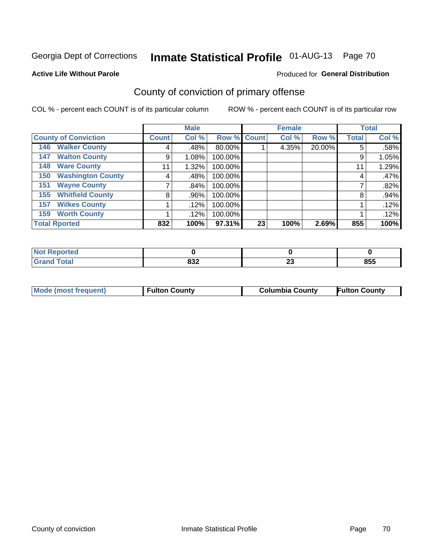#### **Active Life Without Parole**

#### Produced for **General Distribution**

## County of conviction of primary offense

|                                 | <b>Male</b>   |       |             |    | <b>Female</b> | <b>Total</b> |              |       |
|---------------------------------|---------------|-------|-------------|----|---------------|--------------|--------------|-------|
| <b>County of Conviction</b>     | <b>Count!</b> | Col % | Row % Count |    | Col %         | Row %        | <b>Total</b> | Col % |
| <b>Walker County</b><br>146     | 4             | .48%  | 80.00%      |    | 4.35%         | 20.00%       | 5            | .58%  |
| <b>Walton County</b><br>147     | 9             | 1.08% | 100.00%     |    |               |              | 9            | 1.05% |
| <b>Ware County</b><br>148       | 11            | 1.32% | 100.00%     |    |               |              | 11           | 1.29% |
| <b>Washington County</b><br>150 | 4             | .48%  | 100.00%     |    |               |              | 4            | .47%  |
| <b>Wayne County</b><br>151      |               | .84%  | 100.00%     |    |               |              |              | .82%  |
| <b>Whitfield County</b><br>155  | 8             | .96%  | 100.00%     |    |               |              | 8            | .94%  |
| <b>Wilkes County</b><br>157     |               | .12%  | 100.00%     |    |               |              |              | .12%  |
| <b>Worth County</b><br>159      |               | .12%  | 100.00%     |    |               |              |              | .12%  |
| <b>Total Rported</b>            | 832           | 100%  | 97.31%      | 23 | 100%          | 2.69%        | 855          | 100%  |

| eported<br>NO |     |                          |     |
|---------------|-----|--------------------------|-----|
| <b>c</b> otal | ៰៰៱ | $\overline{\phantom{a}}$ | OEE |
|               | ০১∠ | ∼                        | ႣჂჂ |

| Mode (most frequent) | <b>Fulton County</b> | <b>Columbia County</b> | <b>Fulton County</b> |
|----------------------|----------------------|------------------------|----------------------|
|                      |                      |                        |                      |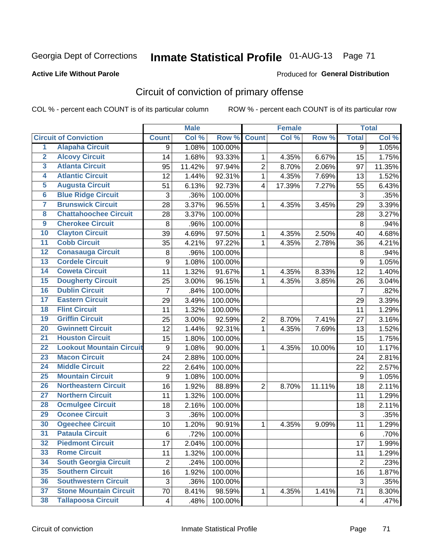#### **Active Life Without Parole**

#### Produced for **General Distribution**

## Circuit of conviction of primary offense

|                         |                                 |                | <b>Male</b> |         |                         | <b>Female</b> |        |                  | <b>Total</b> |
|-------------------------|---------------------------------|----------------|-------------|---------|-------------------------|---------------|--------|------------------|--------------|
|                         | <b>Circuit of Conviction</b>    | <b>Count</b>   | Col %       | Row %   | <b>Count</b>            | Col%          | Row %  | <b>Total</b>     | Col %        |
| 1                       | <b>Alapaha Circuit</b>          | 9              | 1.08%       | 100.00% |                         |               |        | $\overline{9}$   | 1.05%        |
| $\overline{2}$          | <b>Alcovy Circuit</b>           | 14             | 1.68%       | 93.33%  | 1                       | 4.35%         | 6.67%  | 15               | 1.75%        |
| $\overline{\mathbf{3}}$ | <b>Atlanta Circuit</b>          | 95             | 11.42%      | 97.94%  | $\overline{2}$          | 8.70%         | 2.06%  | 97               | 11.35%       |
| 4                       | <b>Atlantic Circuit</b>         | 12             | 1.44%       | 92.31%  | $\mathbf{1}$            | 4.35%         | 7.69%  | 13               | 1.52%        |
| $\overline{5}$          | <b>Augusta Circuit</b>          | 51             | 6.13%       | 92.73%  | $\overline{\mathbf{4}}$ | 17.39%        | 7.27%  | 55               | 6.43%        |
| $\overline{6}$          | <b>Blue Ridge Circuit</b>       | 3              | .36%        | 100.00% |                         |               |        | 3                | .35%         |
| 7                       | <b>Brunswick Circuit</b>        | 28             | 3.37%       | 96.55%  | 1                       | 4.35%         | 3.45%  | 29               | 3.39%        |
| $\overline{\mathbf{8}}$ | <b>Chattahoochee Circuit</b>    | 28             | 3.37%       | 100.00% |                         |               |        | 28               | 3.27%        |
| $\overline{9}$          | <b>Cherokee Circuit</b>         | 8              | .96%        | 100.00% |                         |               |        | 8                | .94%         |
| 10                      | <b>Clayton Circuit</b>          | 39             | 4.69%       | 97.50%  | 1                       | 4.35%         | 2.50%  | 40               | 4.68%        |
| $\overline{11}$         | <b>Cobb Circuit</b>             | 35             | 4.21%       | 97.22%  | $\mathbf{1}$            | 4.35%         | 2.78%  | 36               | 4.21%        |
| $\overline{12}$         | <b>Conasauga Circuit</b>        | 8              | .96%        | 100.00% |                         |               |        | 8                | .94%         |
| $\overline{13}$         | <b>Cordele Circuit</b>          | 9              | 1.08%       | 100.00% |                         |               |        | $\boldsymbol{9}$ | 1.05%        |
| $\overline{14}$         | <b>Coweta Circuit</b>           | 11             | 1.32%       | 91.67%  | $\mathbf{1}$            | 4.35%         | 8.33%  | 12               | 1.40%        |
| 15                      | <b>Dougherty Circuit</b>        | 25             | 3.00%       | 96.15%  | 1                       | 4.35%         | 3.85%  | 26               | 3.04%        |
| 16                      | <b>Dublin Circuit</b>           | 7              | .84%        | 100.00% |                         |               |        | $\overline{7}$   | .82%         |
| $\overline{17}$         | <b>Eastern Circuit</b>          | 29             | 3.49%       | 100.00% |                         |               |        | 29               | 3.39%        |
| 18                      | <b>Flint Circuit</b>            | 11             | 1.32%       | 100.00% |                         |               |        | 11               | 1.29%        |
| 19                      | <b>Griffin Circuit</b>          | 25             | 3.00%       | 92.59%  | $\overline{2}$          | 8.70%         | 7.41%  | 27               | 3.16%        |
| $\overline{20}$         | <b>Gwinnett Circuit</b>         | 12             | 1.44%       | 92.31%  | 1                       | 4.35%         | 7.69%  | 13               | 1.52%        |
| $\overline{21}$         | <b>Houston Circuit</b>          | 15             | 1.80%       | 100.00% |                         |               |        | 15               | 1.75%        |
| $\overline{22}$         | <b>Lookout Mountain Circuit</b> | 9              | 1.08%       | 90.00%  | $\mathbf{1}$            | 4.35%         | 10.00% | 10               | 1.17%        |
| $\overline{23}$         | <b>Macon Circuit</b>            | 24             | 2.88%       | 100.00% |                         |               |        | 24               | 2.81%        |
| $\overline{24}$         | <b>Middle Circuit</b>           | 22             | 2.64%       | 100.00% |                         |               |        | 22               | 2.57%        |
| $\overline{25}$         | <b>Mountain Circuit</b>         | 9              | 1.08%       | 100.00% |                         |               |        | $\boldsymbol{9}$ | 1.05%        |
| 26                      | <b>Northeastern Circuit</b>     | 16             | 1.92%       | 88.89%  | 2                       | 8.70%         | 11.11% | 18               | 2.11%        |
| $\overline{27}$         | <b>Northern Circuit</b>         | 11             | 1.32%       | 100.00% |                         |               |        | 11               | 1.29%        |
| 28                      | <b>Ocmulgee Circuit</b>         | 18             | 2.16%       | 100.00% |                         |               |        | 18               | 2.11%        |
| 29                      | <b>Oconee Circuit</b>           | 3              | .36%        | 100.00% |                         |               |        | 3                | .35%         |
| 30                      | <b>Ogeechee Circuit</b>         | 10             | 1.20%       | 90.91%  | 1                       | 4.35%         | 9.09%  | 11               | 1.29%        |
| $\overline{31}$         | <b>Pataula Circuit</b>          | 6              | .72%        | 100.00% |                         |               |        | 6                | .70%         |
| 32                      | <b>Piedmont Circuit</b>         | 17             | 2.04%       | 100.00% |                         |               |        | 17               | 1.99%        |
| 33                      | <b>Rome Circuit</b>             | 11             | 1.32%       | 100.00% |                         |               |        | 11               | 1.29%        |
| 34                      | <b>South Georgia Circuit</b>    | $\overline{2}$ | .24%        | 100.00% |                         |               |        | $\overline{2}$   | .23%         |
| 35                      | <b>Southern Circuit</b>         | 16             | 1.92%       | 100.00% |                         |               |        | 16               | 1.87%        |
| 36                      | <b>Southwestern Circuit</b>     | 3              | .36%        | 100.00% |                         |               |        | 3                | .35%         |
| 37                      | <b>Stone Mountain Circuit</b>   | 70             | 8.41%       | 98.59%  | 1                       | 4.35%         | 1.41%  | 71               | 8.30%        |
| 38                      | <b>Tallapoosa Circuit</b>       | 4              | .48%        | 100.00% |                         |               |        | $\overline{4}$   | .47%         |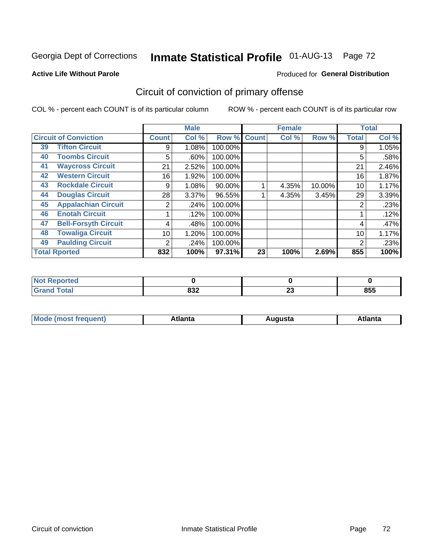#### **Active Life Without Parole**

### Produced for **General Distribution**

## Circuit of conviction of primary offense

|                      |                              |              | <b>Male</b> |           |              | <b>Female</b> |        |              | <b>Total</b> |
|----------------------|------------------------------|--------------|-------------|-----------|--------------|---------------|--------|--------------|--------------|
|                      | <b>Circuit of Conviction</b> | <b>Count</b> | Col %       | Row %     | <b>Count</b> | Col %         | Row %  | <b>Total</b> | Col %        |
| 39                   | <b>Tifton Circuit</b>        | 9            | 1.08%       | 100.00%   |              |               |        | 9            | 1.05%        |
| 40                   | <b>Toombs Circuit</b>        | 5            | .60%        | 100.00%   |              |               |        | 5            | .58%         |
| 41                   | <b>Waycross Circuit</b>      | 21           | 2.52%       | 100.00%   |              |               |        | 21           | 2.46%        |
| 42                   | <b>Western Circuit</b>       | 16           | 1.92%       | 100.00%   |              |               |        | 16           | 1.87%        |
| 43                   | <b>Rockdale Circuit</b>      | 9            | 1.08%       | $90.00\%$ |              | 4.35%         | 10.00% | 10           | 1.17%        |
| 44                   | <b>Douglas Circuit</b>       | 28           | $3.37\%$    | 96.55%    |              | 4.35%         | 3.45%  | 29           | 3.39%        |
| 45                   | <b>Appalachian Circuit</b>   | 2            | .24%        | 100.00%   |              |               |        | 2            | .23%         |
| 46                   | <b>Enotah Circuit</b>        |              | .12%        | 100.00%   |              |               |        |              | .12%         |
| 47                   | <b>Bell-Forsyth Circuit</b>  | 4            | .48%        | 100.00%   |              |               |        | 4            | .47%         |
| 48                   | <b>Towaliga Circuit</b>      | 10           | 1.20%       | 100.00%   |              |               |        | 10           | 1.17%        |
| 49                   | <b>Paulding Circuit</b>      | 2            | .24%        | 100.00%   |              |               |        | 2            | .23%         |
| <b>Total Rported</b> |                              | 832          | 100%        | 97.31%    | 23           | 100%          | 2.69%  | 855          | 100%         |

| eported<br>N |            |           |     |
|--------------|------------|-----------|-----|
| <b>Total</b> | 022<br>∠כס | nn.<br>Zυ | 855 |

| М<br>. Innás<br>.<br>.<br>wanta<br>Πū<br>31.<br>$\sim$ $\sim$ $\sim$ |
|----------------------------------------------------------------------|
|----------------------------------------------------------------------|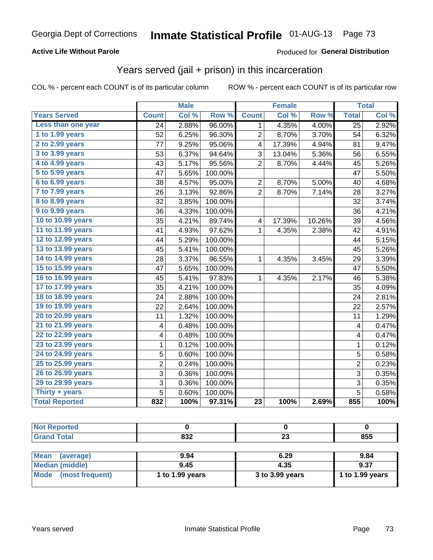#### **Active Life Without Parole**

#### Produced for **General Distribution**

### Years served (jail + prison) in this incarceration

|                       |                | <b>Male</b> |         |                         | <b>Female</b> |                  |                         | <b>Total</b> |
|-----------------------|----------------|-------------|---------|-------------------------|---------------|------------------|-------------------------|--------------|
| <b>Years Served</b>   | <b>Count</b>   | Col %       | Row %   | <b>Count</b>            | Col %         | Row <sup>%</sup> | <b>Total</b>            | Col %        |
| Less than one year    | 24             | 2.88%       | 96.00%  | $\mathbf{1}$            | 4.35%         | 4.00%            | $\overline{25}$         | 2.92%        |
| 1 to 1.99 years       | 52             | 6.25%       | 96.30%  | $\overline{c}$          | 8.70%         | 3.70%            | 54                      | 6.32%        |
| 2 to 2.99 years       | 77             | 9.25%       | 95.06%  | $\overline{\mathbf{4}}$ | 17.39%        | 4.94%            | 81                      | 9.47%        |
| 3 to 3.99 years       | 53             | 6.37%       | 94.64%  | 3                       | 13.04%        | 5.36%            | 56                      | 6.55%        |
| 4 to 4.99 years       | 43             | 5.17%       | 95.56%  | $\overline{2}$          | 8.70%         | 4.44%            | 45                      | 5.26%        |
| 5 to 5.99 years       | 47             | 5.65%       | 100.00% |                         |               |                  | 47                      | 5.50%        |
| 6 to 6.99 years       | 38             | 4.57%       | 95.00%  | $\overline{2}$          | 8.70%         | 5.00%            | 40                      | 4.68%        |
| 7 to 7.99 years       | 26             | 3.13%       | 92.86%  | $\overline{2}$          | 8.70%         | 7.14%            | 28                      | 3.27%        |
| 8 to 8.99 years       | 32             | 3.85%       | 100.00% |                         |               |                  | 32                      | 3.74%        |
| 9 to 9.99 years       | 36             | 4.33%       | 100.00% |                         |               |                  | 36                      | 4.21%        |
| 10 to 10.99 years     | 35             | 4.21%       | 89.74%  | $\overline{\mathbf{4}}$ | 17.39%        | 10.26%           | 39                      | 4.56%        |
| 11 to 11.99 years     | 41             | 4.93%       | 97.62%  | $\mathbf{1}$            | 4.35%         | 2.38%            | 42                      | 4.91%        |
| 12 to 12.99 years     | 44             | 5.29%       | 100.00% |                         |               |                  | 44                      | 5.15%        |
| 13 to 13.99 years     | 45             | 5.41%       | 100.00% |                         |               |                  | 45                      | 5.26%        |
| 14 to 14.99 years     | 28             | 3.37%       | 96.55%  | $\mathbf{1}$            | 4.35%         | 3.45%            | 29                      | 3.39%        |
| 15 to 15.99 years     | 47             | 5.65%       | 100.00% |                         |               |                  | 47                      | 5.50%        |
| 16 to 16.99 years     | 45             | 5.41%       | 97.83%  | 1                       | 4.35%         | 2.17%            | 46                      | 5.38%        |
| 17 to 17.99 years     | 35             | 4.21%       | 100.00% |                         |               |                  | 35                      | 4.09%        |
| 18 to 18.99 years     | 24             | 2.88%       | 100.00% |                         |               |                  | 24                      | 2.81%        |
| 19 to 19.99 years     | 22             | 2.64%       | 100.00% |                         |               |                  | 22                      | 2.57%        |
| 20 to 20.99 years     | 11             | 1.32%       | 100.00% |                         |               |                  | 11                      | 1.29%        |
| 21 to 21.99 years     | 4              | 0.48%       | 100.00% |                         |               |                  | $\overline{\mathbf{4}}$ | 0.47%        |
| 22 to 22.99 years     | 4              | 0.48%       | 100.00% |                         |               |                  | $\overline{\mathbf{4}}$ | 0.47%        |
| 23 to 23.99 years     | $\mathbf 1$    | 0.12%       | 100.00% |                         |               |                  | $\mathbf 1$             | 0.12%        |
| 24 to 24.99 years     | 5              | 0.60%       | 100.00% |                         |               |                  | 5                       | 0.58%        |
| 25 to 25.99 years     | $\overline{2}$ | 0.24%       | 100.00% |                         |               |                  | $\overline{2}$          | 0.23%        |
| 26 to 26.99 years     | $\overline{3}$ | 0.36%       | 100.00% |                         |               |                  | $\overline{3}$          | 0.35%        |
| 29 to 29.99 years     | 3              | 0.36%       | 100.00% |                         |               |                  | 3                       | 0.35%        |
| Thirty + years        | $\overline{5}$ | 0.60%       | 100.00% |                         |               |                  | $\overline{5}$          | 0.58%        |
| <b>Total Reported</b> | 832            | 100%        | 97.31%  | $\overline{23}$         | 100%          | 2.69%            | 855                     | 100%         |

| <b>Not Reported</b> |       |           |       |  |
|---------------------|-------|-----------|-------|--|
| <b>Grand Total</b>  | 832   | nn.<br>δJ | 855   |  |
|                     |       |           |       |  |
| .                   | _ _ _ | $  -$     | - - - |  |

| Mean (average)       | 9.94              | 6.29            | 9.84            |
|----------------------|-------------------|-----------------|-----------------|
| Median (middle)      | 9.45              | 4.35            | 9.37            |
| Mode (most frequent) | 1 to $1.99$ years | 3 to 3.99 years | 1 to 1.99 years |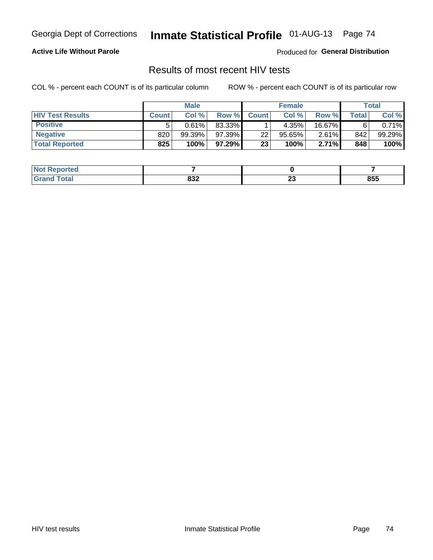#### **Active Life Without Parole**

Produced for **General Distribution**

### Results of most recent HIV tests

|                         | <b>Male</b>  |        |        | <b>Female</b> |        |          | Total |          |
|-------------------------|--------------|--------|--------|---------------|--------|----------|-------|----------|
| <b>HIV Test Results</b> | <b>Count</b> | Col%   | Row %I | <b>Count</b>  | Col%   | Row %    | Total | Col %    |
| <b>Positive</b>         | 5            | 0.61%  | 83.33% |               | 4.35%  | 16.67%   |       | $0.71\%$ |
| <b>Negative</b>         | 820          | 99.39% | 97.39% | 22            | 95.65% | 2.61%    | 842   | 99.29%   |
| <b>Total Reported</b>   | 825          | 100%   | 97.29% | 23            | 100%   | $2.71\%$ | 848   | 100%     |

| <b>ported</b><br>l Noti |      |    |     |
|-------------------------|------|----|-----|
| <b>Cotal</b>            | nne. | ^^ | 855 |
| 计自动程序                   | οσ∠  | -- |     |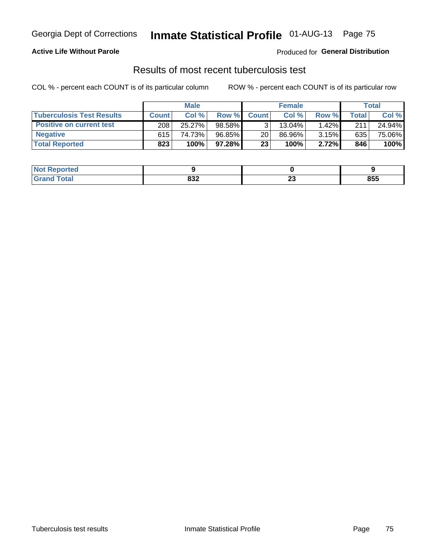#### **Active Life Without Parole**

Produced for **General Distribution**

### Results of most recent tuberculosis test

|                                  | <b>Male</b>  |        |        | <b>Female</b> |        |          | Total        |        |
|----------------------------------|--------------|--------|--------|---------------|--------|----------|--------------|--------|
| <b>Tuberculosis Test Results</b> | <b>Count</b> | Col%   | Row %I | <b>Count</b>  | Col%   | Row %    | <b>Total</b> | Col %  |
| <b>Positive on current test</b>  | 208          | 25.27% | 98.58% |               | 13.04% | $1.42\%$ | 211          | 24.94% |
| <b>Negative</b>                  | 615          | 74.73% | 96.85% | 20            | 86.96% | 3.15%    | 635          | 75.06% |
| <b>Total Reported</b>            | 823          | 100%   | 97.28% | 23            | 100%   | 2.72%    | 846          | 100%   |

| <b>ported</b><br>I NOT |      |    |     |
|------------------------|------|----|-----|
| <b>Cotal</b>           | nne. | ^^ | 855 |
|                        | οσ∠  | -- |     |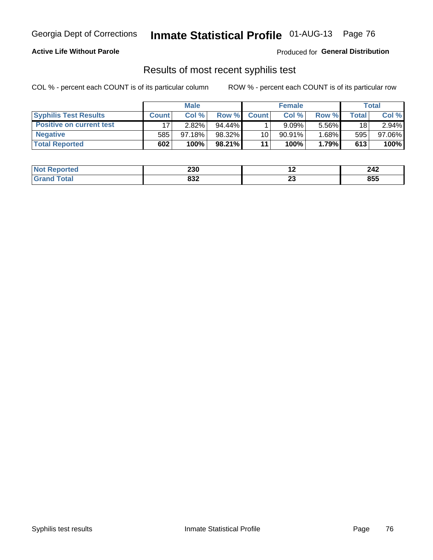#### **Active Life Without Parole**

Produced for **General Distribution**

### Results of most recent syphilis test

|                                 | <b>Male</b>  |           |           | <b>Female</b>   |           |          | Total |        |
|---------------------------------|--------------|-----------|-----------|-----------------|-----------|----------|-------|--------|
| <b>Syphilis Test Results</b>    | <b>Count</b> | Col %     | Row %     | <b>Count</b>    | Col %     | Row %I   | Total | Col %  |
| <b>Positive on current test</b> |              | 2.82%     | $94.44\%$ |                 | 9.09%     | 5.56%    | 18    | 2.94%  |
| <b>Negative</b>                 | 585          | $97.18\%$ | 98.32%    | 10 <sub>1</sub> | $90.91\%$ | $1.68\%$ | 595   | 97.06% |
| <b>Total Reported</b>           | 602          | 100%      | $98.21\%$ | 11              | 100%      | 1.79%    | 613   | 100%   |

| <b>Not Reported</b> | 230        | . .      | 242 |
|---------------------|------------|----------|-----|
| <b>Fotal</b>        | 022<br>ου∠ | ~~<br>Δv | 855 |